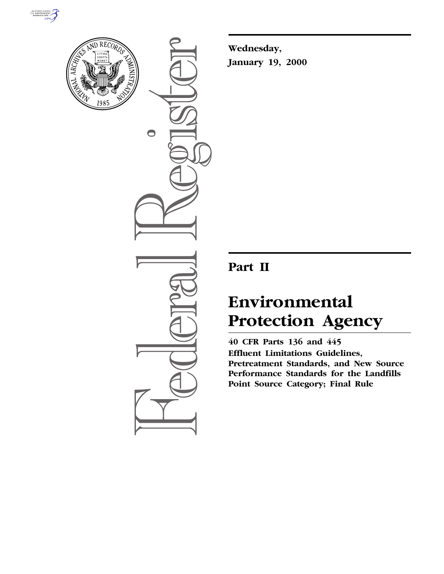



 $\bullet$ 

**Wednesday, January 19, 2000**

## **Part II**

# **Environmental Protection Agency**

**40 CFR Parts 136 and 445 Effluent Limitations Guidelines, Pretreatment Standards, and New Source Performance Standards for the Landfills Point Source Category; Final Rule**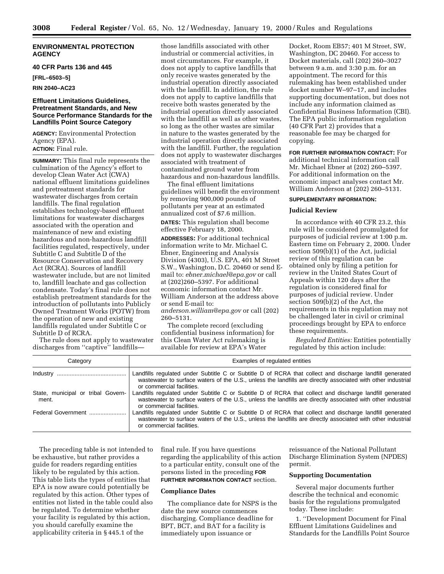## **ENVIRONMENTAL PROTECTION AGENCY**

## **40 CFR Parts 136 and 445**

**[FRL–6503–5]**

## **RIN 2040–AC23**

## **Effluent Limitations Guidelines, Pretreatment Standards, and New Source Performance Standards for the Landfills Point Source Category**

**AGENCY:** Environmental Protection Agency (EPA). **ACTION:** Final rule.

**SUMMARY:** This final rule represents the culmination of the Agency's effort to develop Clean Water Act (CWA) national effluent limitations guidelines and pretreatment standards for wastewater discharges from certain landfills. The final regulation establishes technology-based effluent limitations for wastewater discharges associated with the operation and maintenance of new and existing hazardous and non-hazardous landfill facilities regulated, respectively, under Subtitle C and Subtitle D of the Resource Conservation and Recovery Act (RCRA). Sources of landfill wastewater include, but are not limited to, landfill leachate and gas collection condensate. Today's final rule does not establish pretreatment standards for the introduction of pollutants into Publicly Owned Treatment Works (POTW) from the operation of new and existing landfills regulated under Subtitle C or Subtitle D of RCRA.

The rule does not apply to wastewater discharges from ''captive'' landfills—

those landfills associated with other industrial or commercial activities, in most circumstances. For example, it does not apply to captive landfills that only receive wastes generated by the industrial operation directly associated with the landfill. In addition, the rule does not apply to captive landfills that receive both wastes generated by the industrial operation directly associated with the landfill as well as other wastes, so long as the other wastes are similar in nature to the wastes generated by the industrial operation directly associated with the landfill. Further, the regulation does not apply to wastewater discharges associated with treatment of contaminated ground water from hazardous and non-hazardous landfills.

The final effluent limitations guidelines will benefit the environment by removing 900,000 pounds of pollutants per year at an estimated annualized cost of \$7.6 million.

**DATES:** This regulation shall become effective February 18, 2000.

**ADDRESSES:** For additional technical information write to Mr. Michael C. Ebner, Engineering and Analysis Division (4303), U.S. EPA, 401 M Street S.W., Washington, D.C. 20460 or send Email to: *ebner.michael@epa.gov* or call at (202)260–5397. For additional economic information contact Mr. William Anderson at the address above or send E-mail to: *anderson.william@epa.gov* or call (202)

260–5131.

The complete record (excluding confidential business information) for this Clean Water Act rulemaking is available for review at EPA's Water

Docket, Room EB57; 401 M Street, SW, Washington, DC 20460. For access to Docket materials, call (202) 260–3027 between 9 a.m. and 3:30 p.m. for an appointment. The record for this rulemaking has been established under docket number W–97–17, and includes supporting documentation, but does not include any information claimed as Confidential Business Information (CBI). The EPA public information regulation (40 CFR Part 2) provides that a reasonable fee may be charged for copying.

**FOR FURTHER INFORMATION CONTACT:** For additional technical information call Mr. Michael Ebner at (202) 260–5397. For additional information on the economic impact analyses contact Mr. William Anderson at (202) 260–5131.

## **SUPPLEMENTARY INFORMATION:**

### **Judicial Review**

In accordance with 40 CFR 23.2, this rule will be considered promulgated for purposes of judicial review at 1:00 p.m. Eastern time on February 2, 2000. Under section 509(b)(1) of the Act, judicial review of this regulation can be obtained only by filing a petition for review in the United States Court of Appeals within 120 days after the regulation is considered final for purposes of judicial review. Under section 509(b)(2) of the Act, the requirements in this regulation may not be challenged later in civil or criminal proceedings brought by EPA to enforce these requirements.

*Regulated Entities:* Entities potentially regulated by this action include:

| Category                                    | Examples of regulated entities                                                                                                                                                                                                                        |
|---------------------------------------------|-------------------------------------------------------------------------------------------------------------------------------------------------------------------------------------------------------------------------------------------------------|
|                                             | Landfills regulated under Subtitle C or Subtitle D of RCRA that collect and discharge landfill generated<br>wastewater to surface waters of the U.S., unless the landfills are directly associated with other industrial<br>or commercial facilities. |
| State, municipal or tribal Govern-<br>ment. | Landfills regulated under Subtitle C or Subtitle D of RCRA that collect and discharge landfill generated<br>wastewater to surface waters of the U.S., unless the landfills are directly associated with other industrial<br>or commercial facilities. |
| Federal Government                          | Landfills regulated under Subtitle C or Subtitle D of RCRA that collect and discharge landfill generated<br>wastewater to surface waters of the U.S., unless the landfills are directly associated with other industrial<br>or commercial facilities. |

The preceding table is not intended to be exhaustive, but rather provides a guide for readers regarding entities likely to be regulated by this action. This table lists the types of entities that EPA is now aware could potentially be regulated by this action. Other types of entities not listed in the table could also be regulated. To determine whether your facility is regulated by this action, you should carefully examine the applicability criteria in § 445.1 of the

final rule. If you have questions regarding the applicability of this action to a particular entity, consult one of the persons listed in the preceding **FOR FURTHER INFORMATION CONTACT** section.

#### **Compliance Dates**

The compliance date for NSPS is the date the new source commences discharging. Compliance deadline for BPT, BCT, and BAT for a facility is immediately upon issuance or

reissuance of the National Pollutant Discharge Elimination System (NPDES) permit.

#### **Supporting Documentation**

Several major documents further describe the technical and economic basis for the regulations promulgated today. These include:

1. ''Development Document for Final Effluent Limitations Guidelines and Standards for the Landfills Point Source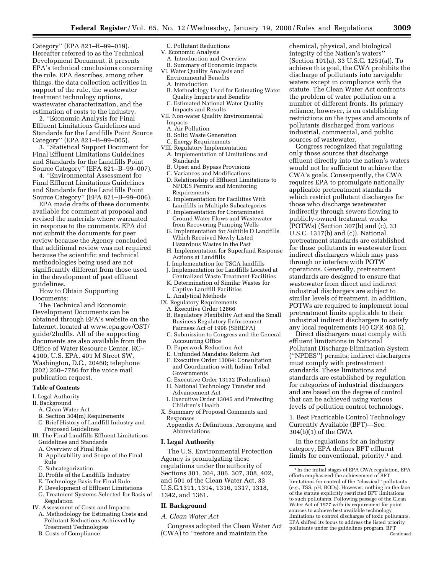Category'' (EPA 821–R–99–019). Hereafter referred to as the Technical Development Document, it presents EPA's technical conclusions concerning the rule. EPA describes, among other things, the data collection activities in support of the rule, the wastewater treatment technology options, wastewater characterization, and the estimation of costs to the industry.

2. ''Economic Analysis for Final Effluent Limitations Guidelines and Standards for the Landfills Point Source Category'' (EPA 821–B–99–005).

3. ''Statistical Support Document for Final Effluent Limitations Guidelines and Standards for the Landfills Point Source Category'' (EPA 821–B–99–007).

4. ''Environmental Assessment for Final Effluent Limitations Guidelines and Standards for the Landfills Point Source Category'' (EPA 821–B–99–006).

EPA made drafts of these documents available for comment at proposal and revised the materials where warranted in response to the comments. EPA did not submit the documents for peer review because the Agency concluded that additional review was not required because the scientific and technical methodologies being used are not significantly different from those used in the development of past effluent guidelines.

How to Obtain Supporting Documents:

The Technical and Economic Development Documents can be obtained through EPA's website on the Internet, located at www.epa.gov/OST/ guide/2lndfls. All of the supporting documents are also available from the Office of Water Resource Center, RC– 4100, U.S. EPA, 401 M Street SW, Washington, D.C., 20460; telephone (202) 260–7786 for the voice mail publication request.

#### **Table of Contents**

- I. Legal Authority
- II. Background
	- A. Clean Water Act
	- B. Section 304(m) Requirements
	- C. Brief History of Landfill Industry and Proposed Guidelines
- III. The Final Landfills Effluent Limitations Guidelines and Standards
	- A. Overview of Final Rule
	- B. Applicability and Scope of the Final Rule
- C. Subcategorization
- D. Profile of the Landfills Industry
- E. Technology Basis for Final Rule
- F. Development of Effluent Limitations
- G. Treatment Systems Selected for Basis of Regulation
- IV. Assessment of Costs and Impacts
- A. Methodology for Estimating Costs and Pollutant Reductions Achieved by Treatment Technologies
- B. Costs of Compliance

## C. Pollutant Reductions

- V. Economic Analysis
	- A. Introduction and Overview B. Summary of Economic Impacts
- 
- VI. Water Quality Analysis and Environmental Benefits
	- A. Introduction
	- B. Methodology Used for Estimating Water Quality Impacts and Benefits
	- C. Estimated National Water Quality Impacts and Results
- VII. Non-water Quality Environmental Impacts
	- A. Air Pollution
	- B. Solid Waste Generation
	- C. Energy Requirements
- VIII. Regulatory Implementation
- A. Implementation of Limitations and Standards
- B. Upset and Bypass Provisions
- C. Variances and Modifications
- D. Relationship of Effluent Limitations to NPDES Permits and Monitoring Requirements
- E. Implementation for Facilities With Landfills in Multiple Subcategories
- F. Implementation for Contaminated Ground Water Flows and Wastewater from Recovering Pumping Wells
- G. Implementation for Subtitle D Landfills Which Received Newly Listed Hazardous Wastes in the Past
- H. Implementation for Superfund Response Actions at Landfills
- I. Implementation for TSCA landfills
- J. Implementation for Landfills Located at
- Centralized Waste Treatment Facilities K. Determination of Similar Wastes for
- Captive Landfill Facilities L. Analytical Methods
- IX. Regulatory Requirements
- A. Executive Order 12866
- B. Regulatory Flexibility Act and the Small Business Regulatory Enforcement Fairness Act of 1996 (SBREFA)
- C. Submission to Congress and the General Accounting Office
- D. Paperwork Reduction Act
- E. Unfunded Mandates Reform Act
- F. Executive Order 13084: Consultation and Coordination with Indian Tribal Governments
- G. Executive Order 13132 (Federalism) H. National Technology Transfer and
- Advancement Act
- I. Executive Order 13045 and Protecting Children's Health
- X. Summary of Proposal Comments and Responses
- Appendix A: Definitions, Acronyms, and Abbreviations

## **I. Legal Authority**

The U.S. Environmental Protection Agency is promulgating these regulations under the authority of Sections 301, 304, 306, 307, 308, 402, and 501 of the Clean Water Act, 33 U.S.C.1311, 1314, 1316, 1317, 1318, 1342, and 1361.

#### **II. Background**

*A. Clean Water Act*

Congress adopted the Clean Water Act (CWA) to ''restore and maintain the

chemical, physical, and biological integrity of the Nation's waters'' (Section 101(a), 33 U.S.C. 1251(a)). To achieve this goal, the CWA prohibits the discharge of pollutants into navigable waters except in compliance with the statute. The Clean Water Act confronts the problem of water pollution on a number of different fronts. Its primary reliance, however, is on establishing restrictions on the types and amounts of pollutants discharged from various industrial, commercial, and public sources of wastewater.

Congress recognized that regulating only those sources that discharge effluent directly into the nation's waters would not be sufficient to achieve the CWA's goals. Consequently, the CWA requires EPA to promulgate nationally applicable pretreatment standards which restrict pollutant discharges for those who discharge wastewater indirectly through sewers flowing to publicly-owned treatment works (POTWs) (Section 307(b) and (c), 33 U.S.C. 1317(b) and (c)). National pretreatment standards are established for those pollutants in wastewater from indirect dischargers which may pass through or interfere with POTW operations. Generally, pretreatment standards are designed to ensure that wastewater from direct and indirect industrial dischargers are subject to similar levels of treatment. In addition, POTWs are required to implement local pretreatment limits applicable to their industrial indirect dischargers to satisfy any local requirements (40 CFR 403.5).

Direct dischargers must comply with effluent limitations in National Pollutant Discharge Elimination System (''NPDES'') permits; indirect dischargers must comply with pretreatment standards. These limitations and standards are established by regulation for categories of industrial dischargers and are based on the degree of control that can be achieved using various levels of pollution control technology.

1. Best Practicable Control Technology Currently Available (BPT)—Sec. 304(b)(1) of the CWA

In the regulations for an industry category, EPA defines BPT effluent limits for conventional, priority,<sup>1</sup> and

<sup>1</sup> In the initial stages of EPA CWA regulation, EPA efforts emphasized the achievement of BPT limitations for control of the ''classical'' pollutants (*e.g.,* TSS, pH, BOD5). However, nothing on the face of the statute explicitly restricted BPT limitations to such pollutants. Following passage of the Clean Water Act of 1977 with its requirement for point sources to achieve best available technology limitations to control discharges of toxic pollutants, EPA shifted its focus to address the listed priority pollutants under the guidelines program. BPT Continued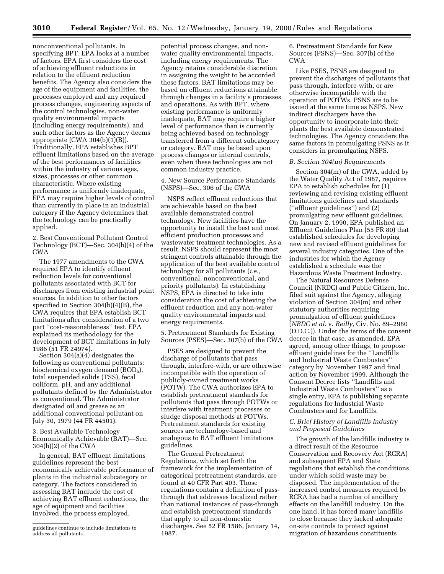nonconventional pollutants. In specifying BPT, EPA looks at a number of factors. EPA first considers the cost of achieving effluent reductions in relation to the effluent reduction benefits. The Agency also considers the age of the equipment and facilities, the processes employed and any required process changes, engineering aspects of the control technologies, non-water quality environmental impacts (including energy requirements), and such other factors as the Agency deems appropriate (CWA 304(b)(1)(B)). Traditionally, EPA establishes BPT effluent limitations based on the average of the best performances of facilities within the industry of various ages, sizes, processes or other common characteristic. Where existing performance is uniformly inadequate, EPA may require higher levels of control than currently in place in an industrial category if the Agency determines that the technology can be practically applied.

2. Best Conventional Pollutant Control Technology (BCT)—Sec. 304(b)(4) of the CWA

The 1977 amendments to the CWA required EPA to identify effluent reduction levels for conventional pollutants associated with BCT for discharges from existing industrial point sources. In addition to other factors specified in Section 304(b)(4)(B), the CWA requires that EPA establish BCT limitations after consideration of a two part ''cost-reasonableness'' test. EPA explained its methodology for the development of BCT limitations in July 1986 (51 FR 24974).

Section 304(a)(4) designates the following as conventional pollutants: biochemical oxygen demand (BOD<sub>5</sub>), total suspended solids (TSS), fecal coliform, pH, and any additional pollutants defined by the Administrator as conventional. The Administrator designated oil and grease as an additional conventional pollutant on July 30, 1979 (44 FR 44501).

3. Best Available Technology Economically Achievable (BAT)—Sec. 304(b)(2) of the CWA

In general, BAT effluent limitations guidelines represent the best economically achievable performance of plants in the industrial subcategory or category. The factors considered in assessing BAT include the cost of achieving BAT effluent reductions, the age of equipment and facilities involved, the process employed,

potential process changes, and nonwater quality environmental impacts, including energy requirements. The Agency retains considerable discretion in assigning the weight to be accorded these factors. BAT limitations may be based on effluent reductions attainable through changes in a facility's processes and operations. As with BPT, where existing performance is uniformly inadequate, BAT may require a higher level of performance than is currently being achieved based on technology transferred from a different subcategory or category. BAT may be based upon process changes or internal controls, even when these technologies are not common industry practice.

4. New Source Performance Standards (NSPS)—Sec. 306 of the CWA

NSPS reflect effluent reductions that are achievable based on the best available demonstrated control technology. New facilities have the opportunity to install the best and most efficient production processes and wastewater treatment technologies. As a result, NSPS should represent the most stringent controls attainable through the application of the best available control technology for all pollutants (*i.e.,* conventional, nonconventional, and priority pollutants). In establishing NSPS, EPA is directed to take into consideration the cost of achieving the effluent reduction and any non-water quality environmental impacts and energy requirements.

5. Pretreatment Standards for Existing Sources (PSES)—Sec. 307(b) of the CWA

PSES are designed to prevent the discharge of pollutants that pass through, interfere-with, or are otherwise incompatible with the operation of publicly-owned treatment works (POTW). The CWA authorizes EPA to establish pretreatment standards for pollutants that pass through POTWs or interfere with treatment processes or sludge disposal methods at POTWs. Pretreatment standards for existing sources are technology-based and analogous to BAT effluent limitations guidelines.

The General Pretreatment Regulations, which set forth the framework for the implementation of categorical pretreatment standards, are found at 40 CFR Part 403. Those regulations contain a definition of passthrough that addresses localized rather than national instances of pass-through and establish pretreatment standards that apply to all non-domestic discharges. See 52 FR 1586, January 14, 1987.

6. Pretreatment Standards for New Sources (PSNS)—Sec. 307(b) of the CWA

Like PSES, PSNS are designed to prevent the discharges of pollutants that pass through, interfere-with, or are otherwise incompatible with the operation of POTWs. PSNS are to be issued at the same time as NSPS. New indirect dischargers have the opportunity to incorporate into their plants the best available demonstrated technologies. The Agency considers the same factors in promulgating PSNS as it considers in promulgating NSPS.

#### *B. Section 304(m) Requirements*

Section 304(m) of the CWA, added by the Water Quality Act of 1987, requires EPA to establish schedules for (1) reviewing and revising existing effluent limitations guidelines and standards (''effluent guidelines'') and (2) promulgating new effluent guidelines. On January 2, 1990, EPA published an Effluent Guidelines Plan (55 FR 80) that established schedules for developing new and revised effluent guidelines for several industry categories. One of the industries for which the Agency established a schedule was the Hazardous Waste Treatment Industry.

The Natural Resources Defense Council (NRDC) and Public Citizen, Inc. filed suit against the Agency, alleging violation of Section 304(m) and other statutory authorities requiring promulgation of effluent guidelines (*NRDC et al.* v. *Reilly,* Civ. No. 89–2980 (D.D.C.)). Under the terms of the consent decree in that case, as amended, EPA agreed, among other things, to propose effluent guidelines for the ''Landfills and Industrial Waste Combusters'' category by November 1997 and final action by November 1999. Although the Consent Decree lists ''Landfills and Industrial Waste Combusters'' as a single entry, EPA is publishing separate regulations for Industrial Waste Combusters and for Landfills.

## *C. Brief History of Landfills Industry and Proposed Guidelines*

The growth of the landfills industry is a direct result of the Resource Conservation and Recovery Act (RCRA) and subsequent EPA and State regulations that establish the conditions under which solid waste may be disposed. The implementation of the increased control measures required by RCRA has had a number of ancillary effects on the landfill industry. On the one hand, it has forced many landfills to close because they lacked adequate on-site controls to protect against migration of hazardous constituents

guidelines continue to include limitations to address all pollutants.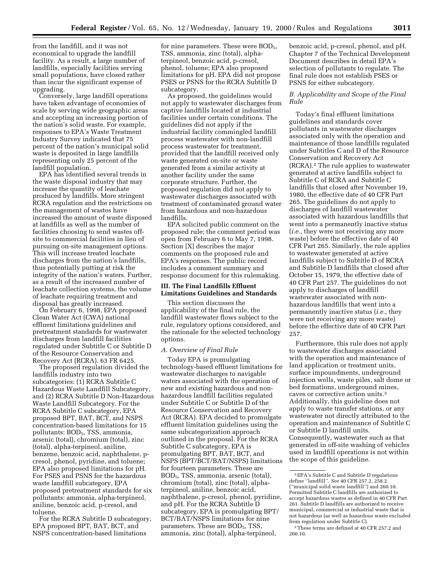from the landfill, and it was not economical to upgrade the landfill facility. As a result, a large number of landfills, especially facilities serving small populations, have closed rather than incur the significant expense of upgrading.

Conversely, large landfill operations have taken advantage of economies of scale by serving wide geographic areas and accepting an increasing portion of the nation's solid waste. For example, responses to EPA's Waste Treatment Industry Survey indicated that 75 percent of the nation's municipal solid waste is deposited in large landfills representing only 25 percent of the landfill population.

EPA has identified several trends in the waste disposal industry that may increase the quantity of leachate produced by landfills. More stringent RCRA regulation and the restrictions on the management of wastes have increased the amount of waste disposed at landfills as well as the number of facilities choosing to send wastes offsite to commercial facilities in lieu of pursuing on-site management options. This will increase treated leachate discharges from the nation's landfills, thus potentially putting at risk the integrity of the nation's waters. Further, as a result of the increased number of leachate collection systems, the volume of leachate requiring treatment and disposal has greatly increased.

On February 6, 1998, EPA proposed Clean Water Act (CWA) national effluent limitations guidelines and pretreatment standards for wastewater discharges from landfill facilities regulated under Subtitle C or Subtitle D of the Resource Conservation and Recovery Act (RCRA). 63 FR 6425.

The proposed regulation divided the landfills industry into two subcategories: (1) RCRA Subtitle C Hazardous Waste Landfill Subcategory, and (2) RCRA Subtitle D Non-Hazardous Waste Landfill Subcategory. For the RCRA Subtitle C subcategory, EPA proposed BPT, BAT, BCT, and NSPS concentration-based limitations for 15 pollutants: BOD<sub>5</sub>, TSS, ammonia, arsenic (total), chromium (total), zinc (total), alpha-terpineol, aniline, benzene, benzoic acid, naphthalene, pcresol, phenol, pyridine, and toluene; EPA also proposed limitations for pH. For PSES and PSNS for the hazardous waste landfill subcategory, EPA proposed pretreatment standards for six pollutants: ammonia, alpha-terpineol, aniline, benzoic acid, p-cresol, and toluene.

For the RCRA Subtitle D subcategory, EPA proposed BPT, BAT, BCT, and NSPS concentration-based limitations

for nine parameters. These were BOD<sub>5</sub>, TSS, ammonia, zinc (total), alphaterpineol, benzoic acid, p-cresol, phenol, toluene; EPA also proposed limitations for pH. EPA did not propose PSES or PSNS for the RCRA Subtitle D subcategory.

As proposed, the guidelines would not apply to wastewater discharges from captive landfills located at industrial facilities under certain conditions. The guidelines did not apply if the industrial facility commingled landfill process wastewater with non-landfill process wastewater for treatment, provided that the landfill received only waste generated on-site or waste generated from a similar activity at another facility under the same corporate structure. Further, the proposed regulation did not apply to wastewater discharges associated with treatment of contaminated ground water from hazardous and non-hazardous landfills.

EPA solicited public comment on the proposed rule; the comment period was open from February 6 to May 7, 1998. Section [X] describes the major comments on the proposed rule and EPA's responses. The public record includes a comment summary and response document for this rulemaking.

## **III. The Final Landfills Effluent Limitations Guidelines and Standards**

This section discusses the applicability of the final rule, the landfill wastewater flows subject to the rule, regulatory options considered, and the rationale for the selected technology options.

## *A. Overview of Final Rule*

Today EPA is promulgating technology-based effluent limitations for wastewater discharges to navigable waters associated with the operation of new and existing hazardous and nonhazardous landfill facilities regulated under Subtitle C or Subtitle D of the Resource Conservation and Recovery Act (RCRA). EPA decided to promulgate effluent limitation guidelines using the same subcategorization approach outlined in the proposal. For the RCRA Subtitle C subcategory, EPA is promulgating BPT, BAT, BCT, and NSPS (BPT/BCT/BAT/NSPS) limitations for fourteen parameters. These are BOD5, TSS, ammonia, arsenic (total), chromium (total), zinc (total), alphaterpineol, aniline, benzoic acid, naphthalene, p-cresol, phenol, pyridine, and pH. For the RCRA Subtitle D subcategory, EPA is promulgating BPT/ BCT/BAT/NSPS limitations for nine parameters. These are BOD<sub>5</sub>, TSS, ammonia, zinc (total), alpha-terpineol,

benzoic acid, p-cresol, phenol, and pH. Chapter 7 of the Technical Development Document describes in detail EPA's selection of pollutants to regulate. The final rule does not establish PSES or PSNS for either subcategory.

## *B. Applicability and Scope of the Final Rule*

Today's final effluent limitations guidelines and standards cover pollutants in wastewater discharges associated only with the operation and maintenance of those landfills regulated under Subtitles C and D of the Resource Conservation and Recovery Act (RCRA).2 The rule applies to wastewater generated at active landfills subject to Subtitle C of RCRA and Subtitle C landfills that closed after November 19, 1980, the effective date of 40 CFR Part 265. The guidelines do not apply to discharges of landfill wastewater associated with hazardous landfills that went into a permanently inactive status (*i.e.,* they were not receiving any more waste) before the effective date of 40 CFR Part 265. Similarly, the rule applies to wastewater generated at active landfills subject to Subtitle D of RCRA and Subtitle D landfills that closed after October 15, 1979, the effective date of 40 CFR Part 257. The guidelines do not apply to discharges of landfill wastewater associated with nonhazardous landfills that went into a permanently inactive status (*i.e.,* they were not receiving any more waste) before the effective date of 40 CFR Part 257.

Furthermore, this rule does not apply to wastewater discharges associated with the operation and maintenance of land application or treatment units, surface impoundments, underground injection wells, waste piles, salt dome or bed formations, underground mines, caves or corrective action units.3 Additionally, this guideline does not apply to waste transfer stations, or any wastewater not directly attributed to the operation and maintenance of Subtitle C or Subtitle D landfill units. Consequently, wastewater such as that generated in off-site washing of vehicles used in landfill operations is not within the scope of this guideline.

<sup>2</sup>EPA's Subtitle C and Subtitle D regulations define ''landfill''. *See* 40 CFR 257.2, 258.2 (''municipal solid waste landfill'') and 260.10. Permitted Subtitle C landfills are authorized to accept hazardous wastes as defined in 40 CFR Part 261. Subtitle D landfills are authorized to receive municipal, commercial or industrial waste that is not hazardous (as well as hazardous waste excluded from regulation under Subtitle C).

<sup>3</sup>These terms are defined at 40 CFR 257.2 and 260.10.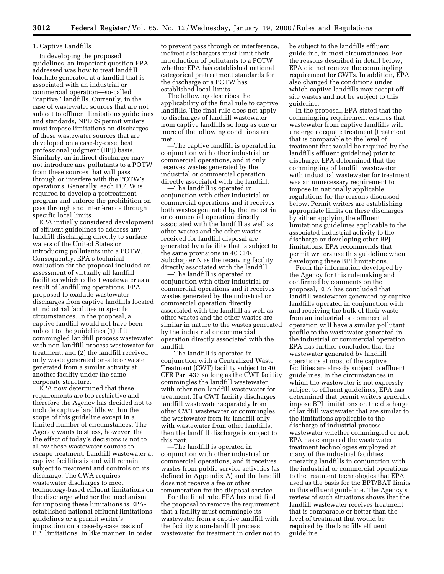## 1. Captive Landfills

In developing the proposed guidelines, an important question EPA addressed was how to treat landfill leachate generated at a landfill that is associated with an industrial or commercial operation—so-called ''captive'' landfills. Currently, in the case of wastewater sources that are not subject to effluent limitations guidelines and standards, NPDES permit writers must impose limitations on discharges of these wastewater sources that are developed on a case-by-case, best professional judgment (BPJ) basis. Similarly, an indirect discharger may not introduce any pollutants to a POTW from these sources that will pass through or interfere with the POTW's operations. Generally, each POTW is required to develop a pretreatment program and enforce the prohibition on pass through and interference through specific local limits.

EPA initially considered development of effluent guidelines to address any landfill discharging directly to surface waters of the United States or introducing pollutants into a POTW. Consequently, EPA's technical evaluation for the proposal included an assessment of virtually all landfill facilities which collect wastewater as a result of landfilling operations. EPA proposed to exclude wastewater discharges from captive landfills located at industrial facilities in specific circumstances. In the proposal, a captive landfill would not have been subject to the guidelines (1) if it commingled landfill process wastewater with non-landfill process wastewater for treatment, and (2) the landfill received only waste generated on-site or waste generated from a similar activity at another facility under the same corporate structure.

EPA now determined that these requirements are too restrictive and therefore the Agency has decided not to include captive landfills within the scope of this guideline except in a limited number of circumstances. The Agency wants to stress, however, that the effect of today's decisions is not to allow these wastewater sources to escape treatment. Landfill wastewater at captive facilities is and will remain subject to treatment and controls on its discharge. The CWA requires wastewater discharges to meet technology-based effluent limitations on the discharge whether the mechanism for imposing these limitations is EPAestablished national effluent limitations guidelines or a permit writer's imposition on a case-by-case basis of BPJ limitations. In like manner, in order

to prevent pass through or interference, indirect dischargers must limit their introduction of pollutants to a POTW whether EPA has established national categorical pretreatment standards for the discharge or a POTW has established local limits.

The following describes the applicability of the final rule to captive landfills. The final rule does not apply to discharges of landfill wastewater from captive landfills so long as one or more of the following conditions are met:

—The captive landfill is operated in conjunction with other industrial or commercial operations, and it only receives wastes generated by the industrial or commercial operation directly associated with the landfill.

—The landfill is operated in conjunction with other industrial or commercial operations and it receives both wastes generated by the industrial or commercial operation directly associated with the landfill as well as other wastes and the other wastes received for landfill disposal are generated by a facility that is subject to the same provisions in 40 CFR Subchapter N as the receiving facility directly associated with the landfill.

—The landfill is operated in conjunction with other industrial or commercial operations and it receives wastes generated by the industrial or commercial operation directly associated with the landfill as well as other wastes and the other wastes are similar in nature to the wastes generated by the industrial or commercial operation directly associated with the landfill.

—The landfill is operated in conjunction with a Centralized Waste Treatment (CWT) facility subject to 40 CFR Part 437 so long as the CWT facility commingles the landfill wastewater with other non-landfill wastewater for treatment. If a CWT facility discharges landfill wastewater separately from other CWT wastewater or commingles the wastewater from its landfill only with wastewater from other landfills, then the landfill discharge is subject to this part.

—The landfill is operated in conjunction with other industrial or commercial operations, and it receives wastes from public service activities (as defined in Appendix A) and the landfill does not receive a fee or other remuneration for the disposal service.

For the final rule, EPA has modified the proposal to remove the requirement that a facility must commingle its wastewater from a captive landfill with the facility's non-landfill process wastewater for treatment in order not to

be subject to the landfills effluent guideline, in most circumstances. For the reasons described in detail below, EPA did not remove the commingling requirement for CWTs. In addition, EPA also changed the conditions under which captive landfills may accept offsite wastes and not be subject to this guideline.

In the proposal, EPA stated that the commingling requirement ensures that wastewater from captive landfills will undergo adequate treatment (treatment that is comparable to the level of treatment that would be required by the landfills effluent guideline) prior to discharge. EPA determined that the commingling of landfill wastewater with industrial wastewater for treatment was an unnecessary requirement to impose in nationally applicable regulations for the reasons discussed below. Permit writers are establishing appropriate limits on these discharges by either applying the effluent limitations guidelines applicable to the associated industrial activity to the discharge or developing other BPJ limitations. EPA recommends that permit writers use this guideline when developing these BPJ limitations.

From the information developed by the Agency for this rulemaking and confirmed by comments on the proposal, EPA has concluded that landfill wastewater generated by captive landfills operated in conjunction with and receiving the bulk of their waste from an industrial or commercial operation will have a similar pollutant profile to the wastewater generated in the industrial or commercial operation. EPA has further concluded that the wastewater generated by landfill operations at most of the captive facilities are already subject to effluent guidelines. In the circumstances in which the wastewater is not expressly subject to effluent guidelines, EPA has determined that permit writers generally impose BPJ limitations on the discharge of landfill wastewater that are similar to the limitations applicable to the discharge of industrial process wastewater whether commingled or not. EPA has compared the wastewater treatment technologies employed at many of the industrial facilities operating landfills in conjunction with the industrial or commercial operations to the treatment technologies that EPA used as the basis for the BPT/BAT limits in this effluent guideline. The Agency's review of such situations shows that the landfill wastewater receives treatment that is comparable or better than the level of treatment that would be required by the landfills effluent guideline.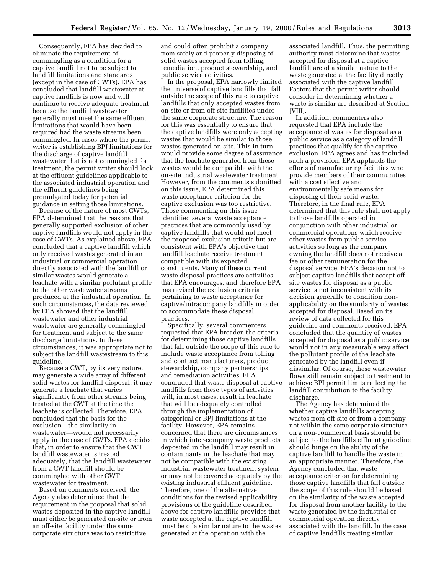Consequently, EPA has decided to eliminate the requirement of commingling as a condition for a captive landfill not to be subject to landfill limitations and standards (except in the case of CWTs). EPA has concluded that landfill wastewater at captive landfills is now and will continue to receive adequate treatment because the landfill wastewater generally must meet the same effluent limitations that would have been required had the waste streams been commingled. In cases where the permit writer is establishing BPJ limitations for the discharge of captive landfill wastewater that is not commingled for treatment, the permit writer should look at the effluent guidelines applicable to the associated industrial operation and the effluent guidelines being promulgated today for potential guidance in setting those limitations.

Because of the nature of most CWTs, EPA determined that the reasons that generally supported exclusion of other captive landfills would not apply in the case of CWTs. As explained above, EPA concluded that a captive landfill which only received wastes generated in an industrial or commercial operation directly associated with the landfill or similar wastes would generate a leachate with a similar pollutant profile to the other wastewater streams produced at the industrial operation. In such circumstances, the data reviewed by EPA showed that the landfill wastewater and other industrial wastewater are generally commingled for treatment and subject to the same discharge limitations. In these circumstances, it was appropriate not to subject the landfill wastestream to this guideline.

Because a CWT, by its very nature, may generate a wide array of different solid wastes for landfill disposal, it may generate a leachate that varies significantly from other streams being treated at the CWT at the time the leachate is collected. Therefore, EPA concluded that the basis for the exclusion—the similarity in wastewater—would not necessarily apply in the case of CWTs. EPA decided that, in order to ensure that the CWT landfill wastewater is treated adequately, that the landfill wastewater from a CWT landfill should be commingled with other CWT wastewater for treatment.

Based on comments received, the Agency also determined that the requirement in the proposal that solid wastes deposited in the captive landfill must either be generated on-site or from an off-site facility under the same corporate structure was too restrictive

and could often prohibit a company from safely and properly disposing of solid wastes accepted from tolling, remediation, product stewardship, and public service activities.

In the proposal, EPA narrowly limited the universe of captive landfills that fall outside the scope of this rule to captive landfills that only accepted wastes from on-site or from off-site facilities under the same corporate structure. The reason for this was essentially to ensure that the captive landfills were only accepting wastes that would be similar to those wastes generated on-site. This in turn would provide some degree of assurance that the leachate generated from these wastes would be compatible with the on-site industrial wastewater treatment. However, from the comments submitted on this issue, EPA determined this waste acceptance criterion for the captive exclusion was too restrictive. Those commenting on this issue identified several waste acceptance practices that are commonly used by captive landfills that would not meet the proposed exclusion criteria but are consistent with EPA's objective that landfill leachate receive treatment compatible with its expected constituents. Many of these current waste disposal practices are activities that EPA encourages, and therefore EPA has revised the exclusion criteria pertaining to waste acceptance for captive/intracompany landfills in order to accommodate these disposal practices.

Specifically, several commenters requested that EPA broaden the criteria for determining those captive landfills that fall outside the scope of this rule to include waste acceptance from tolling and contract manufacturers, product stewardship, company partnerships, and remediation activities. EPA concluded that waste disposal at captive landfills from these types of activities will, in most cases, result in leachate that will be adequately controlled through the implementation of categorical or BPJ limitations at the facility. However, EPA remains concerned that there are circumstances in which inter-company waste products deposited in the landfill may result in contaminants in the leachate that may not be compatible with the existing industrial wastewater treatment system or may not be covered adequately by the existing industrial effluent guideline. Therefore, one of the alternative conditions for the revised applicability provisions of the guideline described above for captive landfills provides that waste accepted at the captive landfill must be of a similar nature to the wastes generated at the operation with the

associated landfill. Thus, the permitting authority must determine that wastes accepted for disposal at a captive landfill are of a similar nature to the waste generated at the facility directly associated with the captive landfill. Factors that the permit writer should consider in determining whether a waste is similar are described at Section [VIII].

In addition, commenters also requested that EPA include the acceptance of wastes for disposal as a public service as a category of landfill practices that qualify for the captive exclusion. EPA agrees and has included such a provision. EPA applauds the efforts of manufacturing facilities who provide members of their communities with a cost effective and environmentally safe means for disposing of their solid waste. Therefore, in the final rule, EPA determined that this rule shall not apply to those landfills operated in conjunction with other industrial or commercial operations which receive other wastes from public service activities so long as the company owning the landfill does not receive a fee or other remuneration for the disposal service. EPA's decision not to subject captive landfills that accept offsite wastes for disposal as a public service is not inconsistent with its decision generally to condition nonapplicability on the similarity of wastes accepted for disposal. Based on its review of data collected for this guideline and comments received, EPA concluded that the quantity of wastes accepted for disposal as a public service would not in any measurable way affect the pollutant profile of the leachate generated by the landfill even if dissimilar. Of course, these wastewater flows still remain subject to treatment to achieve BPJ permit limits reflecting the landfill contribution to the facility discharge.

The Agency has determined that whether captive landfills accepting wastes from off-site or from a company not within the same corporate structure on a non-commercial basis should be subject to the landfills effluent guideline should hinge on the ability of the captive landfill to handle the waste in an appropriate manner. Therefore, the Agency concluded that waste acceptance criterion for determining those captive landfills that fall outside the scope of this rule should be based on the similarity of the waste accepted for disposal from another facility to the waste generated by the industrial or commercial operation directly associated with the landfill. In the case of captive landfills treating similar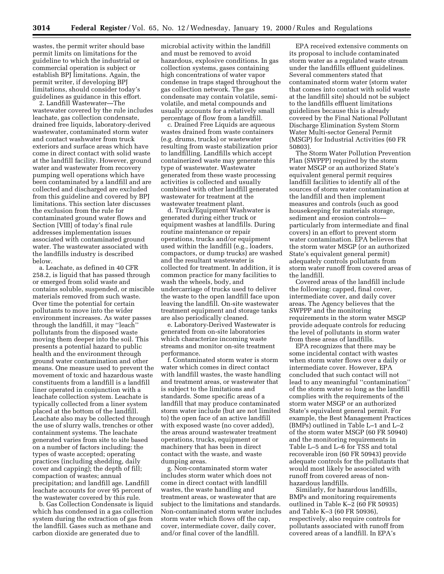wastes, the permit writer should base permit limits on limitations for the guideline to which the industrial or commercial operation is subject or establish BPJ limitations. Again, the permit writer, if developing BPJ limitations, should consider today's guidelines as guidance in this effort. 2. Landfill Wastewater—The

wastewater covered by the rule includes leachate, gas collection condensate, drained free liquids, laboratory-derived wastewater, contaminated storm water and contact washwater from truck exteriors and surface areas which have come in direct contact with solid waste at the landfill facility. However, ground water and wastewater from recovery pumping well operations which have been contaminated by a landfill and are collected and discharged are excluded from this guideline and covered by BPJ limitations. This section later discusses the exclusion from the rule for contaminated ground water flows and Section [VIII] of today's final rule addresses implementation issues associated with contaminated ground water. The wastewater associated with the landfills industry is described below.

a. Leachate, as defined in 40 CFR 258.2, is liquid that has passed through or emerged from solid waste and contains soluble, suspended, or miscible materials removed from such waste. Over time the potential for certain pollutants to move into the wider environment increases. As water passes through the landfill, it may ''leach'' pollutants from the disposed waste moving them deeper into the soil. This presents a potential hazard to public health and the environment through ground water contamination and other means. One measure used to prevent the movement of toxic and hazardous waste constituents from a landfill is a landfill liner operated in conjunction with a leachate collection system. Leachate is typically collected from a liner system placed at the bottom of the landfill. Leachate also may be collected through the use of slurry walls, trenches or other containment systems. The leachate generated varies from site to site based on a number of factors including: the types of waste accepted; operating practices (including shedding, daily cover and capping); the depth of fill; compaction of wastes; annual precipitation; and landfill age. Landfill leachate accounts for over 95 percent of the wastewater covered by this rule.

b. Gas Collection Condensate is liquid which has condensed in a gas collection system during the extraction of gas from the landfill. Gases such as methane and carbon dioxide are generated due to

microbial activity within the landfill and must be removed to avoid hazardous, explosive conditions. In gas collection systems, gases containing high concentrations of water vapor condense in traps staged throughout the gas collection network. The gas condensate may contain volatile, semivolatile, and metal compounds and usually accounts for a relatively small percentage of flow from a landfill.

c. Drained Free Liquids are aqueous wastes drained from waste containers (e.g. drums, trucks) or wastewater resulting from waste stabilization prior to landfilling. Landfills which accept containerized waste may generate this type of wastewater. Wastewater generated from these waste processing activities is collected and usually combined with other landfill generated wastewater for treatment at the wastewater treatment plant.

d. Truck/Equipment Washwater is generated during either truck or equipment washes at landfills. During routine maintenance or repair operations, trucks and/or equipment used within the landfill (e.g., loaders, compactors, or dump trucks) are washed and the resultant wastewater is collected for treatment. In addition, it is common practice for many facilities to wash the wheels, body, and undercarriage of trucks used to deliver the waste to the open landfill face upon leaving the landfill. On-site wastewater treatment equipment and storage tanks are also periodically cleaned.

e. Laboratory-Derived Wastewater is generated from on-site laboratories which characterize incoming waste streams and monitor on-site treatment performance.

f. Contaminated storm water is storm water which comes in direct contact with landfill wastes, the waste handling and treatment areas, or wastewater that is subject to the limitations and standards. Some specific areas of a landfill that may produce contaminated storm water include (but are not limited to) the open face of an active landfill with exposed waste (no cover added), the areas around wastewater treatment operations, trucks, equipment or machinery that has been in direct contact with the waste, and waste dumping areas.

g. Non-contaminated storm water includes storm water which does not come in direct contact with landfill wastes, the waste handling and treatment areas, or wastewater that are subject to the limitations and standards. Non-contaminated storm water includes storm water which flows off the cap, cover, intermediate cover, daily cover, and/or final cover of the landfill.

EPA received extensive comments on its proposal to include contaminated storm water as a regulated waste stream under the landfills effluent guidelines. Several commenters stated that contaminated storm water (storm water that comes into contact with solid waste at the landfill site) should not be subject to the landfills effluent limitations guidelines because this is already covered by the Final National Pollutant Discharge Elimination System Storm Water Multi-sector General Permit (MSGP) for Industrial Activities (60 FR 50803).

The Storm Water Pollution Prevention Plan (SWPPP) required by the storm water MSGP or an authorized State's equivalent general permit requires landfill facilities to identify all of the sources of storm water contamination at the landfill and then implement measures and controls (such as good housekeeping for materials storage, sediment and erosion controls particularly from intermediate and final covers) in an effort to prevent storm water contamination. EPA believes that the storm water MSGP (or an authorized State's equivalent general permit) adequately controls pollutants from storm water runoff from covered areas of the landfill.

Covered areas of the landfill include the following: capped, final cover, intermediate cover, and daily cover areas. The Agency believes that the SWPPP and the monitoring requirements in the storm water MSGP provide adequate controls for reducing the level of pollutants in storm water from these areas of landfills.

EPA recognizes that there may be some incidental contact with wastes when storm water flows over a daily or intermediate cover. However, EPA concluded that such contact will not lead to any meaningful ''contamination'' of the storm water so long as the landfill complies with the requirements of the storm water MSGP or an authorized State's equivalent general permit. For example, the Best Management Practices (BMPs) outlined in Table L–1 and L–2 of the storm water MSGP (60 FR 50940) and the monitoring requirements in Table L–5 and L–6 for TSS and total recoverable iron (60 FR 50943) provide adequate controls for the pollutants that would most likely be associated with runoff from covered areas of nonhazardous landfills.

Similarly, for hazardous landfills, BMPs and monitoring requirements outlined in Table K–2 (60 FR 50935) and Table K–3 (60 FR 50936), respectively, also require controls for pollutants associated with runoff from covered areas of a landfill. In EPA's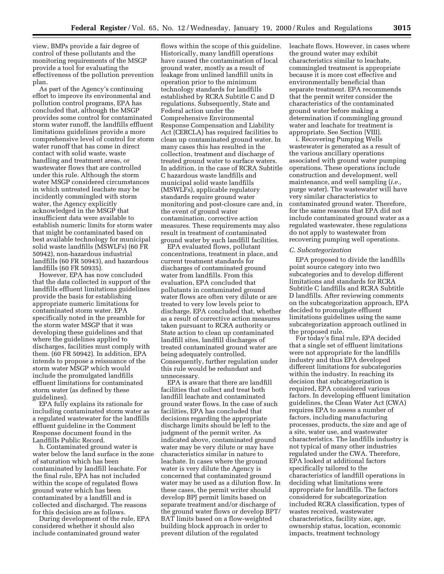view, BMPs provide a fair degree of control of these pollutants and the monitoring requirements of the MSGP provide a tool for evaluating the effectiveness of the pollution prevention plan.

As part of the Agency's continuing effort to improve its environmental and pollution control programs, EPA has concluded that, although the MSGP provides some control for contaminated storm water runoff, the landfills effluent limitations guidelines provide a more comprehensive level of control for storm water runoff that has come in direct contact with solid waste, waste handling and treatment areas, or wastewater flows that are controlled under this rule. Although the storm water MSGP considered circumstances in which untreated leachate may be incidently commingled with storm water, the Agency explicitly acknowledged in the MSGP that insufficient data were available to establish numeric limits for storm water that might be contaminated based on best available technology for municipal solid waste landfills (MSWLFs) (60 FR 50942), non-hazardous industrial landfills (60 FR 50943), and hazardous landfills (60 FR 50935).

However, EPA has now concluded that the data collected in support of the landfills effluent limitations guidelines provide the basis for establishing appropriate numeric limitations for contaminated storm water. EPA specifically noted in the preamble for the storm water MSGP that it was developing these guidelines and that where the guidelines applied to discharges, facilities must comply with them. (60 FR 50942). In addition, EPA intends to propose a reissuance of the storm water MSGP which would include the promulgated landfills effluent limitations for contaminated storm water (as defined by these guidelines).

EPA fully explains its rationale for including contaminated storm water as a regulated wastewater for the landfills effluent guideline in the Comment Response document found in the Landfills Public Record.

h. Contaminated ground water is water below the land surface in the zone of saturation which has been contaminated by landfill leachate. For the final rule, EPA has not included within the scope of regulated flows ground water which has been contaminated by a landfill and is collected and discharged. The reasons for this decision are as follows.

During development of the rule, EPA considered whether it should also include contaminated ground water

flows within the scope of this guideline. Historically, many landfill operations have caused the contamination of local ground water, mostly as a result of leakage from unlined landfill units in operation prior to the minimum technology standards for landfills established by RCRA Subtitle C and D regulations. Subsequently, State and Federal action under the Comprehensive Environmental Response Compensation and Liability Act (CERCLA) has required facilities to clean up contaminated ground water. In many cases this has resulted in the collection, treatment and discharge of treated ground water to surface waters. In addition, in the case of RCRA Subtitle C hazardous waste landfills and municipal solid waste landfills (MSWLFs), applicable regulatory standards require ground water monitoring and post-closure care and, in the event of ground water contamination, corrective action measures. These requirements may also result in treatment of contaminated ground water by such landfill facilities.

EPA evaluated flows, pollutant concentrations, treatment in place, and current treatment standards for discharges of contaminated ground water from landfills. From this evaluation, EPA concluded that pollutants in contaminated ground water flows are often very dilute or are treated to very low levels prior to discharge. EPA concluded that, whether as a result of corrective action measures taken pursuant to RCRA authority or State action to clean up contaminated landfill sites, landfill discharges of treated contaminated ground water are being adequately controlled. Consequently, further regulation under this rule would be redundant and unnecessary.

EPA is aware that there are landfill facilities that collect and treat both landfill leachate and contaminated ground water flows. In the case of such facilities, EPA has concluded that decisions regarding the appropriate discharge limits should be left to the judgment of the permit writer. As indicated above, contaminated ground water may be very dilute or may have characteristics similar in nature to leachate. In cases where the ground water is very dilute the Agency is concerned that contaminated ground water may be used as a dilution flow. In these cases, the permit writer should develop BPJ permit limits based on separate treatment and/or discharge of the ground water flows or develop BPT/ BAT limits based on a flow-weighted building block approach in order to prevent dilution of the regulated

leachate flows. However, in cases where the ground water may exhibit characteristics similar to leachate, commingled treatment is appropriate because it is more cost effective and environmentally beneficial than separate treatment. EPA recommends that the permit writer consider the characteristics of the contaminated ground water before making a determination if commingling ground water and leachate for treatment is appropriate. See Section [VIII].

i. Recovering Pumping Wells wastewater is generated as a result of the various ancillary operations associated with ground water pumping operations. These operations include construction and development, well maintenance, and well sampling (*i.e.,* purge water). The wastewater will have very similar characteristics to contaminated ground water. Therefore, for the same reasons that EPA did not include contaminated ground water as a regulated wastewater, these regulations do not apply to wastewater from recovering pumping well operations.

## *C. Subcategorization*

EPA proposed to divide the landfills point source category into two subcategories and to develop different limitations and standards for RCRA Subtitle C landfills and RCRA Subtitle D landfills. After reviewing comments on the subcategorization approach, EPA decided to promulgate effluent limitations guidelines using the same subcategorization approach outlined in the proposed rule.

For today's final rule, EPA decided that a single set of effluent limitations were not appropriate for the landfills industry and thus EPA developed different limitations for subcategories within the industry. In reaching its decision that subcategorization is required, EPA considered various factors. In developing effluent limitation guidelines, the Clean Water Act (CWA) requires EPA to assess a number of factors, including manufacturing processes, products, the size and age of a site, water use, and wastewater characteristics. The landfills industry is not typical of many other industries regulated under the CWA. Therefore, EPA looked at additional factors specifically tailored to the characteristics of landfill operations in deciding what limitations were appropriate for landfills. The factors considered for subcategorization included RCRA classification, types of wastes received, wastewater characteristics, facility size, age, ownership status, location, economic impacts, treatment technology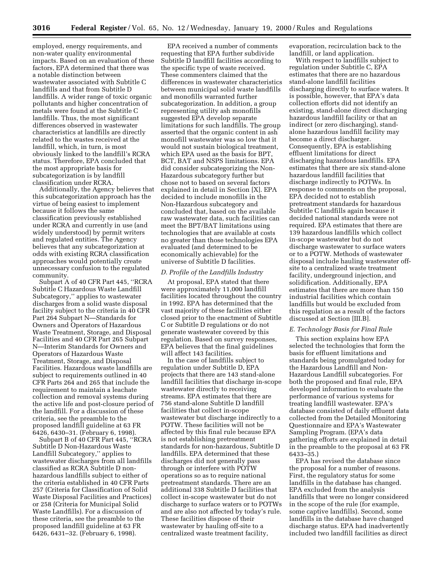employed, energy requirements, and non-water quality environmental impacts. Based on an evaluation of these factors, EPA determined that there was a notable distinction between wastewater associated with Subtitle C landfills and that from Subtitle D landfills. A wider range of toxic organic pollutants and higher concentration of metals were found at the Subtitle C landfills. Thus, the most significant differences observed in wastewater characteristics at landfills are directly related to the wastes received at the landfill, which, in turn, is most obviously linked to the landfill's RCRA status. Therefore, EPA concluded that the most appropriate basis for subcategorization is by landfill classification under RCRA.

Additionally, the Agency believes that this subcategorization approach has the virtue of being easiest to implement because it follows the same classification previously established under RCRA and currently in use (and widely understood) by permit writers and regulated entities. The Agency believes that any subcategorization at odds with existing RCRA classification approaches would potentially create unnecessary confusion to the regulated community.

Subpart A of 40 CFR Part 445, ''RCRA Subtitle C Hazardous Waste Landfill Subcategory,'' applies to wastewater discharges from a solid waste disposal facility subject to the criteria in 40 CFR Part 264 Subpart N—Standards for Owners and Operators of Hazardous Waste Treatment, Storage, and Disposal Facilities and 40 CFR Part 265 Subpart N—Interim Standards for Owners and Operators of Hazardous Waste Treatment, Storage, and Disposal Facilities. Hazardous waste landfills are subject to requirements outlined in 40 CFR Parts 264 and 265 that include the requirement to maintain a leachate collection and removal systems during the active life and post-closure period of the landfill. For a discussion of these criteria, see the preamble to the proposed landfill guideline at 63 FR 6426, 6430–31. (February 6, 1998).

Subpart B of 40 CFR Part 445, ''RCRA Subtitle D Non-Hazardous Waste Landfill Subcategory,'' applies to wastewater discharges from all landfills classified as RCRA Subtitle D nonhazardous landfills subject to either of the criteria established in 40 CFR Parts 257 (Criteria for Classification of Solid Waste Disposal Facilities and Practices) or 258 (Criteria for Municipal Solid Waste Landfills). For a discussion of these criteria, see the preamble to the proposed landfill guideline at 63 FR 6426, 6431–32. (February 6, 1998).

EPA received a number of comments requesting that EPA further subdivide Subtitle D landfill facilities according to the specific type of waste received. These commenters claimed that the differences in wastewater characteristics between municipal solid waste landfills and monofills warranted further subcategorization. In addition, a group representing utility ash monofills suggested EPA develop separate limitations for such landfills. The group asserted that the organic content in ash monofill wastewater was so low that it would not sustain biological treatment, which EPA used as the basis for BPT, BCT, BAT and NSPS limitations. EPA did consider subcategorizing the Non-Hazardous subcategory further but chose not to based on several factors explained in detail in Section [X]. EPA decided to include monofills in the Non-Hazardous subcategory and concluded that, based on the available raw wastewater data, such facilities can meet the BPT/BAT limitations using technologies that are available at costs no greater than those technologies EPA evaluated (and determined to be economically achievable) for the universe of Subtitle D facilities.

#### *D. Profile of the Landfills Industry*

At proposal, EPA stated that there were approximately 11,000 landfill facilities located throughout the country in 1992. EPA has determined that the vast majority of these facilities either closed prior to the enactment of Subtitle C or Subtitle D regulations or do not generate wastewater covered by this regulation. Based on survey responses, EPA believes that the final guidelines will affect 143 facilities.

In the case of landfills subject to regulation under Subtitle D, EPA projects that there are 143 stand-alone landfill facilities that discharge in-scope wastewater directly to receiving streams. EPA estimates that there are 756 stand-alone Subtitle D landfill facilities that collect in-scope wastewater but discharge indirectly to a POTW. These facilities will not be affected by this final rule because EPA is not establishing pretreatment standards for non-hazardous, Subtitle D landfills. EPA determined that these discharges did not generally pass through or interfere with POTW operations so as to require national pretreatment standards. There are an additional 338 Subtitle D facilities that collect in-scope wastewater but do not discharge to surface waters or to POTWs and are also not affected by today's rule. These facilities dispose of their wastewater by hauling off-site to a centralized waste treatment facility,

evaporation, recirculation back to the landfill, or land application.

With respect to landfills subject to regulation under Subtitle C, EPA estimates that there are no hazardous stand-alone landfill facilities discharging directly to surface waters. It is possible, however, that EPA's data collection efforts did not identify an existing, stand-alone direct discharging hazardous landfill facility or that an indirect (or zero discharging), standalone hazardous landfill facility may become a direct discharger. Consequently, EPA is establishing effluent limitations for direct discharging hazardous landfills. EPA estimates that there are six stand-alone hazardous landfill facilities that discharge indirectly to POTWs. In response to comments on the proposal, EPA decided not to establish pretreatment standards for hazardous Subtitle C landfills again because it decided national standards were not required. EPA estimates that there are 139 hazardous landfills which collect in-scope wastewater but do not discharge wastewater to surface waters or to a POTW. Methods of wastewater disposal include hauling wastewater offsite to a centralized waste treatment facility, underground injection, and solidification. Additionally, EPA estimates that there are more than 150 industrial facilities which contain landfills but would be excluded from this regulation as a result of the factors discussed at Section [III.B].

#### *E. Technology Basis for Final Rule*

This section explains how EPA selected the technologies that form the basis for effluent limitations and standards being promulgated today for the Hazardous Landfill and Non-Hazardous Landfill subcategories. For both the proposed and final rule, EPA developed information to evaluate the performance of various systems for treating landfill wastewater. EPA's database consisted of daily effluent data collected from the Detailed Monitoring Questionnaire and EPA's Wastewater Sampling Program. (EPA's data gathering efforts are explained in detail in the preamble to the proposal at 63 FR 6433–35.)

EPA has revised the database since the proposal for a number of reasons. First, the regulatory status for some landfills in the database has changed. EPA excluded from the analysis landfills that were no longer considered in the scope of the rule (for example, some captive landfills). Second, some landfills in the database have changed discharge status. EPA had inadvertently included two landfill facilities as direct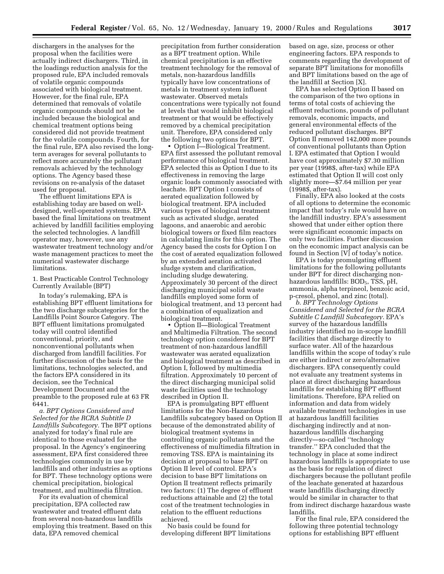dischargers in the analyses for the proposal when the facilities were actually indirect dischargers. Third, in the loadings reduction analysis for the proposed rule, EPA included removals of volatile organic compounds associated with biological treatment. However, for the final rule, EPA determined that removals of volatile organic compounds should not be included because the biological and chemical treatment options being considered did not provide treatment for the volatile compounds. Fourth, for the final rule, EPA also revised the longterm averages for several pollutants to reflect more accurately the pollutant removals achieved by the technology options. The Agency based these revisions on re-analysis of the dataset used for proposal.

The effluent limitations EPA is establishing today are based on welldesigned, well-operated systems. EPA based the final limitations on treatment achieved by landfill facilities employing the selected technologies. A landfill operator may, however, use any wastewater treatment technology and/or waste management practices to meet the numerical wastewater discharge limitations.

1. Best Practicable Control Technology Currently Available (BPT)

In today's rulemaking, EPA is establishing BPT effluent limitations for the two discharge subcategories for the Landfills Point Source Category. The BPT effluent limitations promulgated today will control identified conventional, priority, and nonconventional pollutants when discharged from landfill facilities. For further discussion of the basis for the limitations, technologies selected, and the factors EPA considered in its decision, see the Technical Development Document and the preamble to the proposed rule at 63 FR 6441.

*a. BPT Options Considered and Selected for the RCRA Subtitle D Landfills Subcategory.* The BPT options analyzed for today's final rule are identical to those evaluated for the proposal. In the Agency's engineering assessment, EPA first considered three technologies commonly in use by landfills and other industries as options for BPT. These technology options were chemical precipitation, biological treatment, and multimedia filtration.

For its evaluation of chemical precipitation, EPA collected raw wastewater and treated effluent data from several non-hazardous landfills employing this treatment. Based on this data, EPA removed chemical

precipitation from further consideration as a BPT treatment option. While chemical precipitation is an effective treatment technology for the removal of metals, non-hazardous landfills typically have low concentrations of metals in treatment system influent wastewater. Observed metals concentrations were typically not found at levels that would inhibit biological treatment or that would be effectively removed by a chemical precipitation unit. Therefore, EPA considered only the following two options for BPT.

• Option I—Biological Treatment. EPA first assessed the pollutant removal performance of biological treatment. EPA selected this as Option I due to its effectiveness in removing the large organic loads commonly associated with leachate. BPT Option I consists of aerated equalization followed by biological treatment. EPA included various types of biological treatment such as activated sludge, aerated lagoons, and anaerobic and aerobic biological towers or fixed film reactors in calculating limits for this option. The Agency based the costs for Option I on the cost of aerated equalization followed by an extended aeration activated sludge system and clarification, including sludge dewatering. Approximately 30 percent of the direct discharging municipal solid waste landfills employed some form of biological treatment, and 13 percent had a combination of equalization and biological treatment.

• Option II—Biological Treatment and Multimedia Filtration. The second technology option considered for BPT treatment of non-hazardous landfill wastewater was aerated equalization and biological treatment as described in Option I, followed by multimedia filtration. Approximately 10 percent of the direct discharging municipal solid waste facilities used the technology described in Option II.

EPA is promulgating BPT effluent limitations for the Non-Hazardous Landfills subcategory based on Option II because of the demonstrated ability of biological treatment systems in controlling organic pollutants and the effectiveness of multimedia filtration in removing TSS. EPA is maintaining its decision at proposal to base BPT on Option II level of control. EPA's decision to base BPT limitations on Option II treatment reflects primarily two factors: (1) The degree of effluent reductions attainable and (2) the total cost of the treatment technologies in relation to the effluent reductions achieved.

No basis could be found for developing different BPT limitations based on age, size, process or other engineering factors. EPA responds to comments regarding the development of separate BPT limitations for monofills and BPT limitations based on the age of the landfill at Section [X].

EPA has selected Option II based on the comparison of the two options in terms of total costs of achieving the effluent reductions, pounds of pollutant removals, economic impacts, and general environmental effects of the reduced pollutant discharges. BPT Option II removed 142,000 more pounds of conventional pollutants than Option I. EPA estimated that Option I would have cost approximately \$7.30 million per year (1998\$, after-tax) while EPA estimated that Option II will cost only slightly more—\$7.64 million per year (1998\$, after-tax).

Finally, EPA also looked at the costs of all options to determine the economic impact that today's rule would have on the landfill industry. EPA's assessment showed that under either option there were significant economic impacts on only two facilities. Further discussion on the economic impact analysis can be found in Section [V] of today's notice.

EPA is today promulgating effluent limitations for the following pollutants under BPT for direct discharging nonhazardous landfills: BOD<sub>5</sub>, TSS, pH, ammonia, alpha terpineol, benzoic acid, p-cresol, phenol, and zinc (total).

*b. BPT Technology Options Considered and Selected for the RCRA Subtitle C Landfill Subcategory.* EPA's survey of the hazardous landfills industry identified no in-scope landfill facilities that discharge directly to surface water. All of the hazardous landfills within the scope of today's rule are either indirect or zero/alternative dischargers. EPA consequently could not evaluate any treatment systems in place at direct discharging hazardous landfills for establishing BPT effluent limitations. Therefore, EPA relied on information and data from widely available treatment technologies in use at hazardous landfill facilities discharging indirectly and at nonhazardous landfills discharging directly—so-called ''technology transfer.'' EPA concluded that the technology in place at some indirect hazardous landfills is appropriate to use as the basis for regulation of direct dischargers because the pollutant profile of the leachate generated at hazardous waste landfills discharging directly would be similar in character to that from indirect discharge hazardous waste landfills.

For the final rule, EPA considered the following three potential technology options for establishing BPT effluent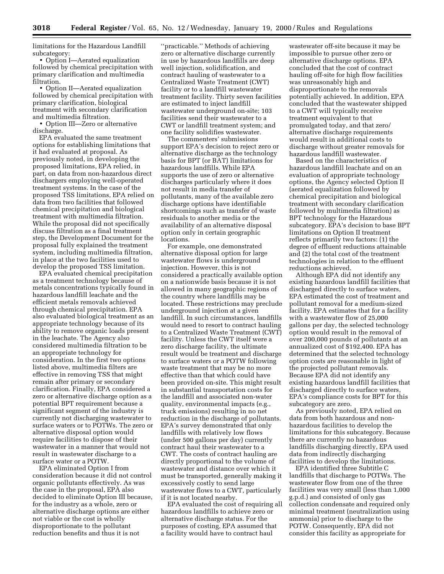limitations for the Hazardous Landfill subcategory:

• Option I—Aerated equalization followed by chemical precipitation with primary clarification and multimedia filtration.

• Option II—Aerated equalization followed by chemical precipitation with primary clarification, biological treatment with secondary clarification and multimedia filtration.

• Option III—Zero or alternative discharge.

EPA evaluated the same treatment options for establishing limitations that it had evaluated at proposal. As previously noted, in developing the proposed limitations, EPA relied, in part, on data from non-hazardous direct dischargers employing well-operated treatment systems. In the case of the proposed TSS limitations, EPA relied on data from two facilities that followed chemical precipitation and biological treatment with multimedia filtration. While the proposal did not specifically discuss filtration as a final treatment step, the Development Document for the proposal fully explained the treatment system, including multimedia filtration, in place at the two facilities used to develop the proposed TSS limitation.

EPA evaluated chemical precipitation as a treatment technology because of metals concentrations typically found in hazardous landfill leachate and the efficient metals removals achieved through chemical precipitation. EPA also evaluated biological treatment as an appropriate technology because of its ability to remove organic loads present in the leachate. The Agency also considered multimedia filtration to be an appropriate technology for consideration. In the first two options listed above, multimedia filters are effective in removing TSS that might remain after primary or secondary clarification. Finally, EPA considered a zero or alternative discharge option as a potential BPT requirement because a significant segment of the industry is currently not discharging wastewater to surface waters or to POTWs. The zero or alternative disposal option would require facilities to dispose of their wastewater in a manner that would not result in wastewater discharge to a surface water or a POTW.

EPA eliminated Option I from consideration because it did not control organic pollutants effectively. As was the case in the proposal, EPA also decided to eliminate Option III because, for the industry as a whole, zero or alternative discharge options are either not viable or the cost is wholly disproportionate to the pollutant reduction benefits and thus it is not

''practicable.'' Methods of achieving zero or alternative discharge currently in use by hazardous landfills are deep well injection, solidification, and contract hauling of wastewater to a Centralized Waste Treatment (CWT) facility or to a landfill wastewater treatment facility. Thirty seven facilities are estimated to inject landfill wastewater underground on-site; 103 facilities send their wastewater to a CWT or landfill treatment system; and one facility solidifies wastewater.

The commenters' submissions support EPA's decision to reject zero or alternative discharge as the technology basis for BPT (or BAT) limitations for hazardous landfills. While EPA supports the use of zero or alternative discharges particularly where it does not result in media transfer of pollutants, many of the available zero discharge options have identifiable shortcomings such as transfer of waste residuals to another media or the availability of an alternative disposal option only in certain geographic locations.

For example, one demonstrated alternative disposal option for large wastewater flows is underground injection. However, this is not considered a practically available option on a nationwide basis because it is not allowed in many geographic regions of the country where landfills may be located. These restrictions may preclude underground injection at a given landfill. In such circumstances, landfills would need to resort to contract hauling to a Centralized Waste Treatment (CWT) facility. Unless the CWT itself were a zero discharge facility, the ultimate result would be treatment and discharge to surface waters or a POTW following waste treatment that may be no more effective than that which could have been provided on-site. This might result in substantial transportation costs for the landfill and associated non-water quality, environmental impacts (e.g., truck emissions) resulting in no net reduction in the discharge of pollutants. EPA's survey demonstrated that only landfills with relatively low flows (under 500 gallons per day) currently contract haul their wastewater to a CWT. The costs of contract hauling are directly proportional to the volume of wastewater and distance over which it must be transported, generally making it excessively costly to send large wastewater flows to a CWT, particularly if it is not located nearby.

EPA evaluated the cost of requiring all hazardous landfills to achieve zero or alternative discharge status. For the purposes of costing, EPA assumed that a facility would have to contract haul

wastewater off-site because it may be impossible to pursue other zero or alternative discharge options. EPA concluded that the cost of contract hauling off-site for high flow facilities was unreasonably high and disproportionate to the removals potentially achieved. In addition, EPA concluded that the wastewater shipped to a CWT will typically receive treatment equivalent to that promulgated today, and that zero/ alternative discharge requirements would result in additional costs to discharge without greater removals for hazardous landfill wastewater.

Based on the characteristics of hazardous landfill leachate and on an evaluation of appropriate technology options, the Agency selected Option II (aerated equalization followed by chemical precipitation and biological treatment with secondary clarification followed by multimedia filtration) as BPT technology for the Hazardous subcategory. EPA's decision to base BPT limitations on Option II treatment reflects primarily two factors: (1) the degree of effluent reductions attainable and (2) the total cost of the treatment technologies in relation to the effluent reductions achieved.

Although EPA did not identify any existing hazardous landfill facilities that discharged directly to surface waters, EPA estimated the cost of treatment and pollutant removal for a medium-sized facility. EPA estimates that for a facility with a wastewater flow of 25,000 gallons per day, the selected technology option would result in the removal of over 200,000 pounds of pollutants at an annualized cost of \$192,400. EPA has determined that the selected technology option costs are reasonable in light of the projected pollutant removals. Because EPA did not identify any existing hazardous landfill facilities that discharged directly to surface waters, EPA's compliance costs for BPT for this subcategory are zero.

As previously noted, EPA relied on data from both hazardous and nonhazardous facilities to develop the limitations for this subcategory. Because there are currently no hazardous landfills discharging directly, EPA used data from indirectly discharging facilities to develop the limitations.

EPA identified three Subtitle C landfills that discharge to POTWs. The wastewater flow from one of the three facilities was very small (less than 1,000 g.p.d.) and consisted of only gas collection condensate and required only minimal treatment (neutralization using ammonia) prior to discharge to the POTW. Consequently, EPA did not consider this facility as appropriate for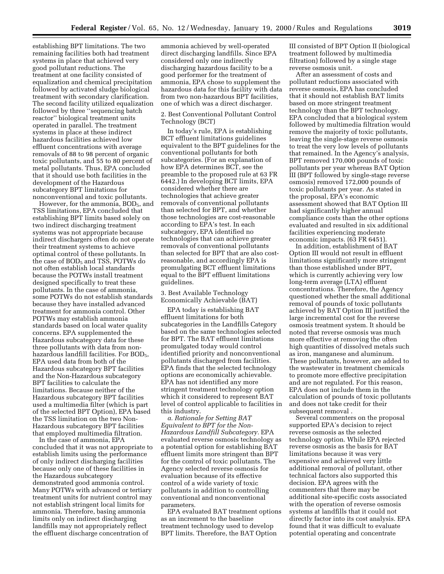establishing BPT limitations. The two remaining facilities both had treatment systems in place that achieved very good pollutant reductions. The treatment at one facility consisted of equalization and chemical precipitation followed by activated sludge biological treatment with secondary clarification. The second facility utilized equalization followed by three ''sequencing batch reactor'' biological treatment units operated in parallel. The treatment systems in place at these indirect hazardous facilities achieved low effluent concentrations with average removals of 88 to 98 percent of organic toxic pollutants, and 55 to 80 percent of metal pollutants. Thus, EPA concluded that it should use both facilities in the development of the Hazardous subcategory BPT limitations for nonconventional and toxic pollutants.

However, for the ammonia, BOD<sub>5</sub>, and TSS limitations, EPA concluded that establishing BPT limits based solely on two indirect discharging treatment systems was not appropriate because indirect dischargers often do not operate their treatment systems to achieve optimal control of these pollutants. In the case of BOD<sub>5</sub> and TSS, POTWs do not often establish local standards because the POTWs install treatment designed specifically to treat these pollutants. In the case of ammonia, some POTWs do not establish standards because they have installed advanced treatment for ammonia control. Other POTWs may establish ammonia standards based on local water quality concerns. EPA supplemented the Hazardous subcategory data for these three pollutants with data from nonhazardous landfill facilities. For BOD<sub>5</sub>, EPA used data from both of the Hazardous subcategory BPT facilities and the Non-Hazardous subcategory BPT facilities to calculate the limitations. Because neither of the Hazardous subcategory BPT facilities used a multimedia filter (which is part of the selected BPT Option), EPA based the TSS limitation on the two Non-Hazardous subcategory BPT facilities that employed multimedia filtration.

In the case of ammonia, EPA concluded that it was not appropriate to establish limits using the performance of only indirect discharging facilities because only one of these facilities in the Hazardous subcategory demonstrated good ammonia control. Many POTWs with advanced or tertiary treatment units for nutrient control may not establish stringent local limits for ammonia. Therefore, basing ammonia limits only on indirect discharging landfills may not appropriately reflect the effluent discharge concentration of

ammonia achieved by well-operated direct discharging landfills. Since EPA considered only one indirectly discharging hazardous facility to be a good performer for the treatment of ammonia, EPA chose to supplement the hazardous data for this facility with data from two non-hazardous BPT facilities, one of which was a direct discharger.

## 2. Best Conventional Pollutant Control Technology (BCT)

In today's rule, EPA is establishing BCT effluent limitations guidelines equivalent to the BPT guidelines for the conventional pollutants for both subcategories. (For an explanation of how EPA determines BCT, see the preamble to the proposed rule at 63 FR 6442.) In developing BCT limits, EPA considered whether there are technologies that achieve greater removals of conventional pollutants than selected for BPT, and whether those technologies are cost-reasonable according to EPA's test. In each subcategory, EPA identified no technologies that can achieve greater removals of conventional pollutants than selected for BPT that are also costreasonable, and accordingly EPA is promulgating BCT effluent limitations equal to the BPT effluent limitations guidelines.

3. Best Available Technology Economically Achievable (BAT)

EPA today is establishing BAT effluent limitations for both subcategories in the Landfills Category based on the same technologies selected for BPT. The BAT effluent limitations promulgated today would control identified priority and nonconventional pollutants discharged from facilities. EPA finds that the selected technology options are economically achievable. EPA has not identified any more stringent treatment technology option which it considered to represent BAT level of control applicable to facilities in this industry.

*a. Rationale for Setting BAT Equivalent to BPT for the Non-Hazardous Landfill Subcategory.* EPA evaluated reverse osmosis technology as a potential option for establishing BAT effluent limits more stringent than BPT for the control of toxic pollutants. The Agency selected reverse osmosis for evaluation because of its effective control of a wide variety of toxic pollutants in addition to controlling conventional and nonconventional parameters.

EPA evaluated BAT treatment options as an increment to the baseline treatment technology used to develop BPT limits. Therefore, the BAT Option

III consisted of BPT Option II (biological treatment followed by multimedia filtration) followed by a single stage reverse osmosis unit.

After an assessment of costs and pollutant reductions associated with reverse osmosis, EPA has concluded that it should not establish BAT limits based on more stringent treatment technology than the BPT technology. EPA concluded that a biological system followed by multimedia filtration would remove the majority of toxic pollutants, leaving the single-stage reverse osmosis to treat the very low levels of pollutants that remained. In the Agency's analysis, BPT removed 170,000 pounds of toxic pollutants per year whereas BAT Option III (BPT followed by single-stage reverse osmosis) removed 172,000 pounds of toxic pollutants per year. As stated in the proposal, EPA's economic assessment showed that BAT Option III had significantly higher annual compliance costs than the other options evaluated and resulted in six additional facilities experiencing moderate economic impacts. (63 FR 6451).

In addition, establishment of BAT Option III would not result in effluent limitations significantly more stringent than those established under BPT, which is currently achieving very low long-term average (LTA) effluent concentrations. Therefore, the Agency questioned whether the small additional removal of pounds of toxic pollutants achieved by BAT Option III justified the large incremental cost for the reverse osmosis treatment system. It should be noted that reverse osmosis was much more effective at removing the often high quantities of dissolved metals such as iron, manganese and aluminum. These pollutants, however, are added to the wastewater in treatment chemicals to promote more effective precipitation and are not regulated. For this reason, EPA does not include them in the calculation of pounds of toxic pollutants and does not take credit for their subsequent removal .

Several commenters on the proposal supported EPA's decision to reject reverse osmosis as the selected technology option. While EPA rejected reverse osmosis as the basis for BAT limitations because it was very expensive and achieved very little additional removal of pollutant, other technical factors also supported this decision. EPA agrees with the commenters that there may be additional site-specific costs associated with the operation of reverse osmosis systems at landfills that it could not directly factor into its cost analysis. EPA found that it was difficult to evaluate potential operating and concentrate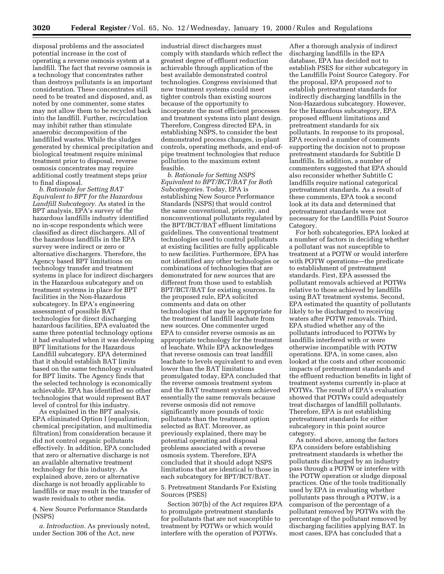disposal problems and the associated potential increase in the cost of operating a reverse osmosis system at a landfill. The fact that reverse osmosis is a technology that concentrates rather than destroys pollutants is an important consideration. These concentrates still need to be treated and disposed, and, as noted by one commenter, some states may not allow them to be recycled back into the landfill. Further, recirculation may inhibit rather than stimulate anaerobic decomposition of the landfilled wastes. While the sludges generated by chemical precipitation and biological treatment require minimal treatment prior to disposal, reverse osmosis concentrates may require additional costly treatment steps prior to final disposal.

*b. Rationale for Setting BAT Equivalent to BPT for the Hazardous Landfill Subcategory.* As stated in the BPT analysis, EPA's survey of the hazardous landfills industry identified no in-scope respondents which were classified as direct dischargers. All of the hazardous landfills in the EPA survey were indirect or zero or alternative dischargers. Therefore, the Agency based BPT limitations on technology transfer and treatment systems in place for indirect dischargers in the Hazardous subcategory and on treatment systems in place for BPT facilities in the Non-Hazardous subcategory. In EPA's engineering assessment of possible BAT technologies for direct discharging hazardous facilities, EPA evaluated the same three potential technology options it had evaluated when it was developing BPT limitations for the Hazardous Landfill subcategory. EPA determined that it should establish BAT limits based on the same technology evaluated for BPT limits. The Agency finds that the selected technology is economically achievable. EPA has identified no other technologies that would represent BAT level of control for this industry.

As explained in the BPT analysis, EPA eliminated Option I (equalization, chemical precipitation, and multimedia filtration) from consideration because it did not control organic pollutants effectively. In addition, EPA concluded that zero or alternative discharge is not an available alternative treatment technology for this industry. As explained above, zero or alternative discharge is not broadly applicable to landfills or may result in the transfer of waste residuals to other media.

4. New Source Performance Standards (NSPS)

*a. Introduction.* As previously noted, under Section 306 of the Act, new

industrial direct dischargers must comply with standards which reflect the greatest degree of effluent reduction achievable through application of the best available demonstrated control technologies. Congress envisioned that new treatment systems could meet tighter controls than existing sources because of the opportunity to incorporate the most efficient processes and treatment systems into plant design. Therefore, Congress directed EPA, in establishing NSPS, to consider the best demonstrated process changes, in-plant controls, operating methods, and end-ofpipe treatment technologies that reduce pollution to the maximum extent feasible.

*b. Rationale for Setting NSPS Equivalent to BPT/BCT/BAT for Both Subcategories.* Today, EPA is establishing New Source Performance Standards (NSPS) that would control the same conventional, priority, and nonconventional pollutants regulated by the BPT/BCT/BAT effluent limitations guidelines. The conventional treatment technologies used to control pollutants at existing facilities are fully applicable to new facilities. Furthermore, EPA has not identified any other technologies or combinations of technologies that are demonstrated for new sources that are different from those used to establish BPT/BCT/BAT for existing sources. In the proposed rule, EPA solicited comments and data on other technologies that may be appropriate for the treatment of landfill leachate from new sources. One commenter urged EPA to consider reverse osmosis as an appropriate technology for the treatment of leachate. While EPA acknowledges that reverse osmosis can treat landfill leachate to levels equivalent to and even lower than the BAT limitations promulgated today, EPA concluded that the reverse osmosis treatment system and the BAT treatment system achieved essentially the same removals because reverse osmosis did not remove significantly more pounds of toxic pollutants than the treatment option selected as BAT. Moreover, as previously explained, there may be potential operating and disposal problems associated with a reverse osmosis system. Therefore, EPA concluded that it should adopt NSPS limitations that are identical to those in each subcategory for BPT/BCT/BAT.

5. Pretreatment Standards For Existing Sources (PSES)

Section 307(b) of the Act requires EPA to promulgate pretreatment standards for pollutants that are not susceptible to treatment by POTWs or which would interfere with the operation of POTWs.

After a thorough analysis of indirect discharging landfills in the EPA database, EPA has decided not to establish PSES for either subcategory in the Landfills Point Source Category. For the proposal, EPA proposed *not* to establish pretreatment standards for indirectly discharging landfills in the Non-Hazardous subcategory. However, for the Hazardous subcategory, EPA proposed effluent limitations and pretreatment standards for six pollutants. In response to its proposal, EPA received a number of comments supporting the decision not to propose pretreatment standards for Subtitle D landfills. In addition, a number of commenters suggested that EPA should also reconsider whether Subtitle C landfills require national categorical pretreatment standards. As a result of these comments, EPA took a second look at its data and determined that pretreatment standards were not necessary for the Landfills Point Source Category.

For both subcategories, EPA looked at a number of factors in deciding whether a pollutant was not susceptible to treatment at a POTW or would interfere with POTW operations—the predicate to establishment of pretreatment standards. First, EPA assessed the pollutant removals achieved at POTWs relative to those achieved by landfills using BAT treatment systems. Second, EPA estimated the quantity of pollutants likely to be discharged to receiving waters after POTW removals. Third, EPA studied whether any of the pollutants introduced to POTWs by landfills interfered with or were otherwise incompatible with POTW operations. EPA, in some cases, also looked at the costs and other economic impacts of pretreatment standards and the effluent reduction benefits in light of treatment systems currently in-place at POTWs. The result of EPA's evaluation showed that POTWs could adequately treat discharges of landfill pollutants. Therefore, EPA is not establishing pretreatment standards for either subcategory in this point source category.

As noted above, among the factors EPA considers before establishing pretreatment standards is whether the pollutants discharged by an industry pass through a POTW or interfere with the POTW operation or sludge disposal practices. One of the tools traditionally used by EPA in evaluating whether pollutants pass through a POTW, is a comparison of the percentage of a pollutant removed by POTWs with the percentage of the pollutant removed by discharging facilities applying BAT. In most cases, EPA has concluded that a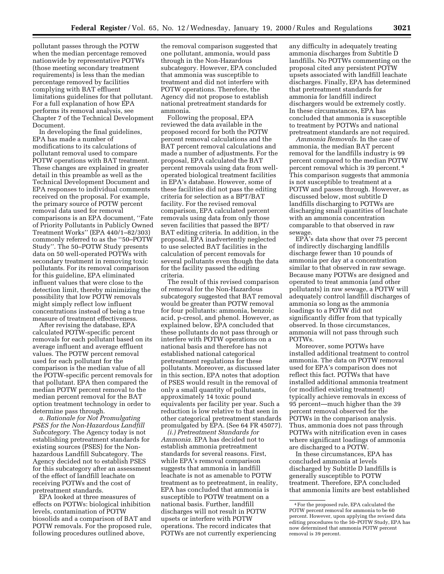pollutant passes through the POTW when the median percentage removed nationwide by representative POTWs (those meeting secondary treatment requirements) is less than the median percentage removed by facilities complying with BAT effluent limitations guidelines for that pollutant. For a full explanation of how EPA performs its removal analysis, see Chapter 7 of the Technical Development Document.

In developing the final guidelines, EPA has made a number of modifications to its calculations of pollutant removal used to compare POTW operations with BAT treatment. These changes are explained in greater detail in this preamble as well as the Technical Development Document and EPA responses to individual comments received on the proposal. For example, the primary source of POTW percent removal data used for removal comparisons is an EPA document, ''Fate of Priority Pollutants in Publicly Owned Treatment Works'' (EPA 440/1–82/303) commonly referred to as the ''50–POTW Study''. The 50–POTW Study presents data on 50 well-operated POTWs with secondary treatment in removing toxic pollutants. For its removal comparison for this guideline, EPA eliminated influent values that were close to the detection limit, thereby minimizing the possibility that low POTW removals might simply reflect low influent concentrations instead of being a true measure of treatment effectiveness.

After revising the database, EPA calculated POTW-specific percent removals for each pollutant based on its average influent and average effluent values. The POTW percent removal used for each pollutant for the comparison is the median value of all the POTW-specific percent removals for that pollutant. EPA then compared the median POTW percent removal to the median percent removal for the BAT option treatment technology in order to determine pass through.

*a. Rationale for Not Promulgating PSES for the Non-Hazardous Landfill Subcategory.* The Agency today is not establishing pretreatment standards for existing sources (PSES) for the Nonhazardous Landfill Subcategory. The Agency decided not to establish PSES for this subcategory after an assessment of the effect of landfill leachate on receiving POTWs and the cost of pretreatment standards.

EPA looked at three measures of effects on POTWs: biological inhibition levels, contamination of POTW biosolids and a comparison of BAT and POTW removals. For the proposed rule, following procedures outlined above,

the removal comparison suggested that one pollutant, ammonia, would pass through in the Non-Hazardous subcategory. However, EPA concluded that ammonia was susceptible to treatment and did not interfere with POTW operations. Therefore, the Agency did not propose to establish national pretreatment standards for ammonia.

Following the proposal, EPA reviewed the data available in the proposed record for both the POTW percent removal calculations and the BAT percent removal calculations and made a number of adjustments. For the proposal, EPA calculated the BAT percent removals using data from welloperated biological treatment facilities in EPA's database. However, some of these facilities did not pass the editing criteria for selection as a BPT/BAT facility. For the revised removal comparison, EPA calculated percent removals using data from only those seven facilities that passed the BPT/ BAT editing criteria. In addition, in the proposal, EPA inadvertently neglected to use selected BAT facilities in the calculation of percent removals for several pollutants even though the data for the facility passed the editing criteria.

The result of this revised comparison of removal for the Non-Hazardous subcategory suggested that BAT removal would be greater than POTW removal for four pollutants: ammonia, benzoic acid, p-cresol, and phenol. However, as explained below, EPA concluded that these pollutants do not pass through or interfere with POTW operations on a national basis and therefore has not established national categorical pretreatment regulations for these pollutants. Moreover, as discussed later in this section, EPA notes that adoption of PSES would result in the removal of only a small quantity of pollutants, approximately 14 toxic pound equivalents per facility per year. Such a reduction is low relative to that seen in other categorical pretreatment standards promulgated by EPA. (See 64 FR 45077).

*(i.) Pretreatment Standards for Ammonia.* EPA has decided not to establish ammonia pretreatment standards for several reasons. First, while EPA's removal comparison suggests that ammonia in landfill leachate is not as amenable to POTW treatment as to pretreatment, in reality, EPA has concluded that ammonia is susceptible to POTW treatment on a national basis. Further, landfill discharges will not result in POTW upsets or interfere with POTW operations. The record indicates that POTWs are not currently experiencing

any difficulty in adequately treating ammonia discharges from Subtitle D landfills. No POTWs commenting on the proposal cited any persistent POTW upsets associated with landfill leachate discharges. Finally, EPA has determined that pretreatment standards for ammonia for landfill indirect dischargers would be extremely costly. In these circumstances, EPA has concluded that ammonia is susceptible to treatment by POTWs and national pretreatment standards are not required.

*Ammonia Removals.* In the case of ammonia, the median BAT percent removal for the landfills industry is 99 percent compared to the median POTW percent removal which is 39 percent. 4 This comparison suggests that ammonia is not susceptible to treatment at a POTW and passes through. However, as discussed below, most subtitle D landfills discharging to POTWs are discharging small quantities of leachate with an ammonia concentration comparable to that observed in raw sewage.

EPA's data show that over 75 percent of indirectly discharging landfills discharge fewer than 10 pounds of ammonia per day at a concentration similar to that observed in raw sewage. Because many POTWs are designed and operated to treat ammonia (and other pollutants) in raw sewage, a POTW will adequately control landfill discharges of ammonia so long as the ammonia loadings to a POTW did not significantly differ from that typically observed. In those circumstances, ammonia will not pass through such POTWs.

Moreover, some POTWs have installed additional treatment to control ammonia. The data on POTW removal used for EPA's comparison does not reflect this fact. POTWs that have installed additional ammonia treatment (or modified existing treatment) typically achieve removals in excess of 95 percent—much higher than the 39 percent removal observed for the POTWs in the comparison analysis. Thus, ammonia does not pass through POTWs with nitrification even in cases where significant loadings of ammonia are discharged to a POTW.

In these circumstances, EPA has concluded ammonia at levels discharged by Subtitle D landfills is generally susceptible to POTW treatment. Therefore, EPA concluded that ammonia limits are best established

<sup>4</sup>For the proposed rule, EPA calculated the POTW percent removal for ammonia to be 60 percent. However, upon applying the revised data editing procedures to the 50–POTW Study, EPA has now determined that ammonia POTW percent removal is 39 percent.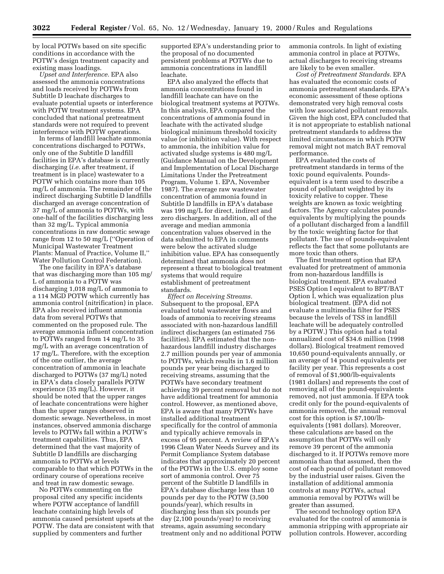by local POTWs based on site specific conditions in accordance with the POTW's design treatment capacity and existing mass loadings.

*Upset and Interference.* EPA also assessed the ammonia concentrations and loads received by POTWs from Subtitle D leachate discharges to evaluate potential upsets or interference with POTW treatment systems. EPA concluded that national pretreatment standards were not required to prevent interference with POTW operations.

In terms of landfill leachate ammonia concentrations discharged to POTWs, only one of the Subtitle D landfill facilities in EPA's database is currently discharging (*i.e.* after treatment, if treatment is in place) wastewater to a POTW which contains more than 105 mg/L of ammonia. The remainder of the indirect discharging Subtitle D landfills discharged an average concentration of 37 mg/L of ammonia to POTWs, with one-half of the facilities discharging less than 32 mg/L. Typical ammonia concentrations in raw domestic sewage range from 12 to 50 mg/L (''Operation of Municipal Wastewater Treatment Plants: Manual of Practice, Volume II,'' Water Pollution Control Federation).

The one facility in EPA's database that was discharging more than 105 mg/ L of ammonia to a POTW was discharging 1,018 mg/L of ammonia to a 114 MGD POTW which currently has ammonia control (nitrification) in place. EPA also received influent ammonia data from several POTWs that commented on the proposed rule. The average ammonia influent concentration to POTWs ranged from 14 mg/L to 35 mg/L with an average concentration of 17 mg/L. Therefore, with the exception of the one outlier, the average concentration of ammonia in leachate discharged to POTWs (37 mg/L) noted in EPA's data closely parallels POTW experience (35 mg/L). However, it should be noted that the upper ranges of leachate concentrations were higher than the upper ranges observed in domestic sewage. Nevertheless, in most instances, observed ammonia discharge levels to POTWs fall within a POTW's treatment capabilities. Thus, EPA determined that the vast majority of Subtitle D landfills are discharging ammonia to POTWs at levels comparable to that which POTWs in the ordinary course of operations receive and treat in raw domestic sewage.

No POTWs commenting on the proposal cited any specific incidents where POTW acceptance of landfill leachate containing high levels of ammonia caused persistent upsets at the POTW. The data are consistent with that supplied by commenters and further

supported EPA's understanding prior to the proposal of no documented persistent problems at POTWs due to ammonia concentrations in landfill leachate.

EPA also analyzed the effects that ammonia concentrations found in landfill leachate can have on the biological treatment systems at POTWs. In this analysis, EPA compared the concentrations of ammonia found in leachate with the activated sludge biological minimum threshold toxicity value (or inhibition value). With respect to ammonia, the inhibition value for activated sludge systems is 480 mg/L (Guidance Manual on the Development and Implementation of Local Discharge Limitations Under the Pretreatment Program, Volume 1. EPA, November 1987). The average raw wastewater concentration of ammonia found in Subtitle D landfills in EPA's database was 199 mg/L for direct, indirect and zero dischargers. In addition, all of the average and median ammonia concentration values observed in the data submitted to EPA in comments were below the activated sludge inhibition value. EPA has consequently determined that ammonia does not represent a threat to biological treatment systems that would require establishment of pretreatment standards.

*Effect on Receiving Streams.* Subsequent to the proposal, EPA evaluated total wastewater flows and loads of ammonia to receiving streams associated with non-hazardous landfill indirect dischargers (an estimated 756 facilities). EPA estimated that the nonhazardous landfill industry discharges 2.7 million pounds per year of ammonia to POTWs, which results in 1.6 million pounds per year being discharged to receiving streams, assuming that the POTWs have secondary treatment achieving 39 percent removal but do not have additional treatment for ammonia control. However, as mentioned above, EPA is aware that many POTWs have installed additional treatment specifically for the control of ammonia and typically achieve removals in excess of 95 percent. A review of EPA's 1996 Clean Water Needs Survey and its Permit Compliance System database indicates that approximately 20 percent of the POTWs in the U.S. employ some sort of ammonia control. Over 75 percent of the Subtitle D landfills in EPA's database discharge less than 10 pounds per day to the POTW (3,500 pounds/year), which results in discharging less than six pounds per day (2,100 pounds/year) to receiving streams, again assuming secondary treatment only and no additional POTW

ammonia controls. In light of existing ammonia control in place at POTWs, actual discharges to receiving streams are likely to be even smaller.

*Cost of Pretreatment Standards.* EPA has evaluated the economic costs of ammonia pretreatment standards. EPA's economic assessment of these options demonstrated very high removal costs with low associated pollutant removals. Given the high cost, EPA concluded that it is not appropriate to establish national pretreatment standards to address the limited circumstances in which POTW removal might not match BAT removal performance.

EPA evaluated the costs of pretreatment standards in terms of the toxic pound equivalents. Poundsequivalent is a term used to describe a pound of pollutant weighted by its toxicity relative to copper. These weights are known as toxic weighting factors. The Agency calculates poundsequivalents by multiplying the pounds of a pollutant discharged from a landfill by the toxic weighting factor for that pollutant. The use of pounds-equivalent reflects the fact that some pollutants are more toxic than others.

The first treatment option that EPA evaluated for pretreatment of ammonia from non-hazardous landfills is biological treatment. EPA evaluated PSES Option I equivalent to BPT/BAT Option I, which was equalization plus biological treatment. (EPA did not evaluate a multimedia filter for PSES because the levels of TSS in landfill leachate will be adequately controlled by a POTW.) This option had a total annualized cost of \$34.6 million (1998 dollars). Biological treatment removed 10,650 pound-equivalents annually, or an average of 14 pound equivalents per facility per year. This represents a cost of removal of \$1,900/lb-equivalents (1981 dollars) and represents the cost of removing all of the pound-equivalents removed, not just ammonia. If EPA took credit only for the pound-equivalents of ammonia removed, the annual removal cost for this option is \$7,100/lbequivalents (1981 dollars). Moreover, these calculations are based on the assumption that POTWs will only remove 39 percent of the ammonia discharged to it. If POTWs remove more ammonia than that assumed, then the cost of each pound of pollutant removed by the industrial user raises. Given the installation of additional ammonia controls at many POTWs, actual ammonia removal by POTWs will be greater than assumed.

The second technology option EPA evaluated for the control of ammonia is ammonia stripping with appropriate air pollution controls. However, according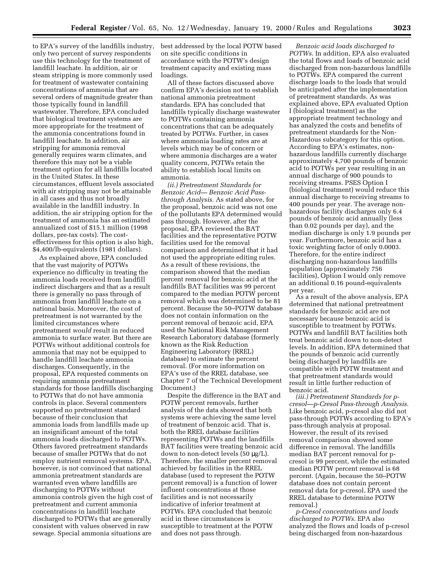to EPA's survey of the landfills industry, only two percent of survey respondents use this technology for the treatment of landfill leachate. In addition, air or steam stripping is more commonly used for treatment of wastewater containing concentrations of ammonia that are several orders of magnitude greater than those typically found in landfill wastewater. Therefore, EPA concluded that biological treatment systems are more appropriate for the treatment of the ammonia concentrations found in landfill leachate. In addition, air stripping for ammonia removal generally requires warm climates, and therefore this may not be a viable treatment option for all landfills located in the United States. In these circumstances, effluent levels associated with air stripping may not be attainable in all cases and thus not broadly available in the landfill industry. In addition, the air stripping option for the treatment of ammonia has an estimated annualized cost of \$15.1 million (1998 dollars, pre-tax costs). The costeffectiveness for this option is also high, \$4,400/lb-equivalents (1981 dollars).

As explained above, EPA concluded that the vast majority of POTWs experience no difficulty in treating the ammonia loads received from landfill indirect dischargers and that as a result there is generally no pass through of ammonia from landfill leachate on a national basis. Moreover, the cost of pretreatment is not warranted by the limited circumstances where pretreatment *would* result in reduced ammonia to surface water. But there are POTWs without additional controls for ammonia that may not be equipped to handle landfill leachate ammonia discharges. Consequently, in the proposal, EPA requested comments on requiring ammonia pretreatment standards for those landfills discharging to POTWs that do not have ammonia controls in place. Several commenters supported no pretreatment standard because of their conclusion that ammonia loads from landfills made up an insignificant amount of the total ammonia loads discharged to POTWs. Others favored pretreatment standards because of smaller POTWs that do not employ nutrient removal systems. EPA, however, is not convinced that national ammonia pretreatment standards are warranted even where landfills are discharging to POTWs without ammonia controls given the high cost of pretreatment and current ammonia concentrations in landfill leachate discharged to POTWs that are generally consistent with values observed in raw sewage. Special ammonia situations are

best addressed by the local POTW based on site specific conditions in accordance with the POTW's design treatment capacity and existing mass loadings.

All of these factors discussed above confirm EPA's decision not to establish national ammonia pretreatment standards. EPA has concluded that landfills typically discharge wastewater to POTWs containing ammonia concentrations that can be adequately treated by POTWs. Further, in cases where ammonia loading rates are at levels which may be of concern or where ammonia discharges are a water quality concern, POTWs retain the ability to establish local limits on ammonia.

*(ii.) Pretreatment Standards for Benzoic Acid— Benzoic Acid Passthrough Analysis.* As stated above, for the proposal, benzoic acid was not one of the pollutants EPA determined would pass through. However, after the proposal, EPA reviewed the BAT facilities and the representative POTW facilities used for the removal comparison and determined that it had not used the appropriate editing rules. As a result of these revisions, the comparison showed that the median percent removal for benzoic acid at the landfills BAT facilities was 99 percent compared to the median POTW percent removal which was determined to be 81 percent. Because the 50–POTW database does not contain information on the percent removal of benzoic acid, EPA used the National Risk Management Research Laboratory database (formerly known as the Risk Reduction Engineering Laboratory (RREL) database) to estimate the percent removal. (For more information on EPA's use of the RREL database, see Chapter 7 of the Technical Development Document.)

Despite the difference in the BAT and POTW percent removals, further analysis of the data showed that both systems were achieving the same level of treatment of benzoic acid. That is, both the RREL database facilities representing POTWs and the landfills BAT facilities were treating benzoic acid down to non-detect levels  $(50 \mu g/L)$ . Therefore, the smaller percent removal achieved by facilities in the RREL database (used to represent the POTW percent removal) is a function of lower influent concentrations at those facilities and is not necessarily indicative of inferior treatment at POTWs. EPA concluded that benzoic acid in these circumstances is susceptible to treatment at the POTW and does not pass through.

*Benzoic acid loads discharged to POTWs.* In addition, EPA also evaluated the total flows and loads of benzoic acid discharged from non-hazardous landfills to POTWs. EPA compared the current discharge loads to the loads that would be anticipated after the implementation of pretreatment standards. As was explained above, EPA evaluated Option I (biological treatment) as the appropriate treatment technology and has analyzed the costs and benefits of pretreatment standards for the Non-Hazardous subcategory for this option. According to EPA's estimates, nonhazardous landfills currently discharge approximately 4,700 pounds of benzoic acid to POTWs per year resulting in an annual discharge of 900 pounds to receiving streams. PSES Option I (biological treatment) would reduce this annual discharge to receiving streams to 400 pounds per year. The average nonhazardous facility discharges only 6.4 pounds of benzoic acid annually (less than 0.02 pounds per day), and the median discharge is only 1.9 pounds per year. Furthermore, benzoic acid has a toxic weighting factor of only 0.0003. Therefore, for the entire indirect discharging non-hazardous landfills population (approximately 756 facilities), Option I would only remove an additional 0.16 pound-equivalents per year.

As a result of the above analysis, EPA determined that national pretreatment standards for benzoic acid are not necessary because benzoic acid is susceptible to treatment by POTWs. POTWs and landfill BAT facilities both treat benzoic acid down to non-detect levels. In addition, EPA determined that the pounds of benzoic acid currently being discharged by landfills are compatible with POTW treatment and that pretreatment standards would result in little further reduction of benzoic acid.

*(iii.) Pretreatment Standards for pcresol—p-Cresol Pass-through Analysis.* Like benzoic acid, p-cresol also did not pass-through POTWs according to EPA's pass-through analysis at proposal. However, the result of its revised removal comparison showed some difference in removal. The landfills median BAT percent removal for pcresol is 99 percent, while the estimated median POTW percent removal is 68 percent. (Again, because the 50–POTW database does not contain percent removal data for p-cresol, EPA used the RREL database to determine POTW removal.)

*p-Cresol concentrations and loads discharged to POTWs.* EPA also analyzed the flows and loads of p-cresol being discharged from non-hazardous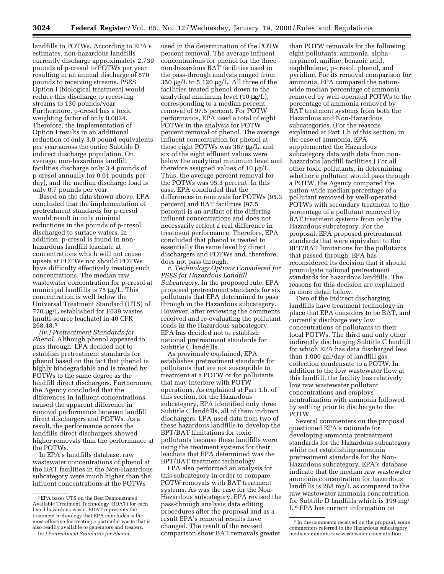landfills to POTWs. According to EPA's estimates, non-hazardous landfills currently discharge approximately 2,730 pounds of p-cresol to POTWs per year resulting in an annual discharge of 870 pounds to receiving streams. PSES Option I (biological treatment) would reduce this discharge to receiving streams to 130 pounds/year. Furthermore, p-cresol has a toxic weighting factor of only 0.0024. Therefore, the implementation of Option I results in an additional reduction of only 3.0 pound-equivalents per year across the entire Subtitle D indirect discharge population. On average, non-hazardous landfill facilities discharge only 3.4 pounds of p-cresol annually (or 0.01 pounds per day), and the median discharge load is only 0.7 pounds per year.

Based on the data shown above, EPA concluded that the implementation of pretreatment standards for p-cresol would result in only minimal reductions in the pounds of p-cresol discharged to surface waters. In addition, p-cresol is found in nonhazardous landfill leachate at concentrations which will not cause upsets at POTWs nor should POTWs have difficulty effectively treating such concentrations. The median raw wastewater concentration for p-cresol at municipal landfills is 75 µg/L. This concentration is well below the Universal Treatment Standard (UTS) of 770 µg/L established for F039 wastes (multi-source leachate) in 40 CFR 268.48.5

*(iv.) Pretreatment Standards for Phenol.* Although phenol appeared to pass through, EPA decided not to establish pretreatment standards for phenol based on the fact that phenol is highly biodegradable and is treated by POTWs to the same degree as the landfill direct dischargers. Furthermore, the Agency concluded that the differences in influent concentrations caused the apparent difference in removal performance between landfill direct dischargers and POTWs. As a result, the performance across the landfills direct dischargers showed higher removals than the performance at the POTWs.

In EPA's landfills database, raw wastewater concentrations of phenol at the BAT facilities in the Non-Hazardous subcategory were much higher than the influent concentrations at the POTWs

used in the determination of the POTW percent removal. The average influent concentrations for phenol for the three non-hazardous BAT facilities used in the pass-through analysis ranged from 350 µg/L to 5,120 µg/L. All three of the facilities treated phenol down to the analytical minimum level (10 µg/L), corresponding to a median percent removal of 97.5 percent. For POTW performance, EPA used a total of eight POTWs in the analysis for POTW percent removal of phenol. The average influent concentration for phenol at these eight POTWs was 387 µg/L, and six of the eight effluent values were below the analytical minimum level and therefore assigned values of 10 µg/L. Thus, the average percent removal for the POTWs was 95.3 percent. In this case, EPA concluded that the differences in removals for POTWs (95.3 percent) and BAT facilities (97.5 percent) is an artifact of the differing influent concentrations and does not necessarily reflect a real difference in treatment performance. Therefore, EPA concluded that phenol is treated to essentially the same level by direct dischargers and POTWs and, therefore, does not pass through.

*c. Technology Options Considered for PSES for Hazardous Landfill Subcategory.* In the proposed rule, EPA proposed pretreatment standards for six pollutants that EPA determined to pass through in the Hazardous subcategory. However, after reviewing the comments received and re-evaluating the pollutant loads in the Hazardous subcategory, EPA has decided not to establish national pretreatment standards for Subtitle C landfills.

As previously explained, EPA establishes pretreatment standards for pollutants that are not susceptible to treatment at a POTW or for pollutants that may interfere with POTW operations. As explained at Part 1.b. of this section, for the Hazardous subcategory, EPA identified only three Subtitle C landfills, all of them indirect dischargers. EPA used data from two of these hazardous landfills to develop the BPT/BAT limitations for toxic pollutants because these landfills were using the treatment systems for their leachate that EPA determined was the BPT/BAT treatment technology.

EPA also performed an analysis for this subcategory in order to compare POTW removals with BAT treatment systems. As was the case for the Non-Hazardous subcategory, EPA revised the pass-through analysis data editing procedures after the proposal and as a result EPA's removal results have changed. The result of the revised comparison show BAT removals greater

than POTW removals for the following eight pollutants: ammonia, alphaterpineol, aniline, benzoic acid, naphthalene, p-cresol, phenol, and pyridine. For its removal comparison for ammonia, EPA compared the nationwide median percentage of ammonia removed by well-operated POTWs to the percentage of ammonia removed by BAT treatment systems from both the Hazardous and Non-Hazardous subcategories. (For the reasons explained at Part 1.b of this section, in the case of ammonia, EPA supplemented the Hazardous subcategory data with data from nonhazardous landfill facilities.) For all other toxic pollutants, in determining whether a pollutant would pass through a POTW, the Agency compared the nation-wide median percentage of a pollutant removed by well-operated POTWs with secondary treatment to the percentage of a pollutant removed by BAT treatment systems from only the Hazardous subcategory. For the proposal, EPA proposed pretreatment standards that were equivalent to the BPT/BAT limitations for the pollutants that passed through. EPA has reconsidered its decision that it should promulgate national pretreatment standards for hazardous landfills. The reasons for this decision are explained in more detail below.

Two of the indirect discharging landfills have treatment technology in place that EPA considers to be BAT, and currently discharge very low concentrations of pollutants to their local POTWs. The third and only other indirectly discharging Subtitle C landfill for which EPA has data discharged less than 1,000 gal/day of landfill gas collection condensate to a POTW. In addition to the low wastewater flow at this landfill, the facility has relatively low raw wastewater pollutant concentrations and employs neutralization with ammonia followed by settling prior to discharge to the POTW.

Several commenters on the proposal questioned EPA's rationale for developing ammonia pretreatment standards for the Hazardous subcategory while not establishing ammonia pretreatment standards for the Non-Hazardous subcategory. EPA's database indicate that the median raw wastewater ammonia concentration for hazardous landfills is 268 mg/L as compared to the raw wastewater ammonia concentration for Subtitle D landfills which is 199 mg/ L.6 EPA has current information on

<sup>5</sup>EPA bases UTS on the Best Demonstrated Available Treatment Technology (BDAT) for each listed hazardous waste. BDAT represents the treatment technology that EPA concludes is the most effective for treating a particular waste that is also readily available to generators and treaters.

*<sup>(</sup>iv.) Pretreatment Standards for Phenol.*

<sup>&</sup>lt;sup>6</sup> In the comments received on the proposal, some commenters referred to the Hazardous subcategory median ammonia raw wastewater concentration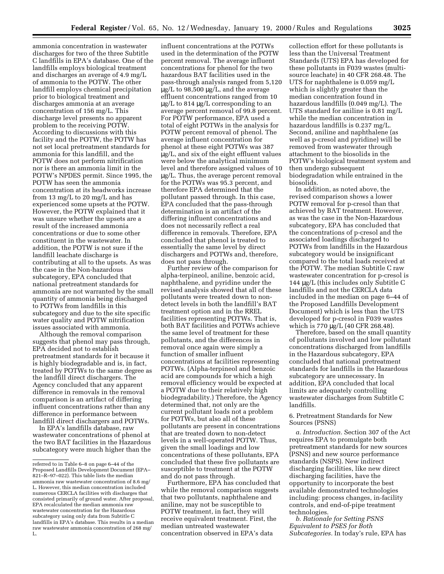ammonia concentration in wastewater discharges for two of the three Subtitle C landfills in EPA's database. One of the landfills employs biological treatment and discharges an average of 4.9 mg/L of ammonia to the POTW. The other landfill employs chemical precipitation prior to biological treatment and discharges ammonia at an average concentration of 156 mg/L. This discharge level presents no apparent problem to the receiving POTW. According to discussions with this facility and the POTW, the POTW has not set local pretreatment standards for ammonia for this landfill, and the POTW does not perform nitrification nor is there an ammonia limit in the POTW's NPDES permit. Since 1995, the POTW has seen the ammonia concentration at its headworks increase from 13 mg/L to 20 mg/L and has experienced some upsets at the POTW. However, the POTW explained that it was unsure whether the upsets are a result of the increased ammonia concentrations or due to some other constituent in the wastewater. In addition, the POTW is not sure if the landfill leachate discharge is contributing at all to the upsets. As was the case in the Non-hazardous subcategory, EPA concluded that national pretreatment standards for ammonia are not warranted by the small quantity of ammonia being discharged to POTWs from landfills in this subcategory and due to the site specific water quality and POTW nitrification issues associated with ammonia.

Although the removal comparison suggests that phenol may pass through, EPA decided not to establish pretreatment standards for it because it is highly biodegradable and is, in fact, treated by POTWs to the same degree as the landfill direct dischargers. The Agency concluded that any apparent difference in removals in the removal comparison is an artifact of differing influent concentrations rather than any difference in performance between landfill direct dischargers and POTWs.

In EPA's landfills database, raw wastewater concentrations of phenol at the two BAT facilities in the Hazardous subcategory were much higher than the

influent concentrations at the POTWs used in the determination of the POTW percent removal. The average influent concentrations for phenol for the two hazardous BAT facilities used in the pass-through analysis ranged from 5,120  $\mu$ g/L to 98,500  $\mu$ g/L, and the average effluent concentrations ranged from 10 µg/L to 814 µg/L corresponding to an average percent removal of 99.8 percent. For POTW performance, EPA used a total of eight POTWs in the analysis for POTW percent removal of phenol. The average influent concentration for phenol at these eight POTWs was 387 µg/L, and six of the eight effluent values were below the analytical minimum level and therefore assigned values of 10 µg/L. Thus, the average percent removal for the POTWs was 95.3 percent, and therefore EPA determined that the pollutant passed through. In this case, EPA concluded that the pass-through determination is an artifact of the differing influent concentrations and does not necessarily reflect a real difference in removals. Therefore, EPA concluded that phenol is treated to essentially the same level by direct dischargers and POTWs and, therefore, does not pass through.

Further review of the comparison for alpha-terpineol, aniline, benzoic acid, naphthalene, and pyridine under the revised analysis showed that all of these pollutants were treated down to nondetect levels in both the landfill's BAT treatment option and in the RREL facilities representing POTWs. That is, both BAT facilities and POTWs achieve the same level of treatment for these pollutants, and the differences in removal once again were simply a function of smaller influent concentrations at facilities representing POTWs. (Alpha-terpineol and benzoic acid are compounds for which a high removal efficiency would be expected at a POTW due to their relatively high biodegradability.) Therefore, the Agency determined that, not only are the current pollutant loads not a problem for POTWs, but also all of these pollutants are present in concentrations that are treated down to non-detect levels in a well-operated POTW. Thus, given the small loadings and low concentrations of these pollutants, EPA concluded that these five pollutants are susceptible to treatment at the POTW and do not pass through.

Furthermore, EPA has concluded that while the removal comparison suggests that two pollutants, naphthalene and aniline, may not be susceptible to POTW treatment, in fact, they will receive equivalent treatment. First, the median untreated wastewater concentration observed in EPA's data

collection effort for these pollutants is less than the Universal Treatment Standards (UTS) EPA has developed for these pollutants in F039 wastes (multisource leachate) in 40 CFR 268.48. The UTS for naphthalene is 0.059 mg/L which is slightly greater than the median concentration found in hazardous landfills (0.049 mg/L). The UTS standard for aniline is 0.81 mg/L while the median concentration in hazardous landfills is 0.237 mg/L. Second, aniline and naphthalene (as well as p-cresol and pyridine) will be removed from wastewater through attachment to the biosolids in the POTW's biological treatment system and then undergo subsequent biodegradation while entrained in the biosolids.

In addition, as noted above, the revised comparison shows a lower POTW removal for p-cresol than that achieved by BAT treatment. However, as was the case in the Non-Hazardous subcategory, EPA has concluded that the concentrations of p-cresol and the associated loadings discharged to POTWs from landfills in the Hazardous subcategory would be insignificant compared to the total loads received at the POTW. The median Subtitle C raw wastewater concentration for p-cresol is 144 µg/L (this includes only Subtitle C landfills and not the CERCLA data included in the median on page 6–44 of the Proposed Landfills Development Document) which is less than the UTS developed for p-cresol in F039 wastes which is 770 µg/L (40 CFR 268.48).

Therefore, based on the small quantity of pollutants involved and low pollutant concentrations discharged from landfills in the Hazardous subcategory, EPA concluded that national pretreatment standards for landfills in the Hazardous subcategory are unnecessary. In addition, EPA concluded that local limits are adequately controlling wastewater discharges from Subtitle C landfills.

## 6. Pretreatment Standards for New Sources (PSNS)

*a. Introduction.* Section 307 of the Act requires EPA to promulgate both pretreatment standards for new sources (PSNS) and new source performance standards (NSPS). New indirect discharging facilities, like new direct discharging facilities, have the opportunity to incorporate the best available demonstrated technologies including: process changes, in-facility controls, and end-of-pipe treatment technologies.

*b. Rationale for Setting PSNS Equivalent to PSES for Both Subcategories.* In today's rule, EPA has

referred to in Table 6–8 on page 6–44 of the Proposed Landfills Development Document (EPA– 821–R–97–022). This table lists the median ammonia raw wastewater concentration of 8.6 mg/ L. However, this median concentration included numerous CERCLA facilities with discharges that consisted primarily of ground water. After proposal, EPA recalculated the median ammonia raw wastewater concentration for the Hazardous subcategory using only data from Subtitle C landfills in EPA's database. This results in a median raw wastewater ammonia concentration of 268 mg/ L.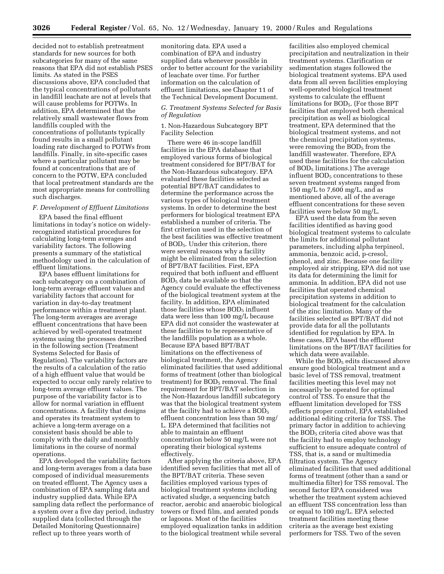decided not to establish pretreatment standards for new sources for both subcategories for many of the same reasons that EPA did not establish PSES limits. As stated in the PSES discussions above, EPA concluded that the typical concentrations of pollutants in landfill leachate are not at levels that will cause problems for POTWs. In addition, EPA determined that the relatively small wastewater flows from landfills coupled with the concentrations of pollutants typically found results in a small pollutant loading rate discharged to POTWs from landfills. Finally, in site-specific cases where a particular pollutant may be found at concentrations that are of concern to the POTW, EPA concluded that local pretreatment standards are the most appropriate means for controlling such discharges.

## *F. Development of Effluent Limitations*

EPA based the final effluent limitations in today's notice on widelyrecognized statistical procedures for calculating long-term averages and variability factors. The following presents a summary of the statistical methodology used in the calculation of effluent limitations.

EPA bases effluent limitations for each subcategory on a combination of long-term average effluent values and variability factors that account for variation in day-to-day treatment performance within a treatment plant. The long-term averages are average effluent concentrations that have been achieved by well-operated treatment systems using the processes described in the following section (Treatment Systems Selected for Basis of Regulation). The variability factors are the results of a calculation of the ratio of a high effluent value that would be expected to occur only rarely relative to long-term average effluent values. The purpose of the variability factor is to allow for normal variation in effluent concentrations. A facility that designs and operates its treatment system to achieve a long-term average on a consistent basis should be able to comply with the daily and monthly limitations in the course of normal operations.

EPA developed the variability factors and long-term averages from a data base composed of individual measurements on treated effluent. The Agency uses a combination of EPA sampling data and industry supplied data. While EPA sampling data reflect the performance of a system over a five day period, industry supplied data (collected through the Detailed Monitoring Questionnaire) reflect up to three years worth of

monitoring data. EPA used a combination of EPA and industry supplied data whenever possible in order to better account for the variability of leachate over time. For further information on the calculation of effluent limitations, see Chapter 11 of the Technical Development Document.

## *G. Treatment Systems Selected for Basis of Regulation*

## 1. Non-Hazardous Subcategory BPT Facility Selection

There were 46 in-scope landfill facilities in the EPA database that employed various forms of biological treatment considered for BPT/BAT for the Non-Hazardous subcategory. EPA evaluated these facilities selected as potential BPT/BAT candidates to determine the performance across the various types of biological treatment systems. In order to determine the best performers for biological treatment EPA established a number of criteria. The first criterion used in the selection of the best facilities was effective treatment of BOD5. Under this criterion, there were several reasons why a facility might be eliminated from the selection of BPT/BAT facilities. First, EPA required that both influent and effluent  $BOD<sub>5</sub>$  data be available so that the Agency could evaluate the effectiveness of the biological treatment system at the facility. In addition, EPA eliminated those facilities whose  $BOD<sub>5</sub>$  influent data were less than 100 mg/L because EPA did not consider the wastewater at these facilities to be representative of the landfills population as a whole. Because EPA based BPT/BAT limitations on the effectiveness of biological treatment, the Agency eliminated facilities that used additional forms of treatment (other than biological treatment) for  $BOD<sub>5</sub>$  removal. The final requirement for BPT/BAT selection in the Non-Hazardous landfill subcategory was that the biological treatment system at the facility had to achieve a BOD<sub>5</sub> effluent concentration less than 50 mg/ L. EPA determined that facilities not able to maintain an effluent concentration below 50 mg/L were not operating their biological systems effectively.

After applying the criteria above, EPA identified seven facilities that met all of the BPT/BAT criteria. These seven facilities employed various types of biological treatment systems including activated sludge, a sequencing batch reactor, aerobic and anaerobic biological towers or fixed film, and aerated ponds or lagoons. Most of the facilities employed equalization tanks in addition to the biological treatment while several

facilities also employed chemical precipitation and neutralization in their treatment systems. Clarification or sedimentation stages followed the biological treatment systems. EPA used data from all seven facilities employing well-operated biological treatment systems to calculate the effluent limitations for BOD5. (For those BPT facilities that employed both chemical precipitation as well as biological treatment, EPA determined that the biological treatment systems, and not the chemical precipitation systems, were removing the  $BOD<sub>5</sub>$  from the landfill wastewater. Therefore, EPA used these facilities for the calculation of  $BOD<sub>5</sub>$  limitations.) The average influent  $BOD<sub>5</sub>$  concentrations to these seven treatment systems ranged from 150 mg/L to 7,600 mg/L, and as mentioned above, all of the average effluent concentrations for these seven facilities were below 50 mg/L.

EPA used the data from the seven facilities identified as having good biological treatment systems to calculate the limits for additional pollutant parameters, including alpha terpineol, ammonia, benzoic acid, p-cresol, phenol, and zinc. Because one facility employed air stripping, EPA did not use its data for determining the limit for ammonia. In addition, EPA did not use facilities that operated chemical precipitation systems in addition to biological treatment for the calculation of the zinc limitation. Many of the facilities selected as BPT/BAT did not provide data for all the pollutants identified for regulation by EPA. In these cases, EPA based the effluent limitations on the BPT/BAT facilities for which data were available.

While the BOD<sub>5</sub> edits discussed above ensure good biological treatment and a basic level of TSS removal, treatment facilities meeting this level may not necessarily be operated for optimal control of TSS. To ensure that the effluent limitation developed for TSS reflects proper control, EPA established additional editing criteria for TSS. The primary factor in addition to achieving the BOD<sub>5</sub> criteria cited above was that the facility had to employ technology sufficient to ensure adequate control of TSS, that is, a sand or multimedia filtration system. The Agency eliminated facilities that used additional forms of treatment (other than a sand or multimedia filter) for TSS removal. The second factor EPA considered was whether the treatment system achieved an effluent TSS concentration less than or equal to 100 mg/L. EPA selected treatment facilities meeting these criteria as the average best existing performers for TSS. Two of the seven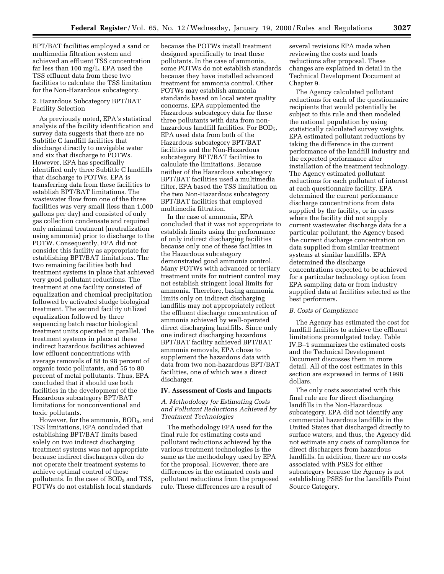BPT/BAT facilities employed a sand or multimedia filtration system and achieved an effluent TSS concentration far less than 100 mg/L. EPA used the TSS effluent data from these two facilities to calculate the TSS limitation for the Non-Hazardous subcategory.

## 2. Hazardous Subcategory BPT/BAT Facility Selection

As previously noted, EPA's statistical analysis of the facility identification and survey data suggests that there are no Subtitle C landfill facilities that discharge directly to navigable water and six that discharge to POTWs. However, EPA has specifically identified only three Subtitle C landfills that discharge to POTWs. EPA is transferring data from these facilities to establish BPT/BAT limitations. The wastewater flow from one of the three facilities was very small (less than 1,000 gallons per day) and consisted of only gas collection condensate and required only minimal treatment (neutralization using ammonia) prior to discharge to the POTW. Consequently, EPA did not consider this facility as appropriate for establishing BPT/BAT limitations. The two remaining facilities both had treatment systems in place that achieved very good pollutant reductions. The treatment at one facility consisted of equalization and chemical precipitation followed by activated sludge biological treatment. The second facility utilized equalization followed by three sequencing batch reactor biological treatment units operated in parallel. The treatment systems in place at these indirect hazardous facilities achieved low effluent concentrations with average removals of 88 to 98 percent of organic toxic pollutants, and 55 to 80 percent of metal pollutants. Thus, EPA concluded that it should use both facilities in the development of the Hazardous subcategory BPT/BAT limitations for nonconventional and toxic pollutants.

However, for the ammonia,  $BOD<sub>5</sub>$ , and TSS limitations, EPA concluded that establishing BPT/BAT limits based solely on two indirect discharging treatment systems was not appropriate because indirect dischargers often do not operate their treatment systems to achieve optimal control of these pollutants. In the case of  $BOD<sub>5</sub>$  and TSS, POTWs do not establish local standards

because the POTWs install treatment designed specifically to treat these pollutants. In the case of ammonia, some POTWs do not establish standards because they have installed advanced treatment for ammonia control. Other POTWs may establish ammonia standards based on local water quality concerns. EPA supplemented the Hazardous subcategory data for these three pollutants with data from nonhazardous landfill facilities. For BOD<sub>5</sub>, EPA used data from both of the Hazardous subcategory BPT/BAT facilities and the Non-Hazardous subcategory BPT/BAT facilities to calculate the limitations. Because neither of the Hazardous subcategory BPT/BAT facilities used a multimedia filter, EPA based the TSS limitation on the two Non-Hazardous subcategory BPT/BAT facilities that employed multimedia filtration.

In the case of ammonia, EPA concluded that it was not appropriate to establish limits using the performance of only indirect discharging facilities because only one of these facilities in the Hazardous subcategory demonstrated good ammonia control. Many POTWs with advanced or tertiary treatment units for nutrient control may not establish stringent local limits for ammonia. Therefore, basing ammonia limits only on indirect discharging landfills may not appropriately reflect the effluent discharge concentration of ammonia achieved by well-operated direct discharging landfills. Since only one indirect discharging hazardous BPT/BAT facility achieved BPT/BAT ammonia removals, EPA chose to supplement the hazardous data with data from two non-hazardous BPT/BAT facilities, one of which was a direct discharger.

## **IV. Assessment of Costs and Impacts**

## *A. Methodology for Estimating Costs and Pollutant Reductions Achieved by Treatment Technologies*

The methodology EPA used for the final rule for estimating costs and pollutant reductions achieved by the various treatment technologies is the same as the methodology used by EPA for the proposal. However, there are differences in the estimated costs and pollutant reductions from the proposed rule. These differences are a result of

several revisions EPA made when reviewing the costs and loads reductions after proposal. These changes are explained in detail in the Technical Development Document at Chapter 9.

The Agency calculated pollutant reductions for each of the questionnaire recipients that would potentially be subject to this rule and then modeled the national population by using statistically calculated survey weights. EPA estimated pollutant reductions by taking the difference in the current performance of the landfill industry and the expected performance after installation of the treatment technology. The Agency estimated pollutant reductions for each pollutant of interest at each questionnaire facility. EPA determined the current performance discharge concentrations from data supplied by the facility, or in cases where the facility did not supply current wastewater discharge data for a particular pollutant, the Agency based the current discharge concentration on data supplied from similar treatment systems at similar landfills. EPA determined the discharge concentrations expected to be achieved for a particular technology option from EPA sampling data or from industry supplied data at facilities selected as the best performers.

## *B. Costs of Compliance*

The Agency has estimated the cost for landfill facilities to achieve the effluent limitations promulgated today. Table IV.B–1 summarizes the estimated costs and the Technical Development Document discusses them in more detail. All of the cost estimates in this section are expressed in terms of 1998 dollars.

The only costs associated with this final rule are for direct discharging landfills in the Non-Hazardous subcategory. EPA did not identify any commercial hazardous landfills in the United States that discharged directly to surface waters, and thus, the Agency did not estimate any costs of compliance for direct dischargers from hazardous landfills. In addition, there are no costs associated with PSES for either subcategory because the Agency is not establishing PSES for the Landfills Point Source Category.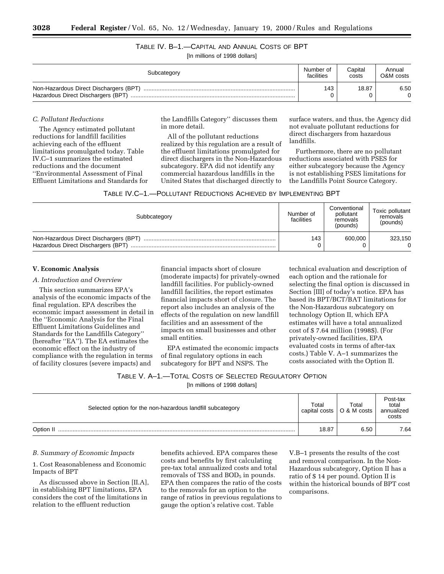TABLE IV. B–1.—CAPITAL AND ANNUAL COSTS OF BPT [In millions of 1998 dollars]

| Subcategory                                                                  | Number of  | Capital | Annual    |
|------------------------------------------------------------------------------|------------|---------|-----------|
|                                                                              | facilities | costs   | O&M costs |
| Non-Hazardous Direct Dischargers (BPT)<br>Hazardous Direct Dischargers (BPT) | 143        | 18.87   | 6.50      |

## *C. Pollutant Reductions*

The Agency estimated pollutant reductions for landfill facilities achieving each of the effluent limitations promulgated today. Table IV.C–1 summarizes the estimated reductions and the document ''Environmental Assessment of Final Effluent Limitations and Standards for the Landfills Category'' discusses them in more detail.

All of the pollutant reductions realized by this regulation are a result of the effluent limitations promulgated for direct dischargers in the Non-Hazardous subcategory. EPA did not identify any commercial hazardous landfills in the United States that discharged directly to surface waters, and thus, the Agency did not evaluate pollutant reductions for direct dischargers from hazardous landfills.

Furthermore, there are no pollutant reductions associated with PSES for either subcategory because the Agency is not establishing PSES limitations for the Landfills Point Source Category.

| Subbcategory                                                                 | Number of<br>facilities | Conventional<br>pollutant<br>removals<br>(pounds) | Toxic pollutant<br>removals<br>(pounds) |
|------------------------------------------------------------------------------|-------------------------|---------------------------------------------------|-----------------------------------------|
| Non-Hazardous Direct Dischargers (BPT)<br>Hazardous Direct Dischargers (BPT) | 143                     | 600.000                                           | 323,150                                 |

## **V. Economic Analysis**

## *A. Introduction and Overview*

This section summarizes EPA's analysis of the economic impacts of the final regulation. EPA describes the economic impact assessment in detail in the ''Economic Analysis for the Final Effluent Limitations Guidelines and Standards for the Landfills Category'' (hereafter ''EA''). The EA estimates the economic effect on the industry of compliance with the regulation in terms of facility closures (severe impacts) and

financial impacts short of closure (moderate impacts) for privately-owned landfill facilities. For publicly-owned landfill facilities, the report estimates financial impacts short of closure. The report also includes an analysis of the effects of the regulation on new landfill facilities and an assessment of the impacts on small businesses and other small entities.

EPA estimated the economic impacts of final regulatory options in each subcategory for BPT and NSPS. The

technical evaluation and description of each option and the rationale for selecting the final option is discussed in Section [III] of today's notice. EPA has based its BPT/BCT/BAT limitations for the Non-Hazardous subcategory on technology Option II, which EPA estimates will have a total annualized cost of \$ 7.64 million (1998\$). (For privately-owned facilities, EPA evaluated costs in terms of after-tax costs.) Table V. A–1 summarizes the costs associated with the Option II.

|  |  |  |  |  | Table V. A–1.—Total Costs of Selected Regulatory Option |  |
|--|--|--|--|--|---------------------------------------------------------|--|
|--|--|--|--|--|---------------------------------------------------------|--|

[In millions of 1998 dollars]

| Selected option for the non-hazardous landfill subcategory |       | Total<br>O & M costs<br>capital costs | Post-tax<br>total<br>annualized<br>costs |
|------------------------------------------------------------|-------|---------------------------------------|------------------------------------------|
| Option II                                                  | 18.87 | 6.50                                  | 7.64                                     |

## *B. Summary of Economic Impacts*

1. Cost Reasonableness and Economic Impacts of BPT

As discussed above in Section [II.A], in establishing BPT limitations, EPA considers the cost of the limitations in relation to the effluent reduction

benefits achieved. EPA compares these costs and benefits by first calculating pre-tax total annualized costs and total removals of TSS and  $BOD<sub>5</sub>$  in pounds. EPA then compares the ratio of the costs to the removals for an option to the range of ratios in previous regulations to gauge the option's relative cost. Table

V.B–1 presents the results of the cost and removal comparison. In the Non-Hazardous subcategory, Option II has a ratio of \$ 14 per pound. Option II is within the historical bounds of BPT cost comparisons.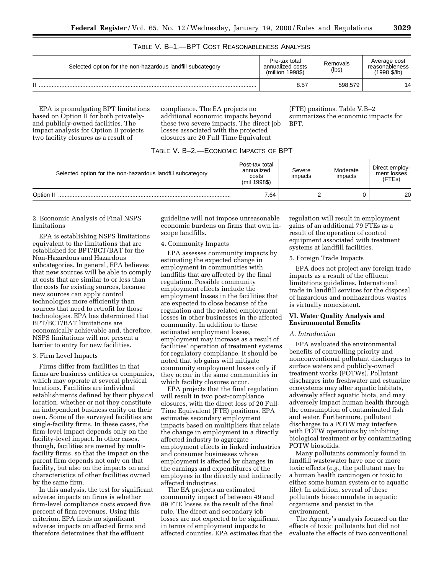## TABLE V. B–1.—BPT COST REASONABLENESS ANALYSIS

| Selected option for the non-hazardous landfill subcategory | Pre-tax total<br>annualized costs<br>(million 1998\$) | Removals<br>(lbs) | Average cost<br>reasonableness<br>(1998 \$/lb) |
|------------------------------------------------------------|-------------------------------------------------------|-------------------|------------------------------------------------|
| П                                                          | 8.57                                                  | 598.579           | 14                                             |

EPA is promulgating BPT limitations based on Option II for both privatelyand publicly-owned facilities. The impact analysis for Option II projects two facility closures as a result of

compliance. The EA projects no additional economic impacts beyond these two severe impacts. The direct job losses associated with the projected closures are 20 Full Time Equivalent

(FTE) positions. Table V.B–2 summarizes the economic impacts for BPT.

| TABLE V. B-2.-ECONOMIC IMPACTS OF BPT |  |  |
|---------------------------------------|--|--|
|---------------------------------------|--|--|

| Selected option for the non-hazardous landfill subcategory | Post-tax total<br>annualized<br>costs<br>(mil 1998\$) | Severe<br>impacts | Moderate<br>impacts | Direct employ-<br>ment losses<br>(FTEs) |
|------------------------------------------------------------|-------------------------------------------------------|-------------------|---------------------|-----------------------------------------|
| Option II                                                  | 7.64                                                  |                   |                     | 20                                      |

## 2. Economic Analysis of Final NSPS limitations

EPA is establishing NSPS limitations equivalent to the limitations that are established for BPT/BCT/BAT for the Non-Hazardous and Hazardous subcategories. In general, EPA believes that new sources will be able to comply at costs that are similar to or less than the costs for existing sources, because new sources can apply control technologies more efficiently than sources that need to retrofit for those technologies. EPA has determined that BPT/BCT/BAT limitations are economically achievable and, therefore, NSPS limitations will not present a barrier to entry for new facilities.

## 3. Firm Level Impacts

Firms differ from facilities in that firms are business entities or companies, which may operate at several physical locations. Facilities are individual establishments defined by their physical location, whether or not they constitute an independent business entity on their own. Some of the surveyed facilities are single-facility firms. In these cases, the firm-level impact depends only on the facility-level impact. In other cases, though, facilities are owned by multifacility firms, so that the impact on the parent firm depends not only on that facility, but also on the impacts on and characteristics of other facilities owned by the same firm.

In this analysis, the test for significant adverse impacts on firms is whether firm-level compliance costs exceed five percent of firm revenues. Using this criterion, EPA finds no significant adverse impacts on affected firms and therefore determines that the effluent

guideline will not impose unreasonable economic burdens on firms that own inscope landfills.

## 4. Community Impacts

EPA assesses community impacts by estimating the expected change in employment in communities with landfills that are affected by the final regulation. Possible community employment effects include the employment losses in the facilities that are expected to close because of the regulation and the related employment losses in other businesses in the affected community. In addition to these estimated employment losses, employment may increase as a result of facilities' operation of treatment systems for regulatory compliance. It should be noted that job gains will mitigate community employment losses only if they occur in the same communities in which facility closures occur.

EPA projects that the final regulation will result in two post-compliance closures, with the direct loss of 20 Full-Time Equivalent (FTE) positions. EPA estimates secondary employment impacts based on multipliers that relate the change in employment in a directly affected industry to aggregate employment effects in linked industries and consumer businesses whose employment is affected by changes in the earnings and expenditures of the employees in the directly and indirectly affected industries.

The EA projects an estimated community impact of between 49 and 89 FTE losses as the result of the final rule. The direct and secondary job losses are not expected to be significant in terms of employment impacts to affected counties. EPA estimates that the

regulation will result in employment gains of an additional 79 FTEs as a result of the operation of control equipment associated with treatment systems at landfill facilities.

5. Foreign Trade Impacts

EPA does not project any foreign trade impacts as a result of the effluent limitations guidelines. International trade in landfill services for the disposal of hazardous and nonhazardous wastes is virtually nonexistent.

## **VI. Water Quality Analysis and Environmental Benefits**

## *A. Introduction*

EPA evaluated the environmental benefits of controlling priority and nonconventional pollutant discharges to surface waters and publicly-owned treatment works (POTWs). Pollutant discharges into freshwater and estuarine ecosystems may alter aquatic habitats, adversely affect aquatic biota, and may adversely impact human health through the consumption of contaminated fish and water. Furthermore, pollutant discharges to a POTW may interfere with POTW operations by inhibiting biological treatment or by contaminating POTW biosolids.

Many pollutants commonly found in landfill wastewater have one or more toxic effects (*e.g.,* the pollutant may be a human health carcinogen or toxic to either some human system or to aquatic life). In addition, several of these pollutants bioaccumulate in aquatic organisms and persist in the environment.

The Agency's analysis focused on the effects of toxic pollutants but did not evaluate the effects of two conventional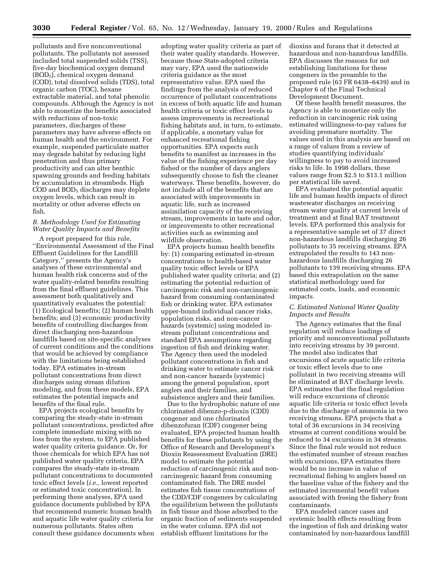pollutants and five nonconventional pollutants. The pollutants not assessed included total suspended solids (TSS), five-day biochemical oxygen demand (BOD5), chemical oxygen demand (COD), total dissolved solids (TDS), total organic carbon (TOC), hexane extractable material, and total phenolic compounds. Although the Agency is not able to monetize the benefits associated with reductions of non-toxic parameters, discharges of these parameters may have adverse effects on human health and the environment. For example, suspended particulate matter may degrade habitat by reducing light penetration and thus primary productivity and can alter benthic spawning grounds and feeding habitats by accumulation in streambeds. High COD and BOD5 discharges may deplete oxygen levels, which can result in mortality or other adverse effects on fish.

## *B. Methodology Used for Estimating Water Quality Impacts and Benefits*

A report prepared for this rule, ''Environmental Assessment of the Final Effluent Guidelines for the Landfill Category,'' presents the Agency's analyses of these environmental and human health risk concerns and of the water quality-related benefits resulting from the final effluent guidelines. This assessment both qualitatively and quantitatively evaluates the potential: (1) Ecological benefits; (2) human health benefits; and (3) economic productivity benefits of controlling discharges from direct discharging non-hazardous landfills based on site-specific analyses of current conditions and the conditions that would be achieved by compliance with the limitations being established today. EPA estimates in-stream pollutant concentrations from direct discharges using stream dilution modeling, and from these models, EPA estimates the potential impacts and benefits of the final rule.

EPA projects ecological benefits by comparing the steady-state in-stream pollutant concentrations, predicted after complete immediate mixing with no loss from the system, to EPA published water quality criteria guidance. Or, for those chemicals for which EPA has not published water quality criteria, EPA compares the steady-state in-stream pollutant concentrations to documented toxic effect levels (*i.e.,* lowest reported or estimated toxic concentration). In performing these analyses, EPA used guidance documents published by EPA that recommend numeric human health and aquatic life water quality criteria for numerous pollutants. States often consult these guidance documents when

adopting water quality criteria as part of their water quality standards. However, because those State-adopted criteria may vary, EPA used the nationwide criteria guidance as the most representative value. EPA used the findings from the analysis of reduced occurrence of pollutant concentrations in excess of both aquatic life and human health criteria or toxic effect levels to assess improvements in recreational fishing habitats and, in turn, to estimate, if applicable, a monetary value for enhanced recreational fishing opportunities. EPA expects such benefits to manifest as increases in the value of the fishing experience per day fished or the number of days anglers subsequently choose to fish the cleaner waterways. These benefits, however, do not include all of the benefits that are associated with improvements in aquatic life, such as increased assimilation capacity of the receiving stream, improvements in taste and odor, or improvements to other recreational activities such as swimming and wildlife observation.

EPA projects human health benefits by: (1) comparing estimated in-stream concentrations to health-based water quality toxic effect levels or EPA published water quality criteria; and (2) estimating the potential reduction of carcinogenic risk and non-carcinogenic hazard from consuming contaminated fish or drinking water. EPA estimates upper-bound individual cancer risks, population risks, and non-cancer hazards (systemic) using modeled instream pollutant concentrations and standard EPA assumptions regarding ingestion of fish and drinking water. The Agency then used the modeled pollutant concentrations in fish and drinking water to estimate cancer risk and non-cancer hazards (systemic) among the general population, sport anglers and their families, and subsistence anglers and their families.

Due to the hydrophobic nature of one chlorinated dibenzo-p-dioxin (CDD) congener and one chlorinated dibenzofuran (CDF) congener being evaluated, EPA projected human health benefits for these pollutants by using the Office of Research and Development's Dioxin Reassessment Evaluation (DRE) model to estimate the potential reduction of carcinogenic risk and noncarcinogenic hazard from consuming contaminated fish. The DRE model estimates fish tissue concentrations of the CDD/CDF congeners by calculating the equilibrium between the pollutants in fish tissue and those adsorbed to the organic fraction of sediments suspended in the water column. EPA did not establish effluent limitations for the

dioxins and furans that it detected at hazardous and non-hazardous landfills. EPA discusses the reasons for not establishing limitations for these congeners in the preamble to the proposed rule (63 FR 6438–6439) and in Chapter 6 of the Final Technical Development Document.

Of these health benefit measures, the Agency is able to monetize only the reduction in carcinogenic risk using estimated willingness-to-pay values for avoiding premature mortality. The values used in this analysis are based on a range of values from a review of studies quantifying individuals' willingness to pay to avoid increased risks to life. In 1998 dollars, these values range from \$2.5 to \$13.1 million per statistical life saved.

EPA evaluated the potential aquatic life and human health impacts of direct wastewater discharges on receiving stream water quality at current levels of treatment and at final BAT treatment levels. EPA performed this analysis for a representative sample set of 37 direct non-hazardous landfills discharging 26 pollutants to 35 receiving streams. EPA extrapolated the results to 143 nonhazardous landfills discharging 26 pollutants to 139 receiving streams. EPA based this extrapolation on the same statistical methodology used for estimated costs, loads, and economic impacts.

## *C. Estimated National Water Quality Impacts and Results*

The Agency estimates that the final regulation will reduce loadings of priority and nonconventional pollutants into receiving streams by 39 percent. The model also indicates that excursions of acute aquatic life criteria or toxic effect levels due to one pollutant in two receiving streams will be eliminated at BAT discharge levels. EPA estimates that the final regulation will reduce excursions of chronic aquatic life criteria or toxic effect levels due to the discharge of ammonia in two receiving streams. EPA projects that a total of 36 excursions in 34 receiving streams at current conditions would be reduced to 34 excursions in 34 streams. Since the final rule would not reduce the estimated number of stream reaches with excursions, EPA estimates there would be no increase in value of recreational fishing to anglers based on the baseline value of the fishery and the estimated incremental benefit values associated with freeing the fishery from contaminants.

EPA modeled cancer cases and systemic health effects resulting from the ingestion of fish and drinking water contaminated by non-hazardous landfill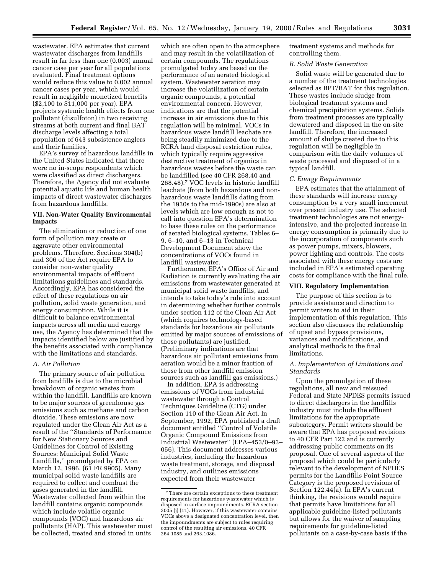wastewater. EPA estimates that current wastewater discharges from landfills result in far less than one (0.003) annual cancer case per year for all populations evaluated. Final treatment options would reduce this value to 0.002 annual cancer cases per year, which would result in negligible monetized benefits (\$2,100 to \$11,000 per year). EPA projects systemic health effects from one pollutant (disulfoton) in two receiving streams at both current and final BAT discharge levels affecting a total population of 643 subsistence anglers

and their families. EPA's survey of hazardous landfills in the United States indicated that there were no in-scope respondents which were classified as direct dischargers. Therefore, the Agency did not evaluate potential aquatic life and human health impacts of direct wastewater discharges from hazardous landfills.

## **VII. Non-Water Quality Environmental Impacts**

The elimination or reduction of one form of pollution may create or aggravate other environmental problems. Therefore, Sections 304(b) and 306 of the Act require EPA to consider non-water quality environmental impacts of effluent limitations guidelines and standards. Accordingly, EPA has considered the effect of these regulations on air pollution, solid waste generation, and energy consumption. While it is difficult to balance environmental impacts across all media and energy use, the Agency has determined that the impacts identified below are justified by the benefits associated with compliance with the limitations and standards.

#### *A. Air Pollution*

The primary source of air pollution from landfills is due to the microbial breakdown of organic wastes from within the landfill. Landfills are known to be major sources of greenhouse gas emissions such as methane and carbon dioxide. These emissions are now regulated under the Clean Air Act as a result of the ''Standards of Performance for New Stationary Sources and Guidelines for Control of Existing Sources: Municipal Solid Waste Landfills,'' promulgated by EPA on March 12, 1996. (61 FR 9905). Many municipal solid waste landfills are required to collect and combust the gases generated in the landfill. Wastewater collected from within the landfill contains organic compounds which include volatile organic compounds (VOC) and hazardous air pollutants (HAP). This wastewater must be collected, treated and stored in units

which are often open to the atmosphere and may result in the volatilization of certain compounds. The regulations promulgated today are based on the performance of an aerated biological system. Wastewater aeration may increase the volatilization of certain organic compounds, a potential environmental concern. However, indications are that the potential increase in air emissions due to this regulation will be minimal. VOCs in hazardous waste landfill leachate are being steadily minimized due to the RCRA land disposal restriction rules, which typically require aggressive destructive treatment of organics in hazardous wastes before the waste can be landfilled (see 40 CFR 268.40 and 268.48).7 VOC levels in historic landfill leachate (from both hazardous and nonhazardous waste landfills dating from the 1930s to the mid-1990s) are also at levels which are low enough as not to call into question EPA's determination to base these rules on the performance of aerated biological systems. Tables 6– 9, 6–10, and 6–13 in Technical Development Document show the concentrations of VOCs found in landfill wastewater.

Furthermore, EPA's Office of Air and Radiation is currently evaluating the air emissions from wastewater generated at municipal solid waste landfills, and intends to take today's rule into account in determining whether further controls under section 112 of the Clean Air Act (which requires technology-based standards for hazardous air pollutants emitted by major sources of emissions of those pollutants) are justified. (Preliminary indications are that hazardous air pollutant emissions from aeration would be a minor fraction of those from other landfill emission sources such as landfill gas emissions.)

In addition, EPA is addressing emissions of VOCs from industrial wastewater through a Control Techniques Guideline (CTG) under Section 110 of the Clean Air Act. In September, 1992, EPA published a draft document entitled ''Control of Volatile Organic Compound Emissions from Industrial Wastewater'' (EPA–453/0–93– 056). This document addresses various industries, including the hazardous waste treatment, storage, and disposal industry, and outlines emissions expected from their wastewater

treatment systems and methods for controlling them.

#### *B. Solid Waste Generation*

Solid waste will be generated due to a number of the treatment technologies selected as BPT/BAT for this regulation. These wastes include sludge from biological treatment systems and chemical precipitation systems. Solids from treatment processes are typically dewatered and disposed in the on-site landfill. Therefore, the increased amount of sludge created due to this regulation will be negligible in comparison with the daily volumes of waste processed and disposed of in a typical landfill.

## *C. Energy Requirements*

EPA estimates that the attainment of these standards will increase energy consumption by a very small increment over present industry use. The selected treatment technologies are not energyintensive, and the projected increase in energy consumption is primarily due to the incorporation of components such as power pumps, mixers, blowers, power lighting and controls. The costs associated with these energy costs are included in EPA's estimated operating costs for compliance with the final rule.

## **VIII. Regulatory Implementation**

The purpose of this section is to provide assistance and direction to permit writers to aid in their implementation of this regulation. This section also discusses the relationship of upset and bypass provisions, variances and modifications, and analytical methods to the final limitations.

## *A. Implementation of Limitations and Standards*

Upon the promulgation of these regulations, all new and reissued Federal and State NPDES permits issued to direct dischargers in the landfills industry must include the effluent limitations for the appropriate subcategory. Permit writers should be aware that EPA has proposed revisions to 40 CFR Part 122 and is currently addressing public comments on its proposal. One of several aspects of the proposal which could be particularly relevant to the development of NPDES permits for the Landfills Point Source Category is the proposed revisions of Section 122.44(a). In EPA's current thinking, the revisions would require that permits have limitations for all applicable guideline-listed pollutants but allows for the waiver of sampling requirements for guideline-listed pollutants on a case-by-case basis if the

<sup>7</sup>There are certain exceptions to these treatment requirements for hazardous wastewater which is disposed in surface impoundments. RCRA section 3005 (j) (11). However, if this wastewater contains VOCs above a designated concentration level, then the impoundments are subject to rules requiring control of the resulting air emissions. 40 CFR 264.1085 and 263.1086.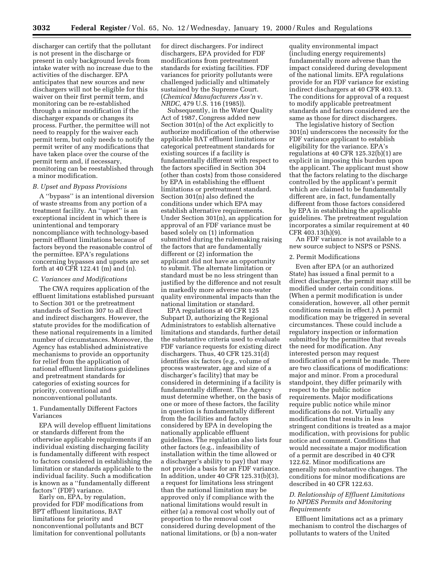discharger can certify that the pollutant is not present in the discharge or present in only background levels from intake water with no increase due to the activities of the discharger. EPA anticipates that new sources and new dischargers will not be eligible for this waiver on their first permit term, and monitoring can be re-established through a minor modification if the discharger expands or changes its process. Further, the permittee will not need to reapply for the waiver each permit term, but only needs to notify the permit writer of any modifications that have taken place over the course of the permit term and, if necessary, monitoring can be reestablished through a minor modification.

#### *B. Upset and Bypass Provisions*

A ''bypass'' is an intentional diversion of waste streams from any portion of a treatment facility. An ''upset'' is an exceptional incident in which there is unintentional and temporary noncompliance with technology-based permit effluent limitations because of factors beyond the reasonable control of the permittee. EPA's regulations concerning bypasses and upsets are set forth at 40 CFR 122.41 (m) and (n).

## *C. Variances and Modifications*

The CWA requires application of the effluent limitations established pursuant to Section 301 or the pretreatment standards of Section 307 to all direct and indirect dischargers. However, the statute provides for the modification of these national requirements in a limited number of circumstances. Moreover, the Agency has established administrative mechanisms to provide an opportunity for relief from the application of national effluent limitations guidelines and pretreatment standards for categories of existing sources for priority, conventional and nonconventional pollutants.

## 1. Fundamentally Different Factors Variances

EPA will develop effluent limitations or standards different from the otherwise applicable requirements if an individual existing discharging facility is fundamentally different with respect to factors considered in establishing the limitation or standards applicable to the individual facility. Such a modification is known as a ''fundamentally different factors'' (FDF) variance.

Early on, EPA, by regulation, provided for FDF modifications from BPT effluent limitations, BAT limitations for priority and nonconventional pollutants and BCT limitation for conventional pollutants

for direct dischargers. For indirect dischargers, EPA provided for FDF modifications from pretreatment standards for existing facilities. FDF variances for priority pollutants were challenged judicially and ultimately sustained by the Supreme Court. (*Chemical Manufacturers Ass'n* v. *NRDC,* 479 U.S. 116 (1985)).

Subsequently, in the Water Quality Act of 1987, Congress added new Section 301(n) of the Act explicitly to authorize modification of the otherwise applicable BAT effluent limitations or categorical pretreatment standards for existing sources if a facility is fundamentally different with respect to the factors specified in Section 304 (other than costs) from those considered by EPA in establishing the effluent limitations or pretreatment standard. Section 301(n) also defined the conditions under which EPA may establish alternative requirements. Under Section 301(n), an application for approval of an FDF variance must be based solely on (1) information submitted during the rulemaking raising the factors that are fundamentally different or (2) information the applicant did not have an opportunity to submit. The alternate limitation or standard must be no less stringent than justified by the difference and not result in markedly more adverse non-water quality environmental impacts than the national limitation or standard.

EPA regulations at 40 CFR 125 Subpart D, authorizing the Regional Administrators to establish alternative limitations and standards, further detail the substantive criteria used to evaluate FDF variance requests for existing direct dischargers. Thus, 40 CFR 125.31(d) identifies six factors (e.g., volume of process wastewater, age and size of a discharger's facility) that may be considered in determining if a facility is fundamentally different. The Agency must determine whether, on the basis of one or more of these factors, the facility in question is fundamentally different from the facilities and factors considered by EPA in developing the nationally applicable effluent guidelines. The regulation also lists four other factors (e.g., infeasibility of installation within the time allowed or a discharger's ability to pay) that may not provide a basis for an FDF variance. In addition, under 40 CFR 125.31(b)(3), a request for limitations less stringent than the national limitation may be approved only if compliance with the national limitations would result in either (a) a removal cost wholly out of proportion to the removal cost considered during development of the national limitations, or (b) a non-water

quality environmental impact (including energy requirements) fundamentally more adverse than the impact considered during development of the national limits. EPA regulations provide for an FDF variance for existing indirect dischargers at 40 CFR 403.13. The conditions for approval of a request to modify applicable pretreatment standards and factors considered are the same as those for direct dischargers.

The legislative history of Section 301(n) underscores the necessity for the FDF variance applicant to establish eligibility for the variance. EPA's regulations at 40 CFR 125.32(b)(1) are explicit in imposing this burden upon the applicant. The applicant must show that the factors relating to the discharge controlled by the applicant's permit which are claimed to be fundamentally different are, in fact, fundamentally different from those factors considered by EPA in establishing the applicable guidelines. The pretreatment regulation incorporates a similar requirement at 40 CFR 403.13(h)(9).

An FDF variance is not available to a new source subject to NSPS or PSNS.

#### 2. Permit Modifications

Even after EPA (or an authorized State) has issued a final permit to a direct discharger, the permit may still be modified under certain conditions. (When a permit modification is under consideration, however, all other permit conditions remain in effect.) A permit modification may be triggered in several circumstances. These could include a regulatory inspection or information submitted by the permittee that reveals the need for modification. Any interested person may request modification of a permit be made. There are two classifications of modifications: major and minor. From a procedural standpoint, they differ primarily with respect to the public notice requirements. Major modifications require public notice while minor modifications do not. Virtually any modification that results in less stringent conditions is treated as a major modification, with provisions for public notice and comment. Conditions that would necessitate a major modification of a permit are described in 40 CFR 122.62. Minor modifications are generally non-substantive changes. The conditions for minor modifications are described in 40 CFR 122.63.

## *D. Relationship of Effluent Limitations to NPDES Permits and Monitoring Requirements*

Effluent limitations act as a primary mechanism to control the discharges of pollutants to waters of the United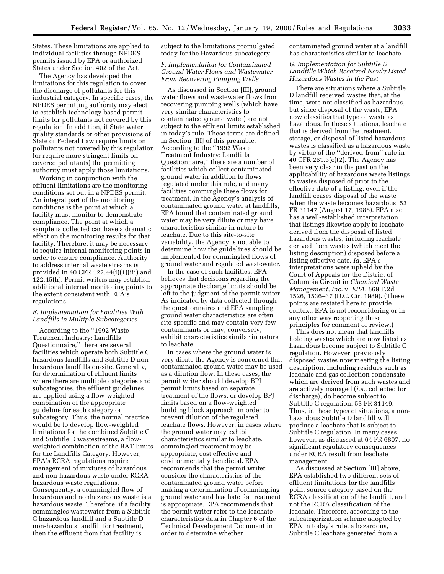States. These limitations are applied to individual facilities through NPDES permits issued by EPA or authorized States under Section 402 of the Act.

The Agency has developed the limitations for this regulation to cover the discharge of pollutants for this industrial category. In specific cases, the NPDES permitting authority may elect to establish technology-based permit limits for pollutants not covered by this regulation. In addition, if State water quality standards or other provisions of State or Federal Law require limits on pollutants not covered by this regulation (or require more stringent limits on covered pollutants) the permitting authority must apply those limitations.

Working in conjunction with the effluent limitations are the monitoring conditions set out in a NPDES permit. An integral part of the monitoring conditions is the point at which a facility must monitor to demonstrate compliance. The point at which a sample is collected can have a dramatic effect on the monitoring results for that facility. Therefore, it may be necessary to require internal monitoring points in order to ensure compliance. Authority to address internal waste streams is provided in 40 CFR 122.44(i)(1)(iii) and 122.45(h). Permit writers may establish additional internal monitoring points to the extent consistent with EPA's regulations.

## *E. Implementation for Facilities With Landfills in Multiple Subcategories*

According to the ''1992 Waste Treatment Industry: Landfills Questionnaire,'' there are several facilities which operate both Subtitle C hazardous landfills and Subtitle D nonhazardous landfills on-site. Generally, for determination of effluent limits where there are multiple categories and subcategories, the effluent guidelines are applied using a flow-weighted combination of the appropriate guideline for each category or subcategory. Thus, the normal practice would be to develop flow-weighted limitations for the combined Subtitle C and Subtitle D wastestreams, a flowweighted combination of the BAT limits for the Landfills Category. However, EPA's RCRA regulations require management of mixtures of hazardous and non-hazardous waste under RCRA hazardous waste regulations. Consequently, a commingled flow of hazardous and nonhazardous waste is a hazardous waste. Therefore, if a facility commingles wastewater from a Subtitle C hazardous landfill and a Subtitle D non-hazardous landfill for treatment, then the effluent from that facility is

subject to the limitations promulgated today for the Hazardous subcategory.

## *F. Implementation for Contaminated Ground Water Flows and Wastewater From Recovering Pumping Wells*

As discussed in Section [III], ground water flows and wastewater flows from recovering pumping wells (which have very similar characteristics to contaminated ground water) are not subject to the effluent limits established in today's rule. These terms are defined in Section [III] of this preamble. According to the ''1992 Waste Treatment Industry: Landfills Questionnaire,'' there are a number of facilities which collect contaminated ground water in addition to flows regulated under this rule, and many facilities commingle these flows for treatment. In the Agency's analysis of contaminated ground water at landfills, EPA found that contaminated ground water may be very dilute or may have characteristics similar in nature to leachate. Due to this site-to-site variability, the Agency is not able to determine how the guidelines should be implemented for commingled flows of ground water and regulated wastewater.

In the case of such facilities, EPA believes that decisions regarding the appropriate discharge limits should be left to the judgment of the permit writer. As indicated by data collected through the questionnaires and EPA sampling, ground water characteristics are often site-specific and may contain very few contaminants or may, conversely, exhibit characteristics similar in nature to leachate.

In cases where the ground water is very dilute the Agency is concerned that contaminated ground water may be used as a dilution flow. In these cases, the permit writer should develop BPJ permit limits based on separate treatment of the flows, or develop BPJ limits based on a flow-weighted building block approach, in order to prevent dilution of the regulated leachate flows. However, in cases where the ground water may exhibit characteristics similar to leachate, commingled treatment may be appropriate, cost effective and environmentally beneficial. EPA recommends that the permit writer consider the characteristics of the contaminated ground water before making a determination if commingling ground water and leachate for treatment is appropriate. EPA recommends that the permit writer refer to the leachate characteristics data in Chapter 6 of the Technical Development Document in order to determine whether

contaminated ground water at a landfill has characteristics similar to leachate.

## *G. Implementation for Subtitle D Landfills Which Received Newly Listed Hazardous Wastes in the Past*

There are situations where a Subtitle D landfill received wastes that, at the time, were not classified as hazardous, but since disposal of the waste, EPA now classifies that type of waste as hazardous. In these situations, leachate that is derived from the treatment, storage, or disposal of listed hazardous wastes is classified as a hazardous waste by virtue of the ''derived-from'' rule in 40 CFR 261.3(c)(2). The Agency has been very clear in the past on the applicability of hazardous waste listings to wastes disposed of prior to the effective date of a listing, even if the landfill ceases disposal of the waste when the waste becomes hazardous. 53 FR 31147 (August 17, 1988). EPA also has a well-established interpretation that listings likewise apply to leachate derived from the disposal of listed hazardous wastes, including leachate derived from wastes (which meet the listing description) disposed before a listing effective date. *Id.* EPA's interpretations were upheld by the Court of Appeals for the District of Columbia Circuit in *Chemical Waste Management, Inc.* v. *EPA,* 869 F.2d 1526, 1536–37 (D.C. Cir. 1989). (These points are restated here to provide context. EPA is not reconsidering or in any other way reopening these principles for comment or review.)

This does not mean that landfills holding wastes which are now listed as hazardous become subject to Subtitle C regulation. However, previously disposed wastes now meeting the listing description, including residues such as leachate and gas collection condensate which are derived from such wastes and are actively managed (*i.e.,* collected for discharge), do become subject to Subtitle C regulation. 53 FR 31149. Thus, in these types of situations, a nonhazardous Subtitle D landfill will produce a leachate that is subject to Subtitle C regulation. In many cases, however, as discussed at 64 FR 6807, no significant regulatory consequences under RCRA result from leachate management.

As discussed at Section [III] above, EPA established two different sets of effluent limitations for the landfills point source category based on the RCRA classification of the landfill, and not the RCRA classification of the leachate. Therefore, according to the subcategorization scheme adopted by EPA in today's rule, a hazardous, Subtitle C leachate generated from a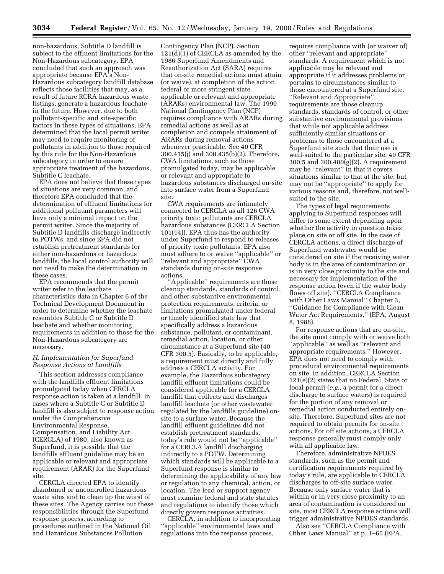non-hazardous, Subtitle D landfill is subject to the effluent limitations for the Non-Hazardous subcategory. EPA concluded that such an approach was appropriate because EPA's Non-Hazardous subcategory landfill database reflects those facilities that may, as a result of future RCRA hazardous waste listings, generate a hazardous leachate in the future. However, due to both pollutant-specific and site-specific factors in these types of situations, EPA determined that the local permit writer may need to require monitoring of pollutants in addition to those required by this rule for the Non-Hazardous subcategory in order to ensure appropriate treatment of the hazardous, Subtitle C leachate.

EPA does not believe that these types of situations are very common, and therefore EPA concluded that the determination of effluent limitations for additional pollutant parameters will have only a minimal impact on the permit writer. Since the majority of Subtitle D landfills discharge indirectly to POTWs, and since EPA did not establish pretreatment standards for either non-hazardous or hazardous landfills, the local control authority will not need to make the determination in these cases.

EPA recommends that the permit writer refer to the leachate characteristics data in Chapter 6 of the Technical Development Document in order to determine whether the leachate resembles Subtitle C or Subtitle D leachate and whether monitoring requirements in addition to those for the Non-Hazardous subcategory are necessary.

## *H. Implementation for Superfund Response Actions at Landfills*

This section addresses compliance with the landfills effluent limitations promulgated today when CERCLA response action is taken at a landfill. In cases where a Subtitle C or Subtitle D landfill is also subject to response action under the Comprehensive Environmental Response, Compensation, and Liability Act (CERCLA) of 1980, also known as Superfund, it is possible that the landfills effluent guideline may be an applicable or relevant and appropriate requirement (ARAR) for the Superfund site.

CERCLA directed EPA to identify abandoned or uncontrolled hazardous waste sites and to clean up the worst of these sites. The Agency carries out these responsibilities through the Superfund response process, according to procedures outlined in the National Oil and Hazardous Substances Pollution

Contingency Plan (NCP). Section 121(d)(1) of CERCLA as amended by the 1986 Superfund Amendments and Reauthorization Act (SARA) requires that on-site remedial actions must attain (or waive), at completion of the action, federal or more stringent state applicable or relevant and appropriate (ARARs) environmental law. The 1990 National Contingency Plan (NCP) requires compliance with ARARs during remedial actions as well as at completion and compels attainment of ARARs during removal actions whenever practicable. See 40 CFR 300.415(j) and 300.435(b)(2). Therefore, CWA limitations, such as those promulgated today, may be applicable or relevant and appropriate to hazardous substances discharged on-site into surface water from a Superfund site.

CWA requirements are intimately connected to CERCLA as all 126 CWA priority toxic pollutants are CERCLA hazardous substances (CERCLA Section 101(14)). EPA thus has the authority under Superfund to respond to releases of priority toxic pollutants. EPA also must adhere to or waive ''applicable'' or ''relevant and appropriate'' CWA standards during on-site response actions.

''Applicable'' requirements are those cleanup standards, standards of control, and other substantive environmental protection requirements, criteria, or limitations promulgated under federal or timely identified state law that specifically address a hazardous substance, pollutant, or contaminant, remedial action, location, or other circumstance at a Superfund site (40 CFR 300.5). Basically, to be applicable, a requirement must directly and fully address a CERCLA activity. For example, the Hazardous subcategory landfill effluent limitations could be considered applicable for a CERCLA landfill that collects and discharges landfill leachate (or other wastewater regulated by the landfills guideline) onsite to a surface water. Because the landfill effluent guidelines did not establish pretreatment standards, today's rule would not be ''applicable'' for a CERCLA landfill discharging indirectly to a POTW. Determining which standards will be applicable to a Superfund response is similar to determining the applicability of any law or regulation to any chemical, action, or location. The lead or support agency must examine federal and state statutes and regulations to identify those which directly govern response activities.

CERCLA, in addition to incorporating ''applicable'' environmental laws and regulations into the response process,

requires compliance with (or waiver of) other ''relevant and appropriate'' standards. A requirement which is not applicable may be relevant and appropriate if it addresses problems or pertains to circumstances similar to those encountered at a Superfund site. ''Relevant and Appropriate'' requirements are those cleanup standards, standards of control, or other substantive environmental provisions that while not applicable address sufficiently similar situations or problems to those encountered at a Superfund site such that their use is well-suited to the particular site. 40 CFR 300.5 and  $300.400(g)(2)$ . A requirement may be ''relevant'' in that it covers situations similar to that at the site, but may not be ''appropriate'' to apply for various reasons and, therefore, not wellsuited to the site.

The types of legal requirements applying to Superfund responses will differ to some extent depending upon whether the activity in question takes place on site or off site. In the case of CERCLA actions, a direct discharge of Superfund wastewater would be considered on site if the receiving water body is in the area of contamination or is in very close proximity to the site and necessary for implementation of the response action (even if the water body flows off site). ''CERCLA Compliance with Other Laws Manual'' Chapter 3, ''Guidance for Compliance with Clean Water Act Requirements,'' (EPA, August 8, 1988).

For response actions that are on-site, the site must comply with or waive both ''applicable'' as well as ''relevant and appropriate requirements.'' However, EPA does not need to comply with procedural environmental requirements on site. In addition, CERCLA Section 121(e)(2) states that no Federal, State or local permit (*e.g.,* a permit for a direct discharge to surface waters) is required for the portion of any removal or remedial action conducted entirely onsite. Therefore, Superfund sites are not required to obtain permits for on-site actions. For off site actions, a CERCLA response generally must comply only with all applicable law.

Therefore, administrative NPDES standards, such as the permit and certification requirements required by today's rule, are applicable to CERCLA discharges to off-site surface water. Because only surface water that is within or in very close proximity to an area of contamination is considered on site, most CERCLA response actions will trigger administrative NPDES standards.

Also see ''CERCLA Compliance with Other Laws Manual'' at p. 1–65 (EPA,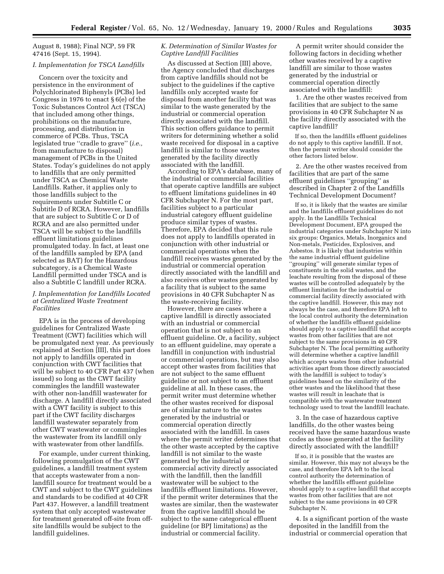August 8, 1988); Final NCP, 59 FR 47416 (Sept. 15, 1994).

#### *I. Implementation for TSCA Landfills*

Concern over the toxicity and persistence in the environment of Polychlorinated Biphenyls (PCBs) led Congress in 1976 to enact § 6(e) of the Toxic Substances Control Act (TSCA) that included among other things, prohibitions on the manufacture, processing, and distribution in commerce of PCBs. Thus, TSCA legislated true ''cradle to grave'' (*i.e.,* from manufacture to disposal) management of PCBs in the United States. Today's guidelines do not apply to landfills that are only permitted under TSCA as Chemical Waste Landfills. Rather, it applies only to those landfills subject to the requirements under Subtitle C or Subtitle D of RCRA. However, landfills that are subject to Subtitle C or D of RCRA and are also permitted under TSCA will be subject to the landfills effluent limitations guidelines promulgated today. In fact, at least one of the landfills sampled by EPA (and selected as BAT) for the Hazardous subcategory, is a Chemical Waste Landfill permitted under TSCA and is also a Subtitle C landfill under RCRA.

## *J. Implementation for Landfills Located at Centralized Waste Treatment Facilities*

EPA is in the process of developing guidelines for Centralized Waste Treatment (CWT) facilities which will be promulgated next year. As previously explained at Section [III], this part does not apply to landfills operated in conjunction with CWT facilities that will be subject to 40 CFR Part 437 (when issued) so long as the CWT facility commingles the landfill wastewater with other non-landfill wastewater for discharge. A landfill directly associated with a CWT facility is subject to this part if the CWT facility discharges landfill wastewater separately from other CWT wastewater or commingles the wastewater from its landfill only with wastewater from other landfills.

For example, under current thinking, following promulgation of the CWT guidelines, a landfill treatment system that accepts wastewater from a nonlandfill source for treatment would be a CWT and subject to the CWT guidelines and standards to be codified at 40 CFR Part 437. However, a landfill treatment system that only accepted wastewater for treatment generated off-site from offsite landfills would be subject to the landfill guidelines.

## *K. Determination of Similar Wastes for Captive Landfill Facilities*

As discussed at Section [III] above, the Agency concluded that discharges from captive landfills should not be subject to the guidelines if the captive landfills only accepted waste for disposal from another facility that was similar to the waste generated by the industrial or commercial operation directly associated with the landfill. This section offers guidance to permit writers for determining whether a solid waste received for disposal in a captive landfill is similar to those wastes generated by the facility directly associated with the landfill.

According to EPA's database, many of the industrial or commercial facilities that operate captive landfills are subject to effluent limitations guidelines in 40 CFR Subchapter N. For the most part, facilities subject to a particular industrial category effluent guideline produce similar types of wastes. Therefore, EPA decided that this rule does not apply to landfills operated in conjunction with other industrial or commercial operations when the landfill receives wastes generated by the industrial or commercial operation directly associated with the landfill and also receives other wastes generated by a facility that is subject to the same provisions in 40 CFR Subchapter N as the waste-receiving facility.

However, there are cases where a captive landfill is directly associated with an industrial or commercial operation that is not subject to an effluent guideline. Or, a facility, subject to an effluent guideline, may operate a landfill in conjunction with industrial or commercial operations, but may also accept other wastes from facilities that are not subject to the same effluent guideline or not subject to an effluent guideline at all. In these cases, the permit writer must determine whether the other wastes received for disposal are of similar nature to the wastes generated by the industrial or commercial operation directly associated with the landfill. In cases where the permit writer determines that the other waste accepted by the captive landfill is not similar to the waste generated by the industrial or commercial activity directly associated with the landfill, then the landfill wastewater will be subject to the landfills effluent limitations. However, if the permit writer determines that the wastes are similar, then the wastewater from the captive landfill should be subject to the same categorical effluent guideline (or BPJ limitations) as the industrial or commercial facility.

A permit writer should consider the following factors in deciding whether other wastes received by a captive landfill are similar to those wastes generated by the industrial or commercial operation directly associated with the landfill:

1. Are the other wastes received from facilities that are subject to the same provisions in 40 CFR Subchapter N as the facility directly associated with the captive landfill?

If so, then the landfills effluent guidelines do not apply to this captive landfill. If not, then the permit writer should consider the other factors listed below.

2. Are the other wastes received from facilities that are part of the same effluent guidelines ''grouping'' as described in Chapter 2 of the Landfills Technical Development Document?

If so, it is likely that the wastes are similar and the landfills effluent guidelines do not apply. In the Landfills Technical Development Document, EPA grouped the industrial categories under Subchapter N into six groups: Organics, Metals, Inorganics and Non-metals, Pesticides, Explosives, and Asbestos. It is likely that industries within the same industrial effluent guideline ''grouping'' will generate similar types of constituents in the solid wastes, and the leachate resulting from the disposal of these wastes will be controlled adequately by the effluent limitation for the industrial or commercial facility directly associated with the captive landfill. However, this may not always be the case, and therefore EPA left to the local control authority the determination of whether the landfills effluent guideline should apply to a captive landfill that accepts wastes from other facilities that are not subject to the same provisions in 40 CFR Subchapter N. The local permitting authority will determine whether a captive landfill which accepts wastes from other industrial activities apart from those directly associated with the landfill is subject to today's guidelines based on the similarity of the other wastes and the likelihood that these wastes will result in leachate that is compatible with the wastewater treatment technology used to treat the landfill leachate.

3. In the case of hazardous captive landfills, do the other wastes being received have the same hazardous waste codes as those generated at the facility directly associated with the landfill?

If so, it is possible that the wastes are similar. However, this may not always be the case, and therefore EPA left to the local control authority the determination of whether the landfills effluent guideline should apply to a captive landfill that accepts wastes from other facilities that are not subject to the same provisions in 40 CFR Subchapter N.

4. Is a significant portion of the waste deposited in the landfill from the industrial or commercial operation that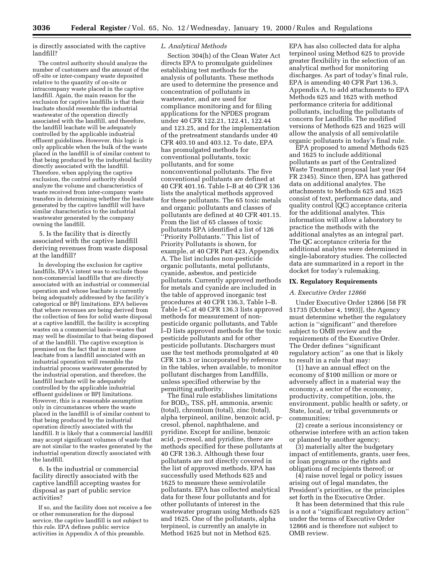is directly associated with the captive landfill?

The control authority should analyze the number of customers and the amount of the off-site or inter-company waste deposited relative to the quantity of on-site or intracompany waste placed in the captive landfill. Again, the main reason for the exclusion for captive landfills is that their leachate should resemble the industrial wastewater of the operation directly associated with the landfill, and therefore, the landfill leachate will be adequately controlled by the applicable industrial effluent guidelines. However, this logic is only applicable when the bulk of the waste placed in the landfill is of similar content to that being produced by the industrial facility directly associated with the landfill. Therefore, when applying the captive exclusion, the control authority should analyze the volume and characteristics of waste received from inter-company waste transfers in determining whether the leachate generated by the captive landfill will have similar characteristics to the industrial wastewater generated by the company owning the landfill.

5. Is the facility that is directly associated with the captive landfill deriving revenues from waste disposal at the landfill?

In developing the exclusion for captive landfills, EPA's intent was to exclude those non-commercial landfills that are directly associated with an industrial or commercial operation and whose leachate is currently being adequately addressed by the facility's categorical or BPJ limitations. EPA believes that where revenues are being derived from the collection of fees for solid waste disposal at a captive landfill, the facility is accepting wastes on a commercial basis—wastes that may well be dissimilar to that being disposed of at the landfill. The captive exception is premised on the fact that in most cases leachate from a landfill associated with an industrial operation will resemble the industrial process wastewater generated by the industrial operation, and therefore, the landfill leachate will be adequately controlled by the applicable industrial effluent guidelines or BPJ limitations. However, this is a reasonable assumption only in circumstances where the waste placed in the landfill is of similar content to that being produced by the industrial operation directly associated with the landfill. It is likely that a commercial landfill may accept significant volumes of waste that are not similar to the wastes generated by the industrial operation directly associated with the landfill.

6. Is the industrial or commercial facility directly associated with the captive landfill accepting wastes for disposal as part of public service activities?

If so, and the facility does not receive a fee or other remuneration for the disposal service, the captive landfill is not subject to this rule. EPA defines public service activities in Appendix A of this preamble.

## *L. Analytical Methods*

Section 304(h) of the Clean Water Act directs EPA to promulgate guidelines establishing test methods for the analysis of pollutants. These methods are used to determine the presence and concentration of pollutants in wastewater, and are used for compliance monitoring and for filing applications for the NPDES program under 40 CFR 122.21, 122.41, 122.44 and 123.25, and for the implementation of the pretreatment standards under 40 CFR 403.10 and 403.12. To date, EPA has promulgated methods for conventional pollutants, toxic pollutants, and for some nonconventional pollutants. The five conventional pollutants are defined at 40 CFR 401.16. Table I–B at 40 CFR 136 lists the analytical methods approved for these pollutants. The 65 toxic metals and organic pollutants and classes of pollutants are defined at 40 CFR 401.15. From the list of 65 classes of toxic pollutants EPA identified a list of 126 ''Priority Pollutants.'' This list of Priority Pollutants is shown, for example, at 40 CFR Part 423, Appendix A. The list includes non-pesticide organic pollutants, metal pollutants, cyanide, asbestos, and pesticide pollutants. Currently approved methods for metals and cyanide are included in the table of approved inorganic test procedures at 40 CFR 136.3, Table I–B. Table I–C at 40 CFR 136.3 lists approved methods for measurement of nonpesticide organic pollutants, and Table I–D lists approved methods for the toxic pesticide pollutants and for other pesticide pollutants. Dischargers must use the test methods promulgated at 40 CFR 136.3 or incorporated by reference in the tables, when available, to monitor pollutant discharges from Landfills, unless specified otherwise by the permitting authority.

The final rule establishes limitations for BOD5, TSS, pH, ammonia, arsenic (total), chromium (total), zinc (total), alpha terpineol, aniline, benzoic acid, pcresol, phenol, naphthalene, and pyridine. Except for aniline, benzoic acid, p-cresol, and pyridine, there are methods specified for these pollutants at 40 CFR 136.3. Although these four pollutants are not directly covered in the list of approved methods, EPA has successfully used Methods 625 and 1625 to measure these semivolatile pollutants. EPA has collected analytical data for these four pollutants and for other pollutants of interest in the wastewater program using Methods 625 and 1625. One of the pollutants, alpha terpineol, is currently an analyte in Method 1625 but not in Method 625.

EPA has also collected data for alpha terpineol using Method 625 to provide greater flexibility in the selection of an analytical method for monitoring discharges. As part of today's final rule, EPA is amending 40 CFR Part 136.3, Appendix A, to add attachments to EPA Methods 625 and 1625 with method performance criteria for additional pollutants, including the pollutants of concern for Landfills. The modified versions of Methods 625 and 1625 will allow the analysis of all semivolatile organic pollutants in today's final rule.

EPA proposed to amend Methods 625 and 1625 to include additional pollutants as part of the Centralized Waste Treatment proposal last year (64 FR 2345). Since then, EPA has gathered data on additional analytes. The attachments to Methods 625 and 1625 consist of text, performance data, and quality control (QC) acceptance criteria for the additional analytes. This information will allow a laboratory to practice the methods with the additional analytes as an integral part. The QC acceptance criteria for the additional analytes were determined in single-laboratory studies. The collected data are summarized in a report in the docket for today's rulemaking.

## **IX. Regulatory Requirements**

## *A. Executive Order 12866*

Under Executive Order 12866 [58 FR 51735 (October 4, 1993)], the Agency must determine whether the regulatory action is ''significant'' and therefore subject to OMB review and the requirements of the Executive Order. The Order defines ''significant regulatory action'' as one that is likely to result in a rule that may:

(1) have an annual effect on the economy of \$100 million or more or adversely affect in a material way the economy, a sector of the economy, productivity, competition, jobs, the environment, public health or safety, or State, local, or tribal governments or communities;

(2) create a serious inconsistency or otherwise interfere with an action taken or planned by another agency;

(3) materially alter the budgetary impact of entitlements, grants, user fees, or loan programs or the rights and obligations of recipients thereof; or

(4) raise novel legal or policy issues arising out of legal mandates, the President's priorities, or the principles set forth in the Executive Order.

It has been determined that this rule is a not a ''significant regulatory action'' under the terms of Executive Order 12866 and is therefore not subject to OMB review.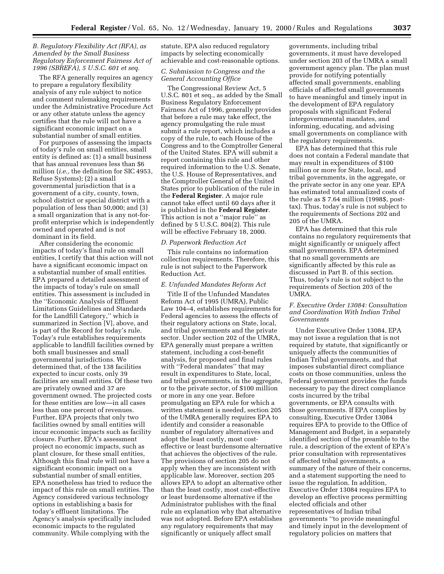## *B. Regulatory Flexibility Act (RFA), as Amended by the Small Business Regulatory Enforcement Fairness Act of 1996 (SBREFA), 5 U.S.C. 601 et seq.*

The RFA generally requires an agency to prepare a regulatory flexibility analysis of any rule subject to notice and comment rulemaking requirements under the Administrative Procedure Act or any other statute unless the agency certifies that the rule will not have a significant economic impact on a substantial number of small entities.

For purposes of assessing the impacts of today's rule on small entities, small entity is defined as: (1) a small business that has annual revenues less than \$6 million (*i.e.,* the definition for SIC 4953, Refuse Systems); (2) a small governmental jurisdiction that is a government of a city, county, town, school district or special district with a population of less than 50,000; and (3) a small organization that is any not-forprofit enterprise which is independently owned and operated and is not dominant in its field.

After considering the economic impacts of today's final rule on small entities, I certify that this action will not have a significant economic impact on a substantial number of small entities. EPA prepared a detailed assessment of the impacts of today's rule on small entities. This assessment is included in the ''Economic Analysis of Effluent Limitations Guidelines and Standards for the Landfill Category,'' which is summarized in Section [V], above, and is part of the Record for today's rule. Today's rule establishes requirements applicable to landfill facilities owned by both small businesses and small governmental jurisdictions. We determined that, of the 138 facilities expected to incur costs, only 39 facilities are small entities. Of these two are privately owned and 37 are government owned. The projected costs for these entities are low—in all cases less than one percent of revenues. Further, EPA projects that only two facilities owned by small entities will incur economic impacts such as facility closure. Further, EPA's assessment project no economic impacts, such as plant closure, for these small entities, Although this final rule will not have a significant economic impact on a substantial number of small entities, EPA nonetheless has tried to reduce the impact of this rule on small entities. The Agency considered various technology options in establishing a basis for today's effluent limitations. The Agency's analysis specifically included economic impacts to the regulated community. While complying with the

statute, EPA also reduced regulatory impacts by selecting economically achievable and cost-reasonable options.

## *C. Submission to Congress and the General Accounting Office*

The Congressional Review Act, 5 U.S.C. 801 et seq., as added by the Small Business Regulatory Enforcement Fairness Act of 1996, generally provides that before a rule may take effect, the agency promulgating the rule must submit a rule report, which includes a copy of the rule, to each House of the Congress and to the Comptroller General of the United States. EPA will submit a report containing this rule and other required information to the U.S. Senate, the U.S. House of Representatives, and the Comptroller General of the United States prior to publication of the rule in the **Federal Register**. A major rule cannot take effect until 60 days after it is published in the **Federal Register**. This action is not a ''major rule'' as defined by 5 U.S.C. 804(2). This rule will be effective February 18, 2000.

## *D. Paperwork Reduction Act*

This rule contains no information collection requirements. Therefore, this rule is not subject to the Paperwork Reduction Act.

## *E. Unfunded Mandates Reform Act*

Title II of the Unfunded Mandates Reform Act of 1995 (UMRA), Public Law 104–4, establishes requirements for Federal agencies to assess the effects of their regulatory actions on State, local, and tribal governments and the private sector. Under section 202 of the UMRA, EPA generally must prepare a written statement, including a cost-benefit analysis, for proposed and final rules with ''Federal mandates'' that may result in expenditures to State, local, and tribal governments, in the aggregate, or to the private sector, of \$100 million or more in any one year. Before promulgating an EPA rule for which a written statement is needed, section 205 of the UMRA generally requires EPA to identify and consider a reasonable number of regulatory alternatives and adopt the least costly, most costeffective or least burdensome alternative that achieves the objectives of the rule. The provisions of section 205 do not apply when they are inconsistent with applicable law. Moreover, section 205 allows EPA to adopt an alternative other than the least costly, most cost-effective or least burdensome alternative if the Administrator publishes with the final rule an explanation why that alternative was not adopted. Before EPA establishes any regulatory requirements that may significantly or uniquely affect small

governments, including tribal governments, it must have developed under section 203 of the UMRA a small government agency plan. The plan must provide for notifying potentially affected small governments, enabling officials of affected small governments to have meaningful and timely input in the development of EPA regulatory proposals with significant Federal intergovernmental mandates, and informing, educating, and advising small governments on compliance with the regulatory requirements.

EPA has determined that this rule does not contain a Federal mandate that may result in expenditures of \$100 million or more for State, local, and tribal governments, in the aggregate, or the private sector in any one year. EPA has estimated total annualized costs of the rule as \$ 7.64 million (1998\$, posttax). Thus, today's rule is not subject to the requirements of Sections 202 and 205 of the UMRA.

EPA has determined that this rule contains no regulatory requirements that might significantly or uniquely affect small governments. EPA determined that no small governments are significantly affected by this rule as discussed in Part B. of this section. Thus, today's rule is not subject to the requirements of Section 203 of the UMRA.

## *F. Executive Order 13084: Consultation and Coordination With Indian Tribal Governments*

Under Executive Order 13084, EPA may not issue a regulation that is not required by statute, that significantly or uniquely affects the communities of Indian Tribal governments, and that imposes substantial direct compliance costs on those communities, unless the Federal government provides the funds necessary to pay the direct compliance costs incurred by the tribal governments, or EPA consults with those governments. If EPA complies by consulting, Executive Order 13084 requires EPA to provide to the Office of Management and Budget, in a separately identified section of the preamble to the rule, a description of the extent of EPA's prior consultation with representatives of affected tribal governments, a summary of the nature of their concerns, and a statement supporting the need to issue the regulation. In addition, Executive Order 13084 requires EPA to develop an effective process permitting elected officials and other representatives of Indian tribal governments ''to provide meaningful and timely input in the development of regulatory policies on matters that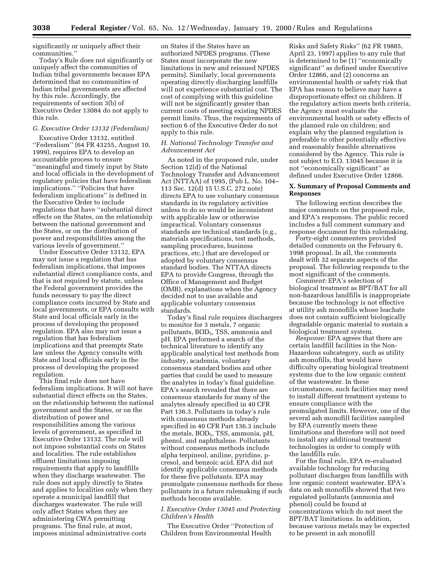significantly or uniquely affect their communities.''

Today's Rule does not significantly or uniquely affect the communities of Indian tribal governments because EPA determined that no communities of Indian tribal governments are affected by this rule. Accordingly, the requirements of section 3(b) of Executive Order 13084 do not apply to this rule.

## *G. Executive Order 13132 (Federalism)*

Executive Order 13132, entitled ''Federalism'' (64 FR 43255, August 10, 1999), requires EPA to develop an accountable process to ensure ''meaningful and timely input by State and local officials in the development of regulatory policies that have federalism implications.'' ''Policies that have federalism implications'' is defined in the Executive Order to include regulations that have ''substantial direct effects on the States, on the relationship between the national government and the States, or on the distribution of power and responsibilities among the various levels of government.''

Under Executive Order 13132, EPA may not issue a regulation that has federalism implications, that imposes substantial direct compliance costs, and that is not required by statute, unless the Federal government provides the funds necessary to pay the direct compliance costs incurred by State and local governments, or EPA consults with State and local officials early in the process of developing the proposed regulation. EPA also may not issue a regulation that has federalism implications and that preempts State law unless the Agency consults with State and local officials early in the process of developing the proposed regulation.

This final rule does not have federalism implications. It will not have substantial direct effects on the States, on the relationship between the national government and the States, or on the distribution of power and responsibilities among the various levels of government, as specified in Executive Order 13132. The rule will not impose substantial costs on States and localities. The rule establishes effluent limitations imposing requirements that apply to landfills when they discharge wastewater. The rule does not apply directly to States and applies to localities only when they operate a municipal landfill that discharges wastewater. The rule will only affect States when they are administering CWA permitting programs. The final rule, at most, imposes minimal administrative costs

on States if the States have an authorized NPDES programs. (These States must incorporate the new limitations in new and reissued NPDES permits). Similarly, local governments operating directly discharging landfills will not experience substantial cost. The cost of complying with this guideline will not be significantly greater than current costs of meeting existing NPDES permit limits. Thus, the requirements of section 6 of the Executive Order do not apply to this rule.

## *H. National Technology Transfer and Advancement Act*

As noted in the proposed rule, under Section 12(d) of the National Technology Transfer and Advancement Act (NTTAA) of 1995, (Pub L. No. 104– 113 Sec. 12(d) 15 U.S.C. 272 note) directs EPA to use voluntary consensus standards in its regulatory activities unless to do so would be inconsistent with applicable law or otherwise impractical. Voluntary consensus standards are technical standards (e.g., materials specifications, test methods, sampling procedures, business practices, etc.) that are developed or adopted by voluntary consensus standard bodies. The NTTAA directs EPA to provide Congress, through the Office of Management and Budget (OMB), explanations when the Agency decided not to use available and applicable voluntary consensus standards.

Today's final rule requires dischargers to monitor for 3 metals, 7 organic pollutants, BOD<sub>5</sub>, TSS, ammonia and pH. EPA performed a search of the technical literature to identify any applicable analytical test methods from industry, academia, voluntary consensus standard bodies and other parties that could be used to measure the analytes in today's final guideline. EPA's search revealed that there are consensus standards for many of the analytes already specified in 40 CFR Part 136.3. Pollutants in today's rule with consensus methods already specified in 40 CFR Part 136.3 include the metals, BOD<sub>5</sub>, TSS, ammonia, pH, phenol, and naphthalene. Pollutants without consensus methods include alpha terpineol, aniline, pyridine, pcresol, and benzoic acid. EPA did not identify applicable consensus methods for these five pollutants. EPA may promulgate consensus methods for these pollutants in a future rulemaking if such methods become available.

## *I. Executive Order 13045 and Protecting Children's Health*

The Executive Order ''Protection of Children from Environmental Health

Risks and Safety Risks'' (62 FR 19885, April 23, 1997) applies to any rule that is determined to be (1) ''economically significant'' as defined under Executive Order 12866, and (2) concerns an environmental health or safety risk that EPA has reason to believe may have a disproportionate effect on children. If the regulatory action meets both criteria, the Agency must evaluate the environmental health or safety effects of the planned rule on children; and explain why the planned regulation is preferable to other potentially effective and reasonably feasible alternatives considered by the Agency. This rule is not subject to E.O. 13045 because it is not ''economically significant'' as defined under Executive Order 12866.

## **X. Summary of Proposal Comments and Responses**

The following section describes the major comments on the proposed rule, and EPA's responses. The public record includes a full comment summary and response document for this rulemaking.

Forty-eight commenters provided detailed comments on the February 6, 1998 proposal. In all, the comments dealt with 32 separate aspects of the proposal. The following responds to the most significant of the comments.

*Comment:* EPA's selection of biological treatment as BPT/BAT for all non-hazardous landfills is inappropriate because the technology is not effective at utility ash monofills whose leachate does not contain sufficient biologically degradable organic material to sustain a biological treatment system.

*Response:* EPA agrees that there are certain landfill facilities in the Non-Hazardous subcategory, such as utility ash monofills, that would have difficulty operating biological treatment systems due to the low organic content of the wastewater. In these circumstances, such facilities may need to install different treatment systems to ensure compliance with the promulgated limits. However, one of the several ash monofill facilities sampled by EPA currently meets these limitations and therefore will not need to install any additional treatment technologies in order to comply with the landfills rule.

For the final rule, EPA re-evaluated available technology for reducing pollutant discharges from landfills with low organic content wastewater. EPA's data on ash monofills showed that two regulated pollutants (ammonia and phenol) could be found at concentrations which do not meet the BPT/BAT limitations. In addition, because various metals may be expected to be present in ash monofill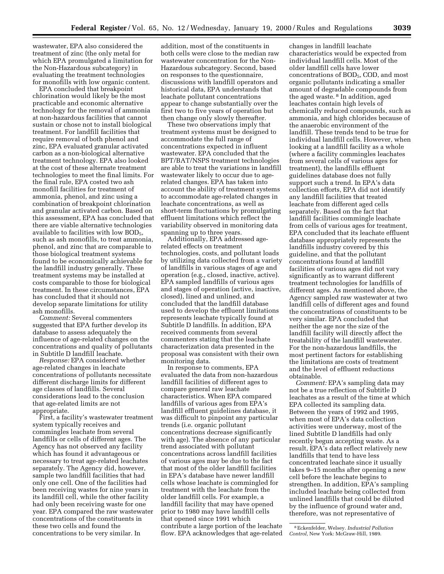wastewater, EPA also considered the treatment of zinc (the only metal for which EPA promulgated a limitation for the Non-Hazardous subcategory) in evaluating the treatment technologies for monofills with low organic content.

EPA concluded that breakpoint chlorination would likely be the most practicable and economic alternative technology for the removal of ammonia at non-hazardous facilities that cannot sustain or chose not to install biological treatment. For landfill facilities that require removal of both phenol and zinc, EPA evaluated granular activated carbon as a non-biological alternative treatment technology. EPA also looked at the cost of these alternate treatment technologies to meet the final limits. For the final rule, EPA costed two ash monofill facilities for treatment of ammonia, phenol, and zinc using a combination of breakpoint chlorination and granular activated carbon. Based on this assessment, EPA has concluded that there are viable alternative technologies available to facilities with low  $BOD<sub>5</sub>$ , such as ash monofills, to treat ammonia, phenol, and zinc that are comparable to those biological treatment systems found to be economically achievable for the landfill industry generally. These treatment systems may be installed at costs comparable to those for biological treatment. In these circumstances, EPA has concluded that it should not develop separate limitations for utility ash monofills.

*Comment:* Several commenters suggested that EPA further develop its database to assess adequately the influence of age-related changes on the concentrations and quality of pollutants in Subtitle D landfill leachate.

*Response:* EPA considered whether age-related changes in leachate concentrations of pollutants necessitate different discharge limits for different age classes of landfills. Several considerations lead to the conclusion that age-related limits are not appropriate.

First, a facility's wastewater treatment system typically receives and commingles leachate from several landfills or cells of different ages. The Agency has not observed any facility which has found it advantageous or necessary to treat age-related leachates separately. The Agency did, however, sample two landfill facilities that had only one cell. One of the facilities had been receiving wastes for nine years in its landfill cell, while the other facility had only been receiving waste for one year. EPA compared the raw wastewater concentrations of the constituents in these two cells and found the concentrations to be very similar. In

addition, most of the constituents in both cells were close to the median raw wastewater concentration for the Non-Hazardous subcategory. Second, based on responses to the questionnaire, discussions with landfill operators and historical data, EPA understands that leachate pollutant concentrations appear to change substantially over the first two to five years of operation but then change only slowly thereafter.

These two observations imply that treatment systems must be designed to accommodate the full range of concentrations expected in influent wastewater. EPA concluded that the BPT/BAT/NSPS treatment technologies are able to treat the variations in landfill wastewater likely to occur due to agerelated changes. EPA has taken into account the ability of treatment systems to accommodate age-related changes in leachate concentrations, as well as short-term fluctuations by promulgating effluent limitations which reflect the variability observed in monitoring data spanning up to three years.

Additionally, EPA addressed agerelated effects on treatment technologies, costs, and pollutant loads by utilizing data collected from a variety of landfills in various stages of age and operation (e.g., closed, inactive, active). EPA sampled landfills of various ages and stages of operation (active, inactive, closed), lined and unlined, and concluded that the landfill database used to develop the effluent limitations represents leachate typically found at Subtitle D landfills. In addition, EPA received comments from several commenters stating that the leachate characterization data presented in the proposal was consistent with their own monitoring data.

In response to comments, EPA evaluated the data from non-hazardous landfill facilities of different ages to compare general raw leachate characteristics. When EPA compared landfills of various ages from EPA's landfill effluent guidelines database, it was difficult to pinpoint any particular trends (i.e. organic pollutant concentrations decrease significantly with age). The absence of any particular trend associated with pollutant concentrations across landfill facilities of various ages may be due to the fact that most of the older landfill facilities in EPA's database have newer landfill cells whose leachate is commingled for treatment with the leachate from the older landfill cells. For example, a landfill facility that may have opened prior to 1980 may have landfill cells that opened since 1991 which contribute a large portion of the leachate flow. EPA acknowledges that age-related

changes in landfill leachate characteristics would be expected from individual landfill cells. Most of the older landfill cells have lower concentrations of BOD<sub>5</sub>, COD, and most organic pollutants indicating a smaller amount of degradable compounds from the aged waste. 8 In addition, aged leachates contain high levels of chemically reduced compounds, such as ammonia, and high chlorides because of the anaerobic environment of the landfill. These trends tend to be true for individual landfill cells. However, when looking at a landfill facility as a whole (where a facility commingles leachates from several cells of various ages for treatment), the landfills effluent guidelines database does not fully support such a trend. In EPA's data collection efforts, EPA did not identify any landfill facilities that treated leachate from different aged cells separately. Based on the fact that landfill facilities commingle leachate from cells of various ages for treatment, EPA concluded that its leachate effluent database appropriately represents the landfills industry covered by this guideline, and that the pollutant concentrations found at landfill facilities of various ages did not vary significantly as to warrant different treatment technologies for landfills of different ages. As mentioned above, the Agency sampled raw wastewater at two landfill cells of different ages and found the concentrations of constituents to be very similar. EPA concluded that neither the age nor the size of the landfill facility will directly affect the treatability of the landfill wastewater. For the non-hazardous landfills, the most pertinent factors for establishing the limitations are costs of treatment and the level of effluent reductions obtainable.

*Comment:* EPA's sampling data may not be a true reflection of Subtitle D leachates as a result of the time at which EPA collected its sampling data. Between the years of 1992 and 1995, when most of EPA's data collection activities were underway, most of the lined Subtitle D landfills had only recently begun accepting waste. As a result, EPA's data reflect relatively new landfills that tend to have less concentrated leachate since it usually takes 9–15 months after opening a new cell before the leachate begins to strengthen. In addition, EPA's sampling included leachate being collected from unlined landfills that could be diluted by the influence of ground water and, therefore, was not representative of

<sup>8</sup>Eckenfelder, Welsey. *Industrial Pollution Control,* New York: McGraw-Hill, 1989.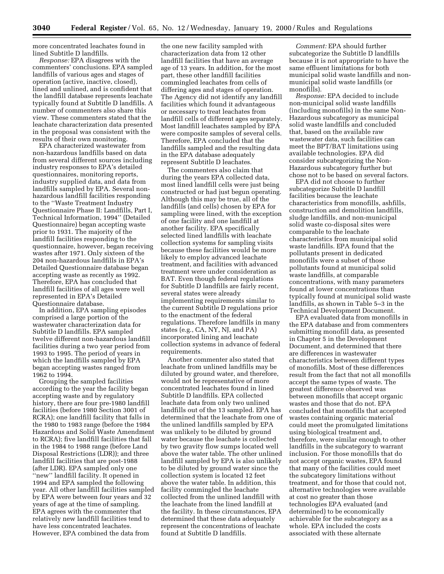more concentrated leachates found in lined Subtitle D landfills.

*Response:* EPA disagrees with the commenters' conclusions. EPA sampled landfills of various ages and stages of operation (active, inactive, closed), lined and unlined, and is confident that the landfill database represents leachate typically found at Subtitle D landfills. A number of commenters also share this view. These commenters stated that the leachate characterization data presented in the proposal was consistent with the results of their own monitoring.

EPA characterized wastewater from non-hazardous landfills based on data from several different sources including industry responses to EPA's detailed questionnaires, monitoring reports, industry supplied data, and data from landfills sampled by EPA. Several nonhazardous landfill facilities responding to the ''Waste Treatment Industry Questionnaire Phase II: Landfills, Part I, Technical Information, 1994'' (Detailed Questionnaire) began accepting waste prior to 1931. The majority of the landfill facilities responding to the questionnaire, however, began receiving wastes after 1971. Only sixteen of the 204 non-hazardous landfills in EPA's Detailed Questionnaire database began accepting waste as recently as 1992. Therefore, EPA has concluded that landfill facilities of all ages were well represented in EPA's Detailed Questionnaire database.

In addition, EPA sampling episodes comprised a large portion of the wastewater characterization data for Subtitle D landfills. EPA sampled twelve different non-hazardous landfill facilities during a two year period from 1993 to 1995. The period of years in which the landfills sampled by EPA began accepting wastes ranged from 1962 to 1994.

Grouping the sampled facilities according to the year the facility began accepting waste and by regulatory history, there are four pre-1980 landfill facilities (before 1980 Section 3001 of RCRA); one landfill facility that falls in the 1980 to 1983 range (before the 1984 Hazardous and Solid Waste Amendment to RCRA); five landfill facilities that fall in the 1984 to 1988 range (before Land Disposal Restrictions (LDR)); and three landfill facilities that are post-1988 (after LDR). EPA sampled only one ''new'' landfill facility. It opened in 1994 and EPA sampled the following year. All other landfill facilities sampled by EPA were between four years and 32 years of age at the time of sampling. EPA agrees with the commenter that relatively new landfill facilities tend to have less concentrated leachates. However, EPA combined the data from

the one new facility sampled with characterization data from 12 other landfill facilities that have an average age of 13 years. In addition, for the most part, these other landfill facilities commingled leachates from cells of differing ages and stages of operation. The Agency did not identify any landfill facilities which found it advantageous or necessary to treat leachates from landfill cells of different ages separately. Most landfill leachates sampled by EPA were composite samples of several cells. Therefore, EPA concluded that the landfills sampled and the resulting data in the EPA database adequately represent Subtitle D leachates.

The commenters also claim that during the years EPA collected data, most lined landfill cells were just being constructed or had just begun operating. Although this may be true, all of the landfills (and cells) chosen by EPA for sampling were lined, with the exception of one facility and one landfill at another facility. EPA specifically selected lined landfills with leachate collection systems for sampling visits because these facilities would be more likely to employ advanced leachate treatment, and facilities with advanced treatment were under consideration as BAT. Even though federal regulations for Subtitle D landfills are fairly recent, several states were already implementing requirements similar to the current Subtitle D regulations prior to the enactment of the federal regulations. Therefore landfills in many states (e.g., CA, NY, NJ, and PA) incorporated lining and leachate collection systems in advance of federal requirements.

Another commenter also stated that leachate from unlined landfills may be diluted by ground water, and therefore, would not be representative of more concentrated leachates found in lined Subtitle D landfills. EPA collected leachate data from only two unlined landfills out of the 13 sampled. EPA has determined that the leachate from one of the unlined landfills sampled by EPA was unlikely to be diluted by ground water because the leachate is collected by two gravity flow sumps located well above the water table. The other unlined landfill sampled by EPA is also unlikely to be diluted by ground water since the collection system is located 12 feet above the water table. In addition, this facility commingled the leachate collected from the unlined landfill with the leachate from the lined landfill at the facility. In these circumstances, EPA determined that these data adequately represent the concentrations of leachate found at Subtitle D landfills.

*Comment:* EPA should further subcategorize the Subtitle D landfills because it is not appropriate to have the same effluent limitations for both municipal solid waste landfills and nonmunicipal solid waste landfills (or monofills).

*Response:* EPA decided to include non-municipal solid waste landfills (including monofills) in the same Non-Hazardous subcategory as municipal solid waste landfills and concluded that, based on the available raw wastewater data, such facilities can meet the BPT/BAT limitations using available technologies. EPA did consider subcategorizing the Non-Hazardous subcategory further but chose not to be based on several factors.

EPA did not choose to further subcategorize Subtitle D landfill facilities because the leachate characteristics from monofills, ashfills, construction and demolition landfills, sludge landfills, and non-municipal solid waste co-disposal sites were comparable to the leachate characteristics from municipal solid waste landfills. EPA found that the pollutants present in dedicated monofills were a subset of those pollutants found at municipal solid waste landfills, at comparable concentrations, with many parameters found at lower concentrations than typically found at municipal solid waste landfills, as shown in Table 5–3 in the Technical Development Document.

EPA evaluated data from monofills in the EPA database and from commenters submitting monofill data, as presented in Chapter 5 in the Development Document, and determined that there are differences in wastewater characteristics between different types of monofills. Most of these differences result from the fact that not all monofills accept the same types of waste. The greatest difference observed was between monofills that accept organic wastes and those that do not. EPA concluded that monofills that accepted wastes containing organic material could meet the promulgated limitations using biological treatment and, therefore, were similar enough to other landfills in the subcategory to warrant inclusion. For those monofills that do not accept organic wastes, EPA found that many of the facilities could meet the subcategory limitations without treatment, and for those that could not, alternative technologies were available at cost no greater than those technologies EPA evaluated (and determined) to be economically achievable for the subcategory as a whole. EPA included the costs associated with these alternate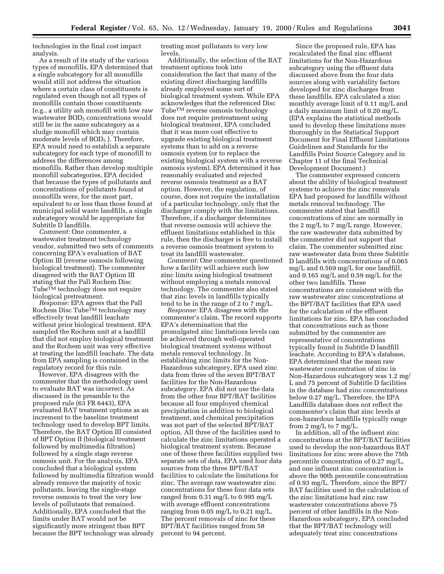technologies in the final cost impact analysis.

As a result of its study of the various types of monofills, EPA determined that a single subcategory for all monofills would still not address the situation where a certain class of constituents is regulated even though not all types of monofills contain those constituents (e.g., a utility ash monofill with low raw wastewater  $BOD<sub>5</sub>$  concentrations would still be in the same subcategory as a sludge monofill which may contain moderate levels of  $BOD<sub>5</sub>$ ). Therefore, EPA would need to establish a separate subcategory for each type of monofill to address the differences among monofills. Rather than develop multiple monofill subcategories, EPA decided that because the types of pollutants and concentrations of pollutants found at monofills were, for the most part, equivalent to or less than those found at municipal solid waste landfills, a single subcategory would be appropriate for Subtitle D landfills.

*Comment:* One commenter, a wastewater treatment technology vendor, submitted two sets of comments concerning EPA's evaluation of BAT Option III (reverse osmosis following biological treatment). The commenter disagreed with the BAT Option III stating that the Pall Rochem Disc Tube<sup>™</sup> technology does not require biological pretreatment.

*Response:* EPA agrees that the Pall Rochem Disc Tube<sup>TM</sup> technology may effectively treat landfill leachate without prior biological treatment. EPA sampled the Rochem unit at a landfill that did not employ biological treatment and the Rochem unit was very effective at treating the landfill leachate. The data from EPA sampling is contained in the regulatory record for this rule.

However, EPA disagrees with the commenter that the methodology used to evaluate BAT was incorrect. As discussed in the preamble to the proposed rule (63 FR 6443), EPA evaluated BAT treatment options as an increment to the baseline treatment technology used to develop BPT limits. Therefore, the BAT Option III consisted of BPT Option II (biological treatment followed by multimedia filtration) followed by a single stage reverse osmosis unit. For the analysis, EPA concluded that a biological system followed by multimedia filtration would already remove the majority of toxic pollutants, leaving the single-stage reverse osmosis to treat the very low levels of pollutants that remained. Additionally, EPA concluded that the limits under BAT would not be significantly more stringent than BPT because the BPT technology was already

treating most pollutants to very low levels.

Additionally, the selection of the BAT treatment options took into consideration the fact that many of the existing direct discharging landfills already employed some sort of biological treatment system. While EPA acknowledges that the referenced Disc TubeTM reverse osmosis technology does not require pretreatment using biological treatment, EPA concluded that it was more cost effective to upgrade existing biological treatment systems than to add on a reverse osmosis system (or to replace the existing biological system with a reverse osmosis system). EPA determined it has reasonably evaluated and rejected reverse osmosis treatment as a BAT option. However, the regulation, of course, does not require the installation of a particular technology, only that the discharger comply with the limitations. Therefore, if a discharger determines that reverse osmosis will achieve the effluent limitations established in this rule, then the discharger is free to install a reverse osmosis treatment system to treat its landfill wastewater.

*Comment:* One commenter questioned how a facility will achieve such low zinc limits using biological treatment without employing a metals removal technology. The commenter also stated that zinc levels in landfills typically tend to be in the range of 2 to 7 mg/L.

*Response:* EPA disagrees with the commenter's claim. The record supports EPA's determination that the promulgated zinc limitations levels can be achieved through well-operated biological treatment systems without metals removal technology. In establishing zinc limits for the Non-Hazardous subcategory, EPA used zinc data from three of the seven BPT/BAT facilities for the Non-Hazardous subcategory. EPA did not use the data from the other four BPT/BAT facilities because all four employed chemical precipitation in addition to biological treatment, and chemical precipitation was not part of the selected BPT/BAT option. All three of the facilities used to calculate the zinc limitations operated a biological treatment system. Because one of these three facilities supplied two separate sets of data, EPA used four data sources from the three BPT/BAT facilities to calculate the limitations for zinc. The average raw wastewater zinc concentrations for these four data sets ranged from 0.31 mg/L to 0.995 mg/L with average effluent concentrations ranging from 0.05 mg/L to 0.21 mg/L. The percent removals of zinc for these BPT/BAT facilities ranged from 58 percent to 94 percent.

Since the proposed rule, EPA has recalculated the final zinc effluent limitations for the Non-Hazardous subcategory using the effluent data discussed above from the four data sources along with variability factors developed for zinc discharges from these landfills. EPA calculated a zinc monthly average limit of 0.11 mg/L and a daily maximum limit of 0.20 mg/L. (EPA explains the statistical methods used to develop these limitations more thoroughly in the Statistical Support Document for Final Effluent Limitations Guidelines and Standards for the Landfills Point Source Category and in Chapter 11 of the final Technical Development Document.)

The commenter expressed concern about the ability of biological treatment systems to achieve the zinc removals EPA had proposed for landfills without metals removal technology. The commenter stated that landfill concentrations of zinc are normally in the 2 mg/L to 7 mg/L range. However, the raw wastewater data submitted by the commenter did not support that claim. The commenter submitted zinc raw wastewater data from three Subtitle D landfills with concentrations of 0.065 mg/L and 0.569 mg/L for one landfill, and 0.165 mg/L and 0.59 mg/L for the other two landfills. These concentrations are consistent with the raw wastewater zinc concentrations at the BPT/BAT facilities that EPA used for the calculation of the effluent limitations for zinc. EPA has concluded that concentrations such as those submitted by the commenter are representative of concentrations typically found in Subtitle D landfill leachate. According to EPA's database, EPA determined that the mean raw wastewater concentration of zinc in Non-Hazardous subcategory was 1.2 mg/ L and 75 percent of Subtitle D facilities in the database had zinc concentrations below 0.27 mg/L. Therefore, the EPA Landfills database does not reflect the commenter's claim that zinc levels at non-hazardous landfills typically range from 2 mg/L to 7 mg/L.

In addition, all of the influent zinc concentrations at the BPT/BAT facilities used to develop the non-hazardous BAT limitations for zinc were above the 75th percentile concentration of 0.27 mg/L, and one influent zinc concentration is above the 90th percentile concentration of 0.93 mg/L. Therefore, since the BPT/ BAT facilities used in the calculation of the zinc limitations had zinc raw wastewater concentrations above 75 percent of other landfills in the Non-Hazardous subcategory, EPA concluded that the BPT/BAT technology will adequately treat zinc concentrations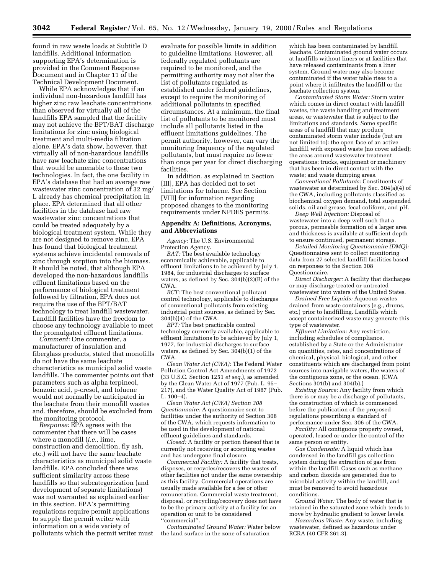found in raw waste loads at Subtitle D landfills. Additional information supporting EPA's determination is provided in the Comment Response Document and in Chapter 11 of the Technical Development Document.

While EPA acknowledges that if an individual non-hazardous landfill has higher zinc raw leachate concentrations than observed for virtually all of the landfills EPA sampled that the facility may not achieve the BPT/BAT discharge limitations for zinc using biological treatment and multi-media filtration alone. EPA's data show, however, that virtually all of non-hazardous landfills have raw leachate zinc concentrations that would be amenable to these two technologies. In fact, the one facility in EPA's database that had an average raw wastewater zinc concentration of 32 mg/ L already has chemical precipitation in place. EPA determined that all other facilities in the database had raw wastewater zinc concentrations that could be treated adequately by a biological treatment system. While they are not designed to remove zinc, EPA has found that biological treatment systems achieve incidental removals of zinc through sorption into the biomass. It should be noted, that although EPA developed the non-hazardous landfills effluent limitations based on the performance of biological treatment followed by filtration, EPA does not require the use of the BPT/BAT technology to treat landfill wastewater. Landfill facilities have the freedom to choose any technology available to meet the promulgated effluent limitations.

*Comment:* One commenter, a manufacturer of insulation and fiberglass products, stated that monofills do not have the same leachate characteristics as municipal solid waste landfills. The commenter points out that parameters such as alpha terpineol, benzoic acid, p-cresol, and toluene would not normally be anticipated in the leachate from their monofill wastes and, therefore, should be excluded from the monitoring protocol.

*Response:* EPA agrees with the commenter that there will be cases where a monofill (*i.e.,* lime, construction and demolition, fly ash, etc.) will not have the same leachate characteristics as municipal solid waste landfills. EPA concluded there was sufficient similarity across these landfills so that subcategorization (and development of separate limitations) was not warranted as explained earlier in this section. EPA's permitting regulations require permit applications to supply the permit writer with information on a wide variety of pollutants which the permit writer must

evaluate for possible limits in addition to guideline limitations. However, all federally regulated pollutants are required to be monitored, and the permitting authority may not alter the list of pollutants regulated as established under federal guidelines, except to require the monitoring of additional pollutants in specified circumstances. At a minimum, the final list of pollutants to be monitored must include all pollutants listed in the effluent limitations guidelines. The permit authority, however, can vary the monitoring frequency of the regulated pollutants, but must require no fewer than once per year for direct discharging facilities.

In addition, as explained in Section [III], EPA has decided not to set limitations for toluene. See Section [VIII] for information regarding proposed changes to the monitoring requirements under NPDES permits.

## **Appendix A: Definitions, Acronyms, and Abbreviations**

*Agency:* The U.S. Environmental Protection Agency.

*BAT:* The best available technology economically achievable, applicable to effluent limitations to be achieved by July 1, 1984, for industrial discharges to surface waters, as defined by Sec. 304(b)(2)(B) of the CWA.

*BCT:* The best conventional pollutant control technology, applicable to discharges of conventional pollutants from existing industrial point sources, as defined by Sec. 304(b)(4) of the CWA.

*BPT:* The best practicable control technology currently available, applicable to effluent limitations to be achieved by July 1, 1977, for industrial discharges to surface waters, as defined by Sec. 304(b)(1) of the CWA.

*Clean Water Act (CWA):* The Federal Water Pollution Control Act Amendments of 1972 (33 U.S.C. Section 1251 *et seq.*), as amended by the Clean Water Act of 1977 (Pub. L. 95– 217), and the Water Quality Act of 1987 (Pub.  $L. 100-4$ .

*Clean Water Act (CWA) Section 308 Questionnaire:* A questionnaire sent to facilities under the authority of Section 308 of the CWA, which requests information to be used in the development of national effluent guidelines and standards.

*Closed:* A facility or portion thereof that is currently not receiving or accepting wastes and has undergone final closure.

*Commercial Facility:* A facility that treats, disposes, or recycles/recovers the wastes of other facilities not under the same ownership as this facility. Commercial operations are usually made available for a fee or other remuneration. Commercial waste treatment, disposal, or recycling/recovery does not have to be the primary activity at a facility for an operation or unit to be considered ''commercial''.

*Contaminated Ground Water:* Water below the land surface in the zone of saturation

which has been contaminated by landfill leachate. Contaminated ground water occurs at landfills without liners or at facilities that have released contaminants from a liner system. Ground water may also become contaminated if the water table rises to a point where it infiltrates the landfill or the leachate collection system.

*Contaminated Storm Water:* Storm water which comes in direct contact with landfill wastes, the waste handling and treatment areas, or wastewater that is subject to the limitations and standards. Some specific areas of a landfill that may produce contaminated storm water include (but are not limited to): the open face of an active landfill with exposed waste (no cover added); the areas around wastewater treatment operations; trucks, equipment or machinery that has been in direct contact with the waste; and waste dumping areas.

*Conventional Pollutants:* Constituents of wastewater as determined by Sec. 304(a)(4) of the CWA, including pollutants classified as biochemical oxygen demand, total suspended solids, oil and grease, fecal coliform, and pH.

*Deep Well Injection:* Disposal of wastewater into a deep well such that a porous, permeable formation of a larger area and thickness is available at sufficient depth to ensure continued, permanent storage.

*Detailed Monitoring Questionnaire (DMQ):* Questionnaires sent to collect monitoring data from 27 selected landfill facilities based on responses to the Section 308 Questionnaire.

*Direct Discharger:* A facility that discharges or may discharge treated or untreated wastewater into waters of the United States.

*Drained Free Liquids:* Aqueous wastes drained from waste containers (e.g., drums, etc.) prior to landfilling. Landfills which accept containerized waste may generate this type of wastewater.

*Effluent Limitation:* Any restriction, including schedules of compliance, established by a State or the Administrator on quantities, rates, and concentrations of chemical, physical, biological, and other constituents which are discharged from point sources into navigable waters, the waters of the contiguous zone, or the ocean. (CWA Sections 301(b) and 304(b).)

*Existing Source:* Any facility from which there is or may be a discharge of pollutants, the construction of which is commenced before the publication of the proposed regulations prescribing a standard of performance under Sec. 306 of the CWA.

*Facility:* All contiguous property owned, operated, leased or under the control of the same person or entity.

*Gas Condensate:* A liquid which has condensed in the landfill gas collection system during the extraction of gas from within the landfill. Gases such as methane and carbon dioxide are generated due to microbial activity within the landfill, and must be removed to avoid hazardous conditions.

*Ground Water:* The body of water that is retained in the saturated zone which tends to move by hydraulic gradient to lower levels.

*Hazardous Waste:* Any waste, including wastewater, defined as hazardous under RCRA (40 CFR 261.3).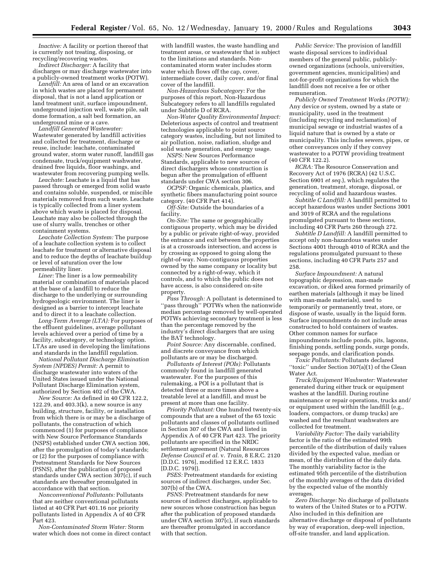*Inactive:* A facility or portion thereof that is currently not treating, disposing, or recycling/recovering wastes.

*Indirect Discharger:* A facility that discharges or may discharge wastewater into a publicly-owned treatment works (POTW).

*Landfill:* An area of land or an excavation in which wastes are placed for permanent disposal, that is not a land application or land treatment unit, surface impoundment, underground injection well, waste pile, salt dome formation, a salt bed formation, an underground mine or a cave.

*Landfill Generated Wastewater:* Wastewater generated by landfill activities and collected for treatment, discharge or reuse, include: leachate, contaminated ground water, storm water runoff, landfill gas condensate, truck/equipment washwater, drained free liquids, floor washings, and wastewater from recovering pumping wells.

*Leachate:* Leachate is a liquid that has passed through or emerged from solid waste and contains soluble, suspended, or miscible materials removed from such waste. Leachate is typically collected from a liner system above which waste is placed for disposal. Leachate may also be collected through the use of slurry walls, trenches or other containment systems.

*Leachate Collection System:* The purpose of a leachate collection system is to collect leachate for treatment or alternative disposal and to reduce the depths of leachate buildup or level of saturation over the low permeability liner.

*Liner:* The liner is a low permeability material or combination of materials placed at the base of a landfill to reduce the discharge to the underlying or surrounding hydrogeologic environment. The liner is designed as a barrier to intercept leachate and to direct it to a leachate collection.

*Long-Term Average (LTA):* For purposes of the effluent guidelines, average pollutant levels achieved over a period of time by a facility, subcategory, or technology option. LTAs are used in developing the limitations and standards in the landfill regulation.

*National Pollutant Discharge Elimination System (NPDES) Permit:* A permit to discharge wastewater into waters of the United States issued under the National Pollutant Discharge Elimination system, authorized by Section 402 of the CWA.

*New Source:* As defined in 40 CFR 122.2, 122.29, and 403.3(k), a new source is any building, structure, facility, or installation from which there is or may be a discharge of pollutants, the construction of which commenced (1) for purposes of compliance with New Source Performance Standards (NSPS) established under CWA section 306, after the promulgation of today's standards; or (2) for the purposes of compliance with Pretreatment Standards for New Sources (PSNS), after the publication of proposed standards under CWA section 307(c), if such standards are thereafter promulgated in accordance with that section.

*Nonconventional Pollutants:* Pollutants that are neither conventional pollutants listed at 40 CFR Part 401.16 nor priority pollutants listed in Appendix A of 40 CFR Part 423.

*Non-Contaminated Storm Water:* Storm water which does not come in direct contact

with landfill wastes, the waste handling and treatment areas, or wastewater that is subject to the limitations and standards. Noncontaminated storm water includes storm water which flows off the cap, cover, intermediate cover, daily cover, and/or final cover of the landfill.

*Non-Hazardous Subcategory:* For the purposes of this report, Non-Hazardous Subcategory refers to all landfills regulated under Subtitle D of RCRA.

*Non-Water Quality Environmental Impact:* Deleterious aspects of control and treatment technologies applicable to point source category wastes, including, but not limited to air pollution, noise, radiation, sludge and solid waste generation, and energy usage.

*NSPS:* New Sources Performance Standards, applicable to new sources of direct dischargers whose construction is begun after the promulgation of effluent standards under CWA section 306.

*OCPSF:* Organic chemicals, plastics, and synthetic fibers manufacturing point source category. (40 CFR Part 414).

*Off-Site:* Outside the boundaries of a facility.

*On-Site:* The same or geographically contiguous property, which may be divided by a public or private right-of-way, provided the entrance and exit between the properties is at a crossroads intersection, and access is by crossing as opposed to going along the right-of-way. Non-contiguous properties owned by the same company or locality but connected by a right-of-way, which it controls, and to which the public does not have access, is also considered on-site property.

*Pass Through:* A pollutant is determined to "pass through" POTWs when the nationwide median percentage removed by well-operated POTWs achieving secondary treatment is less than the percentage removed by the industry's direct dischargers that are using the BAT technology.

*Point Source:* Any discernable, confined, and discrete conveyance from which pollutants are or may be discharged.

*Pollutants of Interest (POIs):* Pollutants commonly found in landfill generated wastewater. For the purposes of this rulemaking, a POI is a pollutant that is detected three or more times above a treatable level at a landfill, and must be present at more than one facility.

*Priority Pollutant:* One hundred twenty-six compounds that are a subset of the 65 toxic pollutants and classes of pollutants outlined in Section 307 of the CWA and listed in Appendix A of 40 CFR Part 423. The priority pollutants are specified in the NRDC settlement agreement (Natural Resources *Defense Council et al.* v. *Train,* 8 E.R.C. 2120 [D.D.C. 1976], modified 12 E.R.C. 1833 [D.D.C. 1979]).

*PSES:* Pretreatment standards for existing sources of indirect discharges, under Sec. 307(b) of the CWA.

*PSNS:* Pretreatment standards for new sources of indirect discharges, applicable to new sources whose construction has begun after the publication of proposed standards under CWA section 307(c), if such standards are thereafter promulgated in accordance with that section.

*Public Service:* The provision of landfill waste disposal services to individual members of the general public, publiclyowned organizations (schools, universities, government agencies, municipalities) and not-for-profit organizations for which the landfill does not receive a fee or other remuneration.

*Publicly Owned Treatment Works (POTW):* Any device or system, owned by a state or municipality, used in the treatment (including recycling and reclamation) of municipal sewage or industrial wastes of a liquid nature that is owned by a state or municipality. This includes sewers, pipes, or other conveyances only if they convey wastewater to a POTW providing treatment (40 CFR 122.2).

*RCRA:* The Resource Conservation and Recovery Act of 1976 (RCRA) (42 U.S.C. Section 6901 *et seq.*), which regulates the generation, treatment, storage, disposal, or recycling of solid and hazardous wastes.

*Subtitle C Landfill:* A landfill permitted to accept hazardous wastes under Sections 3001 and 3019 of RCRA and the regulations promulgated pursuant to these sections, including 40 CFR Parts 260 through 272.

*Subtitle D Landfill:* A landfill permitted to accept only non-hazardous wastes under Sections 4001 through 4010 of RCRA and the regulations promulgated pursuant to these sections, including 40 CFR Parts 257 and 258.

*Surface Impoundment:* A natural topographic depression, man-made excavation, or diked area formed primarily of earthen materials (although it may be lined with man-made materials), used to temporarily or permanently treat, store, or dispose of waste, usually in the liquid form. Surface impoundments do not include areas constructed to hold containers of wastes. Other common names for surface impoundments include ponds, pits, lagoons, finishing ponds, settling ponds, surge ponds, seepage ponds, and clarification ponds.

*Toxic Pollutants:* Pollutants declared ''toxic'' under Section 307(a)(1) of the Clean Water Act.

*Truck/Equipment Washwater:* Wastewater generated during either truck or equipment washes at the landfill. During routine maintenance or repair operations, trucks and/ or equipment used within the landfill (e.g., loaders, compactors, or dump trucks) are washed and the resultant washwaters are collected for treatment.

*Variability Factor:* The daily variability factor is the ratio of the estimated 99th percentile of the distribution of daily values divided by the expected value, median or mean, of the distribution of the daily data. The monthly variability factor is the estimated 95th percentile of the distribution of the monthly averages of the data divided by the expected value of the monthly averages.

*Zero Discharge:* No discharge of pollutants to waters of the United States or to a POTW. Also included in this definition are alternative discharge or disposal of pollutants by way of evaporation, deep-well injection, off-site transfer, and land application.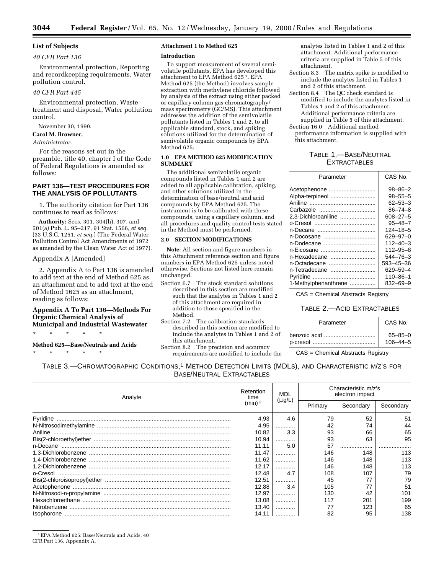## **List of Subjects**

## *40 CFR Part 136*

Environmental protection, Reporting and recordkeeping requirements, Water pollution control.

## *40 CFR Part 445*

Environmental protection, Waste treatment and disposal, Water pollution control.

November 30, 1999.

**Carol M. Browner,**

*Administrator.*

For the reasons set out in the preamble, title 40, chapter I of the Code of Federal Regulations is amended as follows:

## **PART 136—TEST PROCEDURES FOR THE ANALYSIS OF POLLUTANTS**

1. The authority citation for Part 136 continues to read as follows:

**Authority:** Secs. 301, 304(h), 307, and 501(a) Pub. L. 95–217, 91 Stat. 1566, *et seq.* (33 U.S.C. 1251, *et seq.*) (The Federal Water Pollution Control Act Amendments of 1972 as amended by the Clean Water Act of 1977).

#### Appendix A [Amended]

2. Appendix A to Part 136 is amended to add text at the end of Method 625 as an attachment and to add text at the end of Method 1625 as an attachment, reading as follows:

## **Appendix A To Part 136—Methods For Organic Chemical Analysis of Municipal and Industrial Wastewater**

\* \* \* \* \*

**Method 625—Base/Neutrals and Acids** \* \* \* \* \*

## **Attachment 1 to Method 625**

#### **Introduction**

To support measurement of several semivolatile pollutants, EPA has developed this attachment to EPA Method 625 1. EPA Method 625 (the Method) involves sample extraction with methylene chloride followed by analysis of the extract using either packed or capillary column gas chromatography/ mass spectrometry (GC/MS). This attachment addresses the addition of the semivolatile pollutants listed in Tables 1 and 2, to all applicable standard, stock, and spiking solutions utilized for the determination of semivolatile organic compounds by EPA Method 625.

## **1.0 EPA METHOD 625 MODIFICATION SUMMARY**

The additional semivolatile organic compounds listed in Tables 1 and 2 are added to all applicable calibration, spiking, and other solutions utilized in the determination of base/neutral and acid compounds by EPA Method 625. The instrument is to be calibrated with these compounds, using a capillary column, and all procedures and quality control tests stated in the Method must be performed.

## **2.0 SECTION MODIFICATIONS**

**Note:** All section and figure numbers in this Attachment reference section and figure numbers in EPA Method 625 unless noted otherwise. Sections not listed here remain unchanged.

- Section 6.7 The stock standard solutions described in this section are modified such that the analytes in Tables 1 and 2 of this attachment are required in addition to those specified in the Method.
- Section 7.2 The calibration standards described in this section are modified to include the analytes in Tables 1 and 2 of this attachment.
- Section 8.2 The precision and accuracy requirements are modified to include the

analytes listed in Tables 1 and 2 of this attachment. Additional performance criteria are supplied in Table 5 of this attachment.

- Section 8.3 The matrix spike is modified to include the analytes listed in Tables 1 and 2 of this attachment.
- Section 8.4 The QC check standard is modified to include the analytes listed in Tables 1 and 2 of this attachment. Additional performance criteria are
- supplied in Table 5 of this attachment. Section 16.0 Additional method performance information is supplied with this attachment.

## TABLE 1.—BASE/NEUTRAL **EXTRACTABLES**

| Parameter            | CAS No.        |
|----------------------|----------------|
| Acetophenone         | $98 - 86 - 2$  |
| Alpha-terpineol      | $98 - 55 - 5$  |
|                      | $62 - 53 - 3$  |
|                      | $86 - 74 - 8$  |
| 2.3-Dichloroaniline  | 608-27-5       |
|                      | $95 - 48 - 7$  |
|                      | $124 - 18 - 5$ |
| n-Docosane           | 629-97-0       |
| n-Dodecane           | $112 - 40 - 3$ |
| n-Eicosane           | $112 - 95 - 8$ |
| n-Hexadecane         | $544 - 76 - 3$ |
| n-Octadecane         | 593-45-36      |
| n-Tetradecane        | 629-59-4       |
|                      | $110 - 86 - 1$ |
| 1-Methylphenanthrene | 832-69-9       |
|                      |                |

CAS = Chemical Abstracts Registry

## TABLE 2.—ACID EXTRACTABLES

| Parameter    | CAS No.        |
|--------------|----------------|
| benzoic acid | $65 - 85 - 0$  |
|              | $106 - 44 - 5$ |

CAS = Chemical Abstracts Registry

TABLE 3.—CHROMATOGRAPHIC CONDITIONS,1 METHOD DETECTION LIMITS (MDLS), AND CHARACTERISTIC M/Z'S FOR BASE/NEUTRAL EXTRACTABLES

| Analyte | Retention<br>time  | MDL<br>$(\mu g/L)$ | Characteristic m/z's<br>electron impact |           |           |
|---------|--------------------|--------------------|-----------------------------------------|-----------|-----------|
|         | (min) <sup>2</sup> |                    | Primary                                 | Secondary | Secondary |
|         | 4.93               | 4.6                | 79                                      | 52        | 51        |
|         | 4.95               |                    | 42                                      | 74        | 44        |
|         | 10.82              | 3.3                | 93                                      | 66        | 65        |
|         | 10.94              |                    | 93                                      | 63        | 95        |
|         | 11.11              | 5.0                | 57                                      |           |           |
|         | 11.47              | .                  | 146                                     | 148       | 113       |
|         | 11.62              |                    | 146                                     | 148       | 113       |
|         | 12.17              |                    | 146                                     | 148       | 113       |
|         | 12.48              | 4.7                | 108                                     | 107       | 79        |
|         | 12.51              |                    | 45                                      | 77        | 79        |
|         | 12.88              | 3.4                | 105                                     | 77        | 51        |
|         | 12.97              |                    | 130                                     | 42        | 101       |
|         | 13.08              | .                  | 117                                     | 201       | 199       |
|         | 13.40              |                    |                                         | 123       | 65        |
|         | 14.11              |                    | 82                                      | 95        | 138       |

<sup>1</sup>EPA Method 625: Base/Neutrals and Acids, 40 CFR Part 136, Appendix A.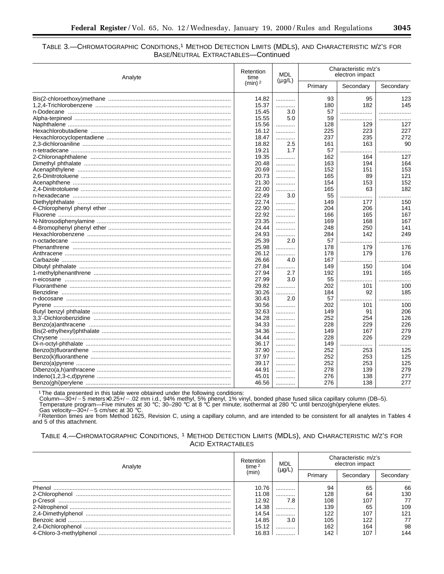## 3045

## TABLE 3.-CHROMATOGRAPHIC CONDITIONS,<sup>1</sup> METHOD DETECTION LIMITS (MDLS), AND CHARACTERISTIC M/Z'S FOR BASE/NEUTRAL EXTRACTABLES-Continued

| Analyte | Retention<br>time  | <b>MDL</b>  | Characteristic m/z's<br>electron impact |           |           |
|---------|--------------------|-------------|-----------------------------------------|-----------|-----------|
|         | (min) <sup>2</sup> | $(\mu g/L)$ | Primary                                 | Secondary | Secondary |
|         | 14.82              |             | 93                                      | 95        | 123       |
|         | 15.37              | .           | 180                                     | 182       | 145       |
|         | 15.45              | 3.0         | 57                                      |           |           |
|         | 15.55              | 5.0         | 59                                      | .         | .         |
|         | 15.56              | .           | 128                                     | 129       | 127       |
|         | 16.12              | .           | 225                                     | 223       | 227       |
|         | 18.47              | .           | 237                                     | 235       | 272       |
|         | 18.82              | 2.5         | 161                                     | 163       | 90        |
|         | 19.21              | 1.7         | 57                                      | .<br>.    |           |
|         | 19.35              | .           | 162                                     | 164       | 127       |
|         | 20.48              | .           | 163                                     | 194       | 164       |
|         | 20.69              |             | 152                                     | 151       | 153       |
|         | 20.73              | .           | 165                                     | 89        | 121       |
|         | 21.30              | .           | 154                                     | 153       | 152       |
|         | 22.00              |             | 165                                     | 63        | 182       |
|         |                    | .           |                                         |           |           |
|         | 22.49              | 3.0         | 55                                      |           | .         |
|         | 22.74              | .           | 149                                     | 177       | 150       |
|         | 22.90              | .           | 204                                     | 206       | 141       |
|         | 22.92              | .           | 166                                     | 165       | 167       |
|         | 23.35              | .           | 169                                     | 168       | 167       |
|         | 24.44              | .           | 248                                     | 250       | 141       |
|         | 24.93              | .           | 284                                     | 142       | 249       |
|         | 25.39              | 2.0         | 57                                      | .         | .         |
|         | 25.98              | .           | 178                                     | 179       | 176       |
|         | 26.12              | .           | 178                                     | 179       | 176       |
|         | 26.66              | 4.0         | 167                                     | .<br>.    | .         |
|         | 27.84              | .           | 149                                     | 150       | 104       |
|         | 27.94              | 2.7         | 192                                     | 191       | 165       |
|         | 27.99              | 3.0         | 55                                      |           |           |
|         | 29.82              | .           | 202                                     | 101       | 100       |
|         | 30.26              | .           | 184                                     | 92        | 185       |
|         | 30.43              | 2.0         | 57                                      | .<br>.    | .         |
|         | 30.56              | .           | 202                                     | 101       | 100       |
|         | 32.63              | .           | 149                                     | 91        | 206       |
|         | 34.28              | .           | 252                                     | 254       | 126       |
|         | 34.33              | .           | 228                                     | 229       | 226       |
|         | 34.36              | .           | 149                                     | 167       | 279       |
|         | 34.44              | .           | 228                                     | 226       | 229       |
|         | 36.17              |             | 149                                     |           |           |
|         |                    | .           |                                         | .<br>253  | <br>125   |
|         | 37.90              | .           | 252                                     |           |           |
|         | 37.97              | .           | 252                                     | 253       | 125       |
|         | 39.17              | .           | 252                                     | 253       | 125       |
|         | 44.91              | .           | 278                                     | 139       | 279       |
|         | 45.01              | .           | 276                                     | 138       | 277       |
|         | 46.56              |             | 276                                     | 138       | 277       |

<sup>1</sup>The data presented in this table were obtained under the following conditions:<br>
Column—30+/-5 meters×0.25+/-.02 mm i.d., 94% methyl, 5% phenyl, 1% vinyl, bonded phase fused silica capillary column (DB-5).<br>
Temperature p

and 5 of this attachment.

| TABLE 4.-CHROMATOGRAPHIC CONDITIONS, <sup>1</sup> METHOD DETECTION LIMITS (MDLS), AND CHARACTERISTIC M/Z'S FOR |
|----------------------------------------------------------------------------------------------------------------|
| <b>ACID EXTRACTABLES</b>                                                                                       |

| Analyte | Retention<br>time <sup>2</sup> | MDL<br>$(\mu g/L)$ | Characteristic m/z's<br>electron impact |           |           |
|---------|--------------------------------|--------------------|-----------------------------------------|-----------|-----------|
|         | (min)                          |                    | Primary                                 | Secondary | Secondary |
| Phenol  | 10.76                          | .                  | 94                                      | 65        | 66        |
|         | 11.08                          |                    | 128                                     | 64        | 130       |
|         | 12.92                          | 7.8                | 108                                     | 107       | 77        |
|         | 14.38                          |                    | 139                                     | 65        | 109       |
|         | 14.54                          |                    | 122                                     | 107       | 121       |
|         | 14.85                          | 3.0                | 105                                     | 122       | 77        |
|         | 15.12                          |                    | 162                                     | 164       | 98        |
|         | 16.83                          |                    | 142                                     | 107       | 144       |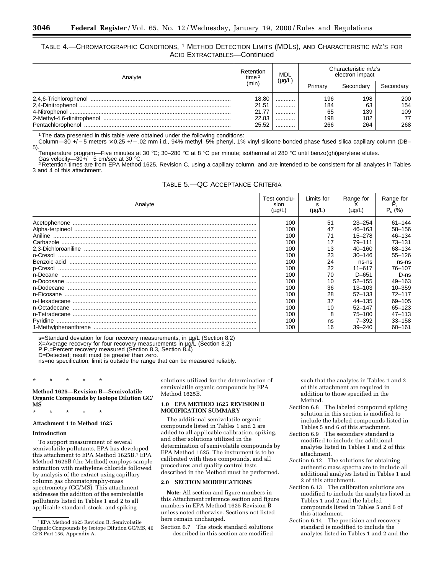## TABLE 4.—CHROMATOGRAPHIC CONDITIONS, 1 METHOD DETECTION LIMITS (MDLS), AND CHARACTERISTIC M/Z'S FOR ACID EXTRACTABLES—Continued

| Analyte           | Retention<br>time $2$                     | MDL<br>$(\mu$ g/L | Characteristic m/z's<br>electron impact |                                |                                |
|-------------------|-------------------------------------------|-------------------|-----------------------------------------|--------------------------------|--------------------------------|
|                   | (min)                                     |                   | Primary                                 | Secondary                      | Secondary                      |
| Pentachlorophenol | 18.80<br>21.51<br>21.77<br>22.83<br>25.52 | <br><br><br><br>  | 196<br>184<br>65<br>198<br>266          | 198<br>63<br>139<br>182<br>264 | 200<br>154<br>109<br>77<br>268 |

<sup>1</sup> The data presented in this table were obtained under the following conditions:

Column—30 +/ $-5$  meters  $\times$  0.25 +/ $-$ .02 mm i.d., 94% methyl, 5% phenyl, 1% vinyl silicone bonded phase fused silica capillary column (DB– 5).

.<br>Temperature program—Five minutes at 30 °C; 30–280 °C at 8 °C per minute; isothermal at 280 °C until benzo(ghi)perylene elutes.<br>Gas velocity—30+/−5 cm/sec at 30 °C.

<sup>2</sup> Retention times are from EPA Method 1625, Revision C, using a capillary column, and are intended to be consistent for all analytes in Tables 3 and 4 of this attachment.

| TABLE 5. QC ACCEPTANCE CRITERIA |  |  |
|---------------------------------|--|--|
|---------------------------------|--|--|

| Analyte | Test conclu-<br>sion<br>$(\mu q/L)$ | Limits for<br>s<br>$(\mu q/L)$ | Range for<br>(ua/L) | Range for<br>$P_s(%)$ |
|---------|-------------------------------------|--------------------------------|---------------------|-----------------------|
|         | 100                                 | 51                             | $23 - 254$          | $61 - 144$            |
|         | 100                                 | 47                             | $46 - 163$          | 58-156                |
| Aniline | 100                                 |                                | $15 - 278$          | $46 - 134$            |
|         | 100                                 | 17                             | 79-111              | $73 - 131$            |
|         | 100                                 | 13                             | $40 - 160$          | 68-134                |
|         | 100                                 | 23                             | $30 - 146$          | $55 - 126$            |
|         | 100                                 | 24                             | ns-ns               | ns-ns                 |
|         | 100                                 | 22                             | $11 - 617$          | 76-107                |
|         | 100                                 | 70                             | $D - 651$           | $D-ns$                |
|         | 100                                 | 10                             | $52 - 155$          | 49-163                |
|         | 100                                 | 36                             | $13 - 103$          | $10 - 359$            |
|         | 100                                 | 28                             | $57 - 133$          | $72 - 117$            |
|         | 100                                 | 37                             | $44 - 135$          | 69-105                |
|         | 100                                 | 10                             | $52 - 147$          | $65 - 123$            |
|         | 100                                 | 8                              | $75 - 100$          | $47 - 113$            |
|         | 100                                 | ns                             | 7-392               | $33 - 158$            |
|         | 100                                 | 16                             | $39 - 240$          | 60-161                |

s=Standard deviation for four recovery measurements, in µg/L (Section 8.2) X=Average recovery for four recovery measurements in µg/L (Section 8.2)

 $P, P_s$ =Percent recovery measured (Section 8.3, Section 8.4)

D=Detected; result must be greater than zero.

ns=no specification; limit is outside the range that can be measured reliably.

## \* \* \* \* \*

**Method 1625—Revision B—Semivolatile Organic Compounds by Isotope Dilution GC/ MS**

\* \* \* \* \*

## **Attachment 1 to Method 1625**

#### **Introduction**

To support measurement of several semivolatile pollutants, EPA has developed this attachment to EPA Method 1625B.1 EPA Method 1625B (the Method) employs sample extraction with methylene chloride followed by analysis of the extract using capillary column gas chromatography-mass spectrometry (GC/MS). This attachment addresses the addition of the semivolatile pollutants listed in Tables 1 and 2 to all applicable standard, stock, and spiking

solutions utilized for the determination of semivolatile organic compounds by EPA Method 1625B.

## **1.0 EPA METHOD 1625 REVISION B MODIFICATION SUMMARY**

The additional semivolatile organic compounds listed in Tables 1 and 2 are added to all applicable calibration, spiking, and other solutions utilized in the determination of semivolatile compounds by EPA Method 1625. The instrument is to be calibrated with these compounds, and all procedures and quality control tests described in the Method must be performed.

## **2.0 SECTION MODIFICATIONS**

**Note:** All section and figure numbers in this Attachment reference section and figure numbers in EPA Method 1625 Revision B unless noted otherwise. Sections not listed here remain unchanged.

Section 6.7 The stock standard solutions described in this section are modified such that the analytes in Tables 1 and 2 of this attachment are required in addition to those specified in the Method.

- Section 6.8 The labeled compound spiking solution in this section is modified to include the labeled compounds listed in Tables 5 and 6 of this attachment.
- Section 6.9 The secondary standard is modified to include the additional analytes listed in Tables 1 and 2 of this attachment.
- Section 6.12 The solutions for obtaining authentic mass spectra are to include all additional analytes listed in Tables 1 and 2 of this attachment.
- Section 6.13 The calibration solutions are modified to include the analytes listed in Tables 1 and 2 and the labeled compounds listed in Tables 5 and 6 of this attachment.
- Section 6.14 The precision and recovery standard is modified to include the analytes listed in Tables 1 and 2 and the

<sup>1</sup>EPA Method 1625 Revision B, Semivolatile Organic Compounds by Isotope Dilution GC/MS, 40 CFR Part 136, Appendix A.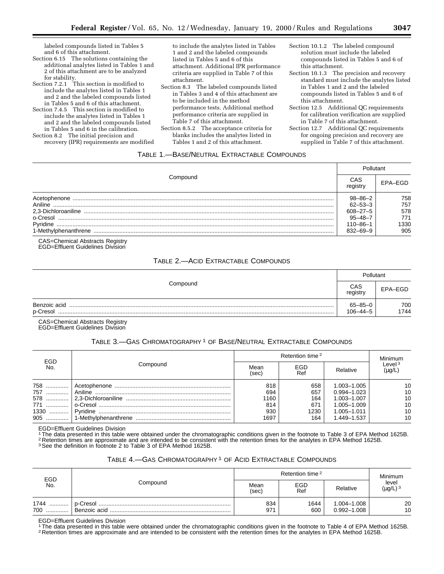labeled compounds listed in Tables 5 and 6 of this attachment.

- Section 6.15 The solutions containing the additional analytes listed in Tables 1 and 2 of this attachment are to be analyzed for stability.
- Section 7.2.1 This section is modified to include the analytes listed in Tables 1 and 2 and the labeled compounds listed in Tables 5 and 6 of this attachment.
- Section 7.4.5 This section is modified to include the analytes listed in Tables 1 and 2 and the labeled compounds listed in Tables 5 and 6 in the calibration.

Section 8.2 The initial precision and recovery (IPR) requirements are modified to include the analytes listed in Tables 1 and 2 and the labeled compounds listed in Tables 5 and 6 of this attachment. Additional IPR performance criteria are supplied in Table 7 of this attachment.

- Section 8.3 The labeled compounds listed in Tables 3 and 4 of this attachment are to be included in the method performance tests. Additional method performance criteria are supplied in Table 7 of this attachment.
- Section 8.5.2 The acceptance criteria for blanks includes the analytes listed in Tables 1 and 2 of this attachment.
- Section 10.1.2 The labeled compound solution must include the labeled compounds listed in Tables 5 and 6 of this attachment.
- Section 10.1.3 The precision and recovery standard must include the analytes listed in Tables 1 and 2 and the labeled compounds listed in Tables 5 and 6 of this attachment.
- Section 12.5 Additional QC requirements for calibration verification are supplied in Table 7 of this attachment.

Section 12.7 Additional QC requirements for ongoing precision and recovery are supplied in Table 7 of this attachment.

## TABLE 1.—BASE/NEUTRAL EXTRACTABLE COMPOUNDS

| Compound             |               |         |  |
|----------------------|---------------|---------|--|
|                      |               | EPA-EGD |  |
| Acetophenone         | $98 - 86 - 2$ | 758     |  |
| Aniline              | $62 - 53 - 3$ | 757     |  |
| 2.3-Dichloroaniline  | 608-27-5      | 578     |  |
| o-Cresol             | $95 - 48 - 7$ | 771     |  |
| Pvridine             | $10 - 86 - 1$ | 1330    |  |
| 1-Methvlphenanthrene | 832–69–9      | 905     |  |

CAS=Chemical Abstracts Registry EGD=Effluent Guidelines Division

## TABLE 2.—ACID EXTRACTABLE COMPOUNDS

|                          | ⊃ollutant                       |             |  |
|--------------------------|---------------------------------|-------------|--|
| Compound                 | CAS<br>registry                 | EPA-EGD     |  |
| Benzoic acid<br>p-Cresol | $65 - 85 - 0$<br>$106 - 44 - 5$ | 700<br>1744 |  |

CAS=Chemical Abstracts Registry EGD=Effluent Guidelines Division

## TABLE 3.—GAS CHROMATOGRAPHY 1 OF BASE/NEUTRAL EXTRACTABLE COMPOUNDS

| EGD                                |          |                                          | <b>Minimum</b>                          |                                                                                            |                                  |
|------------------------------------|----------|------------------------------------------|-----------------------------------------|--------------------------------------------------------------------------------------------|----------------------------------|
| No.                                | Compound | Mean<br>(sec)                            | EGD<br>Ref                              | Relative                                                                                   | Level $3$<br>$(\mu g/L)$         |
| 758<br>757<br>771<br>$1330$<br>905 |          | 818<br>694<br>1160<br>814<br>930<br>1697 | 658<br>657<br>164<br>671<br>1230<br>164 | 1.003-1.005<br>$0.994 - 1.023$<br>1.003-1.007<br>1.005-1.009<br>1.005-1.011<br>1.449-1.537 | 10<br>10<br>10<br>10<br>10<br>10 |

EGD=Effluent Guidelines Division

<sup>1</sup>The data presented in this table were obtained under the chromatographic conditions given in the footnote to Table 3 of EPA Method 1625B.<br><sup>2</sup> Retention times are approximate and are intended to be consistent with the r

## TABLE 4.—GAS CHROMATOGRAPHY 1 OF ACID EXTRACTABLE COMPOUNDS

| EGD             |          | Retention time <sup>2</sup> | Minimum     |                               |                        |
|-----------------|----------|-----------------------------|-------------|-------------------------------|------------------------|
| No.             | Compound | EGD<br>Mean<br>(sec)<br>Ref |             | Relative                      | level<br>$(\mu g/L)^3$ |
| 1744<br>700<br> | p-Cresol | 834<br>971                  | 1644<br>600 | .004-1.008<br>$0.992 - 1.008$ | 20<br>10               |

EGD=Effluent Guidelines Division

The data presented in this table were obtained under the chromatographic conditions given in the footnote to Table 4 of EPA Method 1625B.<br><sup>2</sup> Retention times are approximate and are intended to be consistent with the reten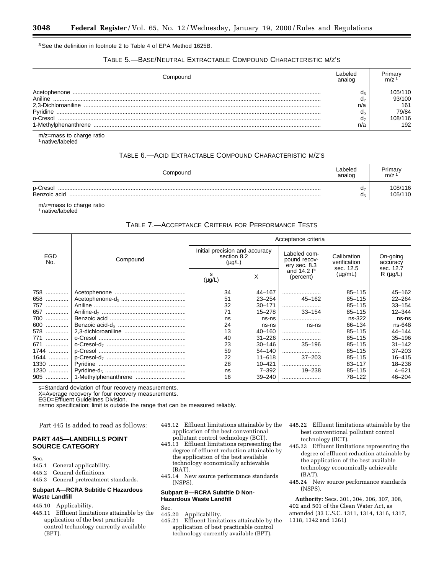3See the definition in footnote 2 to Table 4 of EPA Method 1625B.

## TABLE 5.—BASE/NEUTRAL EXTRACTABLE COMPOUND CHARACTERISTIC M/Z'S

| Compound | abeled<br>analoc |         |
|----------|------------------|---------|
|          |                  | 105/110 |
| Aniline  |                  | 93/100  |
|          | n/a              | 161     |
| Pyridine |                  | 79/84   |
| o-Cresol |                  | 08/116  |
|          | n/a              | 192     |

m/z=mass to charge ratio 1 native/labeled

## TABLE 6.—ACID EXTRACTABLE COMPOUND CHARACTERISTIC M/Z'S

| Compound                 | Labeled<br>analog | Primary<br>m/z     |
|--------------------------|-------------------|--------------------|
| p-Cresol<br>Benzoic acid | uт<br>₫₫          | 108/116<br>105/110 |

m/z=mass to charge ratio 1 native/labeled

## TABLE 7.—ACCEPTANCE CRITERIA FOR PERFORMANCE TESTS

| EGD<br>No. | Compound | Acceptance criteria                                          |            |                                              |                                          |                                   |
|------------|----------|--------------------------------------------------------------|------------|----------------------------------------------|------------------------------------------|-----------------------------------|
|            |          | Initial precision and accuracy<br>section 8.2<br>$(\mu g/L)$ |            | Labeled com-<br>pound recov-<br>ery sec. 8.3 | Calibration<br>verification<br>sec. 12.5 | On-going<br>accuracy<br>sec. 12.7 |
|            |          | s<br>$(\mu g/L)$                                             | X          | and 14.2 P<br>(percent)                      | $(\mu g/mL)$                             | $R(\mu g/L)$                      |
| 758        |          | 34                                                           | 44-167     |                                              | $85 - 115$                               | $45 - 162$                        |
| 658        |          | 51                                                           | $23 - 254$ | $45 - 162$                                   | $85 - 115$                               | $22 - 264$                        |
| 757        |          | 32                                                           | $30 - 171$ |                                              | $85 - 115$                               | $33 - 154$                        |
| 657        |          | 71                                                           | 15–278     | $33 - 154$                                   | $85 - 115$                               | $12 - 344$                        |
| 700        |          | ns                                                           | ns-ns      |                                              | ns-322                                   | ns-ns                             |
| 600        |          | 24                                                           | ns-ns      | ns-ns                                        | 66-134                                   | ns-648                            |
| 578        |          | 13                                                           | $40 - 160$ |                                              | $85 - 115$                               | $44 - 144$                        |
| 771<br>    |          | 40                                                           | $31 - 226$ |                                              | $85 - 115$                               | $35 - 196$                        |
| 671        |          | 23                                                           | $30 - 146$ | $35 - 196$                                   | $85 - 115$                               | $31 - 142$                        |
| 1744       |          | 59                                                           | $54 - 140$ |                                              | $85 - 115$                               | $37 - 203$                        |
| 1644       |          | 22                                                           | $11 - 618$ | $37 - 203$                                   | $85 - 115$                               | $16 - 415$                        |
| 1330       |          | 28                                                           | $10 - 421$ |                                              | $83 - 117$                               | 18-238                            |
| 1230       |          | ns                                                           | $7 - 392$  | $19 - 238$                                   | $85 - 115$                               | $4 - 621$                         |
|            |          | 16                                                           | $39 - 240$ |                                              | 78-122                                   | $46 - 204$                        |

s=Standard deviation of four recovery measurements.

X=Average recovery for four recovery measurements.

EGD=Effluent Guidelines Division.

ns=no specification; limit is outside the range that can be measured reliably.

Part 445 is added to read as follows:

## **PART 445—LANDFILLS POINT SOURCE CATEGORY**

Sec.<br>445 1

- General applicability.
- 445.2 General definitions.
- 445.3 General pretreatment standards.

## **Subpart A—RCRA Subtitle C Hazardous Waste Landfill**

- 445.10 Applicability.
- 445.11 Effluent limitations attainable by the application of the best practicable control technology currently available (BPT).
- 445.12 Effluent limitations attainable by the application of the best conventional pollutant control technology (BCT).
- 445.13 Effluent limitations representing the degree of effluent reduction attainable by the application of the best available technology economically achievable (BAT).
- 445.14 New source performance standards (NSPS).

## **Subpart B—RCRA Subtitle D Non-Hazardous Waste Landfill**

Sec.

- 445.20 Applicability.
- 445.21 Effluent limitations attainable by the application of best practicable control technology currently available (BPT).
- 445.22 Effluent limitations attainable by the best conventional pollutant control technology (BCT).
- 445.23 Effluent limitations representing the degree of effluent reduction attainable by the application of the best available technology economically achievable (BAT).
- 445.24 New source performance standards (NSPS).

**Authority:** Secs. 301, 304, 306, 307, 308, 402 and 501 of the Clean Water Act, as amended (33 U.S.C. 1311, 1314, 1316, 1317, 1318, 1342 and 1361)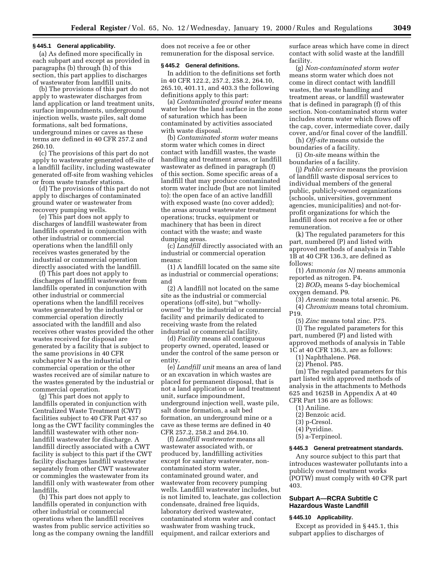## **§ 445.1 General applicability.**

(a) As defined more specifically in each subpart and except as provided in paragraphs (b) through (h) of this section, this part applies to discharges of wastewater from landfill units.

(b) The provisions of this part do not apply to wastewater discharges from land application or land treatment units, surface impoundments, underground injection wells, waste piles, salt dome formations, salt bed formations, underground mines or caves as these terms are defined in 40 CFR 257.2 and 260.10.

(c) The provisions of this part do not apply to wastewater generated off-site of a landfill facility, including wastewater generated off-site from washing vehicles or from waste transfer stations.

(d) The provisions of this part do not apply to discharges of contaminated ground water or wastewater from recovery pumping wells.

(e) This part does not apply to discharges of landfill wastewater from landfills operated in conjunction with other industrial or commercial operations when the landfill only receives wastes generated by the industrial or commercial operation directly associated with the landfill.

(f) This part does not apply to discharges of landfill wastewater from landfills operated in conjunction with other industrial or commercial operations when the landfill receives wastes generated by the industrial or commercial operation directly associated with the landfill and also receives other wastes provided the other wastes received for disposal are generated by a facility that is subject to the same provisions in 40 CFR subchapter N as the industrial or commercial operation or the other wastes received are of similar nature to the wastes generated by the industrial or commercial operation.

(g) This part does not apply to landfills operated in conjunction with Centralized Waste Treatment (CWT) facilities subject to 40 CFR Part 437 so long as the CWT facility commingles the landfill wastewater with other nonlandfill wastewater for discharge. A landfill directly associated with a CWT facility is subject to this part if the CWT facility discharges landfill wastewater separately from other CWT wastewater or commingles the wastewater from its landfill only with wastewater from other landfills.

(h) This part does not apply to landfills operated in conjunction with other industrial or commercial operations when the landfill receives wastes from public service activities so long as the company owning the landfill does not receive a fee or other remuneration for the disposal service.

## **§ 445.2 General definitions.**

In addition to the definitions set forth in 40 CFR 122.2, 257.2, 258.2, 264.10, 265.10, 401.11, and 403.3 the following definitions apply to this part:

(a) *Contaminated ground water* means water below the land surface in the zone of saturation which has been contaminated by activities associated with waste disposal.

(b) *Contaminated storm water* means storm water which comes in direct contact with landfill wastes, the waste handling and treatment areas, or landfill wastewater as defined in paragraph (f) of this section. Some specific areas of a landfill that may produce contaminated storm water include (but are not limited to): the open face of an active landfill with exposed waste (no cover added); the areas around wastewater treatment operations; trucks, equipment or machinery that has been in direct contact with the waste; and waste dumping areas.

(c) *Landfill* directly associated with an industrial or commercial operation means:

(1) A landfill located on the same site as industrial or commercial operations; and

(2) A landfill not located on the same site as the industrial or commercial operations (off-site), but ''whollyowned'' by the industrial or commercial facility and primarily dedicated to receiving waste from the related industrial or commercial facility.

(d) *Facility* means all contiguous property owned, operated, leased or under the control of the same person or entity.

(e) *Landfill unit* means an area of land or an excavation in which wastes are placed for permanent disposal, that is not a land application or land treatment unit, surface impoundment, underground injection well, waste pile, salt dome formation, a salt bed formation, an underground mine or a cave as these terms are defined in 40 CFR 257.2, 258.2 and 264.10.

(f) *Landfill wastewater* means all wastewater associated with, or produced by, landfilling activities except for sanitary wastewater, noncontaminated storm water, contaminated ground water, and wastewater from recovery pumping wells. Landfill wastewater includes, but is not limited to, leachate, gas collection condensate, drained free liquids, laboratory derived wastewater, contaminated storm water and contact washwater from washing truck, equipment, and railcar exteriors and

surface areas which have come in direct contact with solid waste at the landfill facility.

(g) *Non-contaminated storm water* means storm water which does not come in direct contact with landfill wastes, the waste handling and treatment areas, or landfill wastewater that is defined in paragraph (f) of this section. Non-contaminated storm water includes storm water which flows off the cap, cover, intermediate cover, daily cover, and/or final cover of the landfill.

(h) *Off-site* means outside the boundaries of a facility.

(i) *On-site* means within the boundaries of a facility.

(j) *Public service* means the provision of landfill waste disposal services to individual members of the general public, publicly-owned organizations (schools, universities, government agencies, municipalities) and not-forprofit organizations for which the landfill does not receive a fee or other remuneration.

(k) The regulated parameters for this part, numbered (P) and listed with approved methods of analysis in Table 1B at 40 CFR 136.3, are defined as follows:

(1) *Ammonia (as N)* means ammonia reported as nitrogen. P4.

(2) *BOD*5 means 5-day biochemical oxygen demand. P9.

(3) *Arsenic* means total arsenic. P6.

(4) *Chromium* means total chromium. P19.

(5) *Zinc* means total zinc. P75.

(l) The regulated parameters for this part, numbered (P) and listed with approved methods of analysis in Table 1C at 40 CFR 136.3, are as follows:

(1) Naphthalene. P68.

(2) Phenol. P85.

(m) The regulated parameters for this part listed with approved methods of analysis in the attachments to Methods 625 and 1625B in Appendix A at 40 CFR Part 136 are as follows:

- (1) Aniline.
- (2) Benzoic acid.
- (3) p-Cresol.
- (4) Pyridine.
- (5) a-Terpineol.

#### **§ 445.3 General pretreatment standards.**

Any source subject to this part that introduces wastewater pollutants into a publicly owned treatment works (POTW) must comply with 40 CFR part 403.

## **Subpart A—RCRA Subtitle C Hazardous Waste Landfill**

#### **§ 445.10 Applicability.**

Except as provided in § 445.1, this subpart applies to discharges of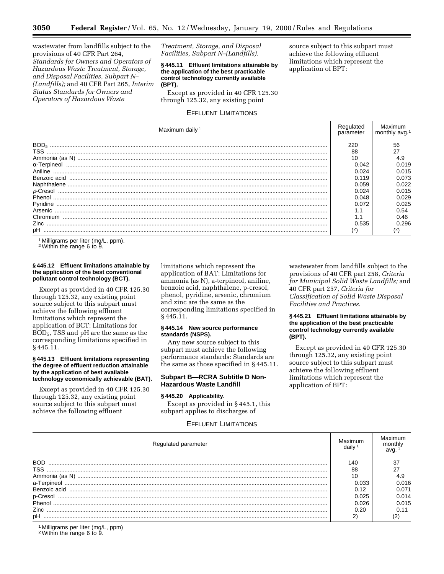wastewater from landfills subject to the provisions of 40 CFR Part 264, *Standards for Owners and Operators of Hazardous Waste Treatment, Storage, and Disposal Facilities, Subpart N– (Landfills);* and 40 CFR Part 265, *Interim Status Standards for Owners and Operators of Hazardous Waste*

## *Treatment, Storage, and Disposal Facilities, Subpart N–(Landfills).*

**§ 445.11 Effluent limitations attainable by the application of the best practicable control technology currently available (BPT).**

Except as provided in 40 CFR 125.30 through 125.32, any existing point

## EFFLUENT LIMITATIONS

Maximum daily<sup>1</sup> Regulated parameter Maximum monthly avg.1 BOD5 ............................................................................................................................................................................ 220 56 TSS .............................................................................................................................................................................. 88 27 Ammonia (as N) ........................................................................................................................................................... 10 4.9 α-Terpineol .................................................................................................................................................................. 0.042 0.019 Aniline .......................................................................................................................................................................... 0.024 0.015 Benzoic acid ................................................................................................................................................................ 0.119 0.073 Naphthalene ................................................................................................................................................................. 0.059 0.022 p-Cresol ....................................................................................................................................................................... 0.024 0.015 Phenol .......................................................................................................................................................................... 0.048 0.029 Pyridine ........................................................................................................................................................................ 0.072 0.025 Arsenic ......................................................................................................................................................................... 1.1 0.54 Chromium .................................................................................................................................................................... 1.1 0.46 Zinc .............................................................................................................................................................................. 0.535 0.296 pH ................................................................................................................................................................................ (2) (2)

Milligrams per liter (mg/L, ppm).

2Within the range 6 to 9.

## **§ 445.12 Effluent limitations attainable by the application of the best conventional pollutant control technology (BCT).**

Except as provided in 40 CFR 125.30 through 125.32, any existing point source subject to this subpart must achieve the following effluent limitations which represent the application of BCT: Limitations for BOD5, TSS and pH are the same as the corresponding limitations specified in § 445.11.

## **§ 445.13 Effluent limitations representing the degree of effluent reduction attainable by the application of best available technology economically achievable (BAT).**

Except as provided in 40 CFR 125.30 through 125.32, any existing point source subject to this subpart must achieve the following effluent

limitations which represent the application of BAT: Limitations for ammonia (as N), a-terpineol, aniline, benzoic acid, naphthalene, p-cresol, phenol, pyridine, arsenic, chromium and zinc are the same as the corresponding limitations specified in § 445.11.

## **§ 445.14 New source performance standards (NSPS).**

Any new source subject to this subpart must achieve the following performance standards: Standards are the same as those specified in § 445.11.

## **Subpart B—RCRA Subtitle D Non-Hazardous Waste Landfill**

## **§ 445.20 Applicability.**

Except as provided in § 445.1, this subpart applies to discharges of

#### EFFLUENT LIMITATIONS

Regulated parameter Maximum Maximum Maximum daily 1 Maximum monthly avg. 1 BOD ............................................................................................................................................................................. 140 37 TSS .............................................................................................................................................................................. 88 27 Ammonia (as N) ........................................................................................................................................................... 10 4.9 a-Terpineol ................................................................................................................................................................... 0.033 0.016 Benzoic acid ................................................................................................................................................................ 0.12 0.071 p-Cresol ....................................................................................................................................................................... 0.025 0.014 Phenol .......................................................................................................................................................................... 0.026 0.015 Zinc .............................................................................................................................................................................. 0.20 0.11 pH ................................................................................................................................................................................ 2) (2)

1 Milligrams per liter (mg/L, ppm)

2Within the range 6 to 9.

wastewater from landfills subject to the provisions of 40 CFR part 258, *Criteria for Municipal Solid Waste Landfills;* and 40 CFR part 257, *Criteria for Classification of Solid Waste Disposal Facilities and Practices.*

## **§ 445.21 Effluent limitations attainable by the application of the best practicable control technology currently available (BPT).**

Except as provided in 40 CFR 125.30 through 125.32, any existing point source subject to this subpart must achieve the following effluent limitations which represent the application of BPT:

source subject to this subpart must achieve the following effluent limitations which represent the application of BPT: